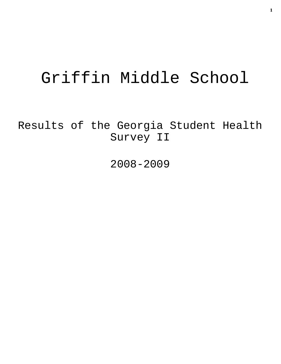# Griffin Middle School

Results of the Georgia Student Health Survey II

2008-2009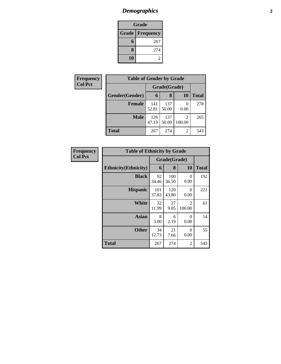# *Demographics* **2**

| Grade |                          |  |  |  |
|-------|--------------------------|--|--|--|
|       | <b>Grade   Frequency</b> |  |  |  |
| 6     | 267                      |  |  |  |
| 8     | 274                      |  |  |  |
| 10    |                          |  |  |  |

| Frequency      | <b>Table of Gender by Grade</b> |              |              |             |              |
|----------------|---------------------------------|--------------|--------------|-------------|--------------|
| <b>Col Pct</b> |                                 | Grade(Grade) |              |             |              |
|                | Gender(Gender)                  | 6            | 8            | <b>10</b>   | <b>Total</b> |
|                | <b>Female</b>                   | 141<br>52.81 | 137<br>50.00 | 0<br>0.00   | 278          |
|                | <b>Male</b>                     | 126<br>47.19 | 137<br>50.00 | 2<br>100.00 | 265          |
|                | <b>Total</b>                    | 267          | 274          | 2           | 543          |

| Frequency      | <b>Table of Ethnicity by Grade</b> |              |              |                  |              |
|----------------|------------------------------------|--------------|--------------|------------------|--------------|
| <b>Col Pct</b> |                                    | Grade(Grade) |              |                  |              |
|                | <b>Ethnicity</b> (Ethnicity)       | 6            | 8            | 10               | <b>Total</b> |
|                | <b>Black</b>                       | 92<br>34.46  | 100<br>36.50 | $\Omega$<br>0.00 | 192          |
|                | <b>Hispanic</b>                    | 101<br>37.83 | 120<br>43.80 | $\Omega$<br>0.00 | 221          |
|                | <b>White</b>                       | 32<br>11.99  | 27<br>9.85   | 2<br>100.00      | 61           |
|                | Asian                              | 8<br>3.00    | 6<br>2.19    | $\Omega$<br>0.00 | 14           |
|                | <b>Other</b>                       | 34<br>12.73  | 21<br>7.66   | $\Omega$<br>0.00 | 55           |
|                | <b>Total</b>                       | 267          | 274          | $\overline{c}$   | 543          |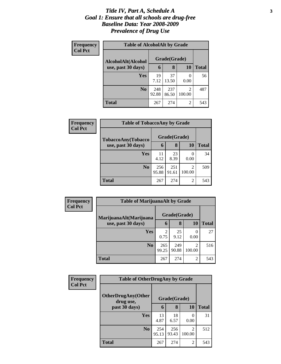### *Title IV, Part A, Schedule A* **3** *Goal 1: Ensure that all schools are drug-free Baseline Data: Year 2008-2009 Prevalence of Drug Use*

| Frequency<br><b>Col Pct</b> | <b>Table of AlcoholAlt by Grade</b> |              |              |                          |              |  |
|-----------------------------|-------------------------------------|--------------|--------------|--------------------------|--------------|--|
|                             | AlcoholAlt(Alcohol                  | Grade(Grade) |              |                          |              |  |
|                             | use, past 30 days)                  | 6            | 8            | <b>10</b>                | <b>Total</b> |  |
|                             | <b>Yes</b>                          | 19<br>7.12   | 37<br>13.50  | $\mathcal{O}$<br>0.00    | 56           |  |
|                             | N <sub>0</sub>                      | 248<br>92.88 | 237<br>86.50 | $\overline{2}$<br>100.00 | 487          |  |
|                             | Total                               | 267          | 274          | $\overline{2}$           | 543          |  |

| Frequency<br><b>Col Pct</b> | <b>Table of TobaccoAny by Grade</b> |              |              |                          |              |
|-----------------------------|-------------------------------------|--------------|--------------|--------------------------|--------------|
|                             | TobaccoAny(Tobacco                  | Grade(Grade) |              |                          |              |
|                             | use, past 30 days)                  | 6            | 8            | 10                       | <b>Total</b> |
|                             | Yes                                 | 11<br>4.12   | 23<br>8.39   | 0<br>0.00                | 34           |
|                             | N <sub>0</sub>                      | 256<br>95.88 | 251<br>91.61 | $\overline{2}$<br>100.00 | 509          |
|                             | <b>Total</b>                        | 267          | 274          | $\overline{2}$           | 543          |

| <b>Frequency</b><br><b>Col Pct</b> | <b>Table of MarijuanaAlt by Grade</b> |              |              |                          |              |
|------------------------------------|---------------------------------------|--------------|--------------|--------------------------|--------------|
|                                    | MarijuanaAlt(Marijuana                | Grade(Grade) |              |                          |              |
|                                    | use, past 30 days)                    | 6            | 8            | <b>10</b>                | <b>Total</b> |
|                                    | Yes                                   | 0.75         | 25<br>9.12   | 0.00                     | 27           |
|                                    | N <sub>o</sub>                        | 265<br>99.25 | 249<br>90.88 | $\overline{2}$<br>100.00 | 516          |
|                                    | <b>Total</b>                          | 267          | 274          | 2                        | 543          |

| Frequency<br><b>Col Pct</b> | <b>Table of OtherDrugAny by Grade</b>  |              |              |                          |              |
|-----------------------------|----------------------------------------|--------------|--------------|--------------------------|--------------|
|                             | <b>OtherDrugAny(Other</b><br>drug use, |              | Grade(Grade) |                          |              |
|                             | past 30 days)                          | 6            | 8            | 10                       | <b>Total</b> |
|                             | Yes                                    | 13<br>4.87   | 18<br>6.57   | 0.00                     | 31           |
|                             | N <sub>0</sub>                         | 254<br>95.13 | 256<br>93.43 | $\mathfrak{D}$<br>100.00 | 512          |
|                             | <b>Total</b>                           | 267          | 274          | $\overline{2}$           | 543          |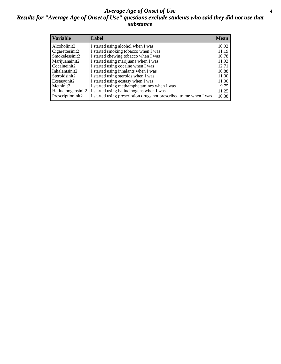### *Average Age of Onset of Use* **4** *Results for "Average Age of Onset of Use" questions exclude students who said they did not use that substance*

| <b>Variable</b>    | Label                                                              | <b>Mean</b> |
|--------------------|--------------------------------------------------------------------|-------------|
| Alcoholinit2       | I started using alcohol when I was                                 | 10.92       |
| Cigarettesinit2    | I started smoking tobacco when I was                               | 11.19       |
| Smokelessinit2     | I started chewing tobacco when I was                               | 10.78       |
| Marijuanainit2     | I started using marijuana when I was                               | 11.93       |
| Cocaineinit2       | I started using cocaine when I was                                 | 12.71       |
| Inhalantsinit2     | I started using inhalants when I was                               | 10.88       |
| Steroidsinit2      | I started using steroids when I was                                | 11.00       |
| Ecstasyinit2       | I started using ecstasy when I was                                 | 11.00       |
| Methinit2          | I started using methamphetamines when I was                        | 9.75        |
| Hallucinogensinit2 | I started using hallucinogens when I was                           | 11.25       |
| Prescriptioninit2  | I started using prescription drugs not prescribed to me when I was | 10.38       |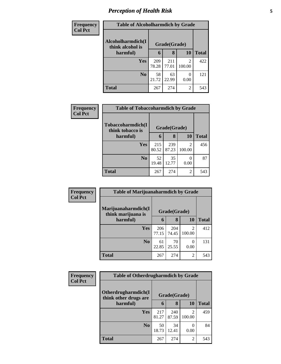# *Perception of Health Risk* **5**

| <b>Frequency</b> | <b>Table of Alcoholharmdich by Grade</b> |              |              |                           |              |
|------------------|------------------------------------------|--------------|--------------|---------------------------|--------------|
| <b>Col Pct</b>   | Alcoholharmdich(I<br>think alcohol is    | Grade(Grade) |              |                           |              |
|                  | harmful)                                 | 6            | 8            | 10                        | <b>Total</b> |
|                  | Yes                                      | 209<br>78.28 | 211<br>77.01 | 2<br>100.00               | 422          |
|                  | N <sub>0</sub>                           | 58<br>21.72  | 63<br>22.99  | $\mathbf{\Omega}$<br>0.00 | 121          |
|                  | <b>Total</b>                             | 267          | 274          | 2                         | 543          |

| <b>Frequency</b> | <b>Table of Tobaccoharmdich by Grade</b> |              |              |                          |              |
|------------------|------------------------------------------|--------------|--------------|--------------------------|--------------|
| <b>Col Pct</b>   | Tobaccoharmdich(I<br>think tobacco is    |              | Grade(Grade) |                          |              |
|                  | harmful)                                 | 6            | 8            | <b>10</b>                | <b>Total</b> |
|                  | Yes                                      | 215<br>80.52 | 239<br>87.23 | $\mathfrak{D}$<br>100.00 | 456          |
|                  | N <sub>0</sub>                           | 52<br>19.48  | 35<br>12.77  | $\theta$<br>0.00         | 87           |
|                  | <b>Total</b>                             | 267          | 274          | $\overline{2}$           | 543          |

| Frequency      | <b>Table of Marijuanaharmdich by Grade</b> |              |              |                                    |              |
|----------------|--------------------------------------------|--------------|--------------|------------------------------------|--------------|
| <b>Col Pct</b> | Marijuanaharmdich(I<br>think marijuana is  |              | Grade(Grade) |                                    |              |
|                | harmful)                                   | 6            | 8            | 10                                 | <b>Total</b> |
|                | <b>Yes</b>                                 | 206<br>77.15 | 204<br>74.45 | $\overline{\mathcal{L}}$<br>100.00 | 412          |
|                | N <sub>0</sub>                             | 61<br>22.85  | 70<br>25.55  | $\mathbf{\Omega}$<br>0.00          | 131          |
|                | <b>Total</b>                               | 267          | 274          | 2                                  | 543          |

| Frequency      | <b>Table of Otherdrugharmdich by Grade</b>   |              |              |                          |              |
|----------------|----------------------------------------------|--------------|--------------|--------------------------|--------------|
| <b>Col Pct</b> | Otherdrugharmdich(I<br>think other drugs are |              | Grade(Grade) |                          |              |
|                | harmful)                                     | 6            | 8            | <b>10</b>                | <b>Total</b> |
|                | Yes                                          | 217<br>81.27 | 240<br>87.59 | $\mathcal{D}$<br>100.00  | 459          |
|                | N <sub>0</sub>                               | 50<br>18.73  | 34<br>12.41  | $\left( \right)$<br>0.00 | 84           |
|                | <b>Total</b>                                 | 267          | 274          | 2                        | 543          |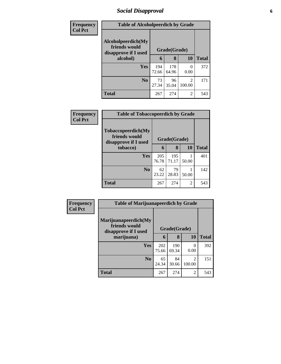# *Social Disapproval* **6**

| Frequency      | <b>Table of Alcoholpeerdich by Grade</b>                    |              |              |                          |              |  |  |  |
|----------------|-------------------------------------------------------------|--------------|--------------|--------------------------|--------------|--|--|--|
| <b>Col Pct</b> | Alcoholpeerdich(My<br>friends would<br>disapprove if I used | Grade(Grade) |              |                          |              |  |  |  |
|                | alcohol)                                                    | 6            | 8            | 10                       | <b>Total</b> |  |  |  |
|                | <b>Yes</b>                                                  | 194<br>72.66 | 178<br>64.96 | 0<br>0.00                | 372          |  |  |  |
|                | N <sub>0</sub>                                              | 73<br>27.34  | 96<br>35.04  | $\overline{2}$<br>100.00 | 171          |  |  |  |
|                | <b>Total</b>                                                | 267          | 274          | $\overline{2}$           | 543          |  |  |  |

| Frequency      | <b>Table of Tobaccopeerdich by Grade</b>                    |              |              |       |              |  |  |
|----------------|-------------------------------------------------------------|--------------|--------------|-------|--------------|--|--|
| <b>Col Pct</b> | Tobaccopeerdich(My<br>friends would<br>disapprove if I used | Grade(Grade) |              |       |              |  |  |
|                | tobacco)                                                    | 6            | 8            | 10    | <b>Total</b> |  |  |
|                | <b>Yes</b>                                                  | 205<br>76.78 | 195<br>71.17 | 50.00 | 401          |  |  |
|                | N <sub>0</sub>                                              | 62<br>23.22  | 79<br>28.83  | 50.00 | 142          |  |  |
|                | <b>Total</b>                                                | 267          | 274          | 2     | 543          |  |  |

| <b>Frequency</b><br><b>Col Pct</b> | <b>Table of Marijuanapeerdich by Grade</b>                    |              |              |                          |              |  |  |
|------------------------------------|---------------------------------------------------------------|--------------|--------------|--------------------------|--------------|--|--|
|                                    | Marijuanapeerdich(My<br>friends would<br>disapprove if I used | Grade(Grade) |              |                          |              |  |  |
|                                    | marijuana)                                                    | 6            | 8            | <b>10</b>                | <b>Total</b> |  |  |
|                                    | <b>Yes</b>                                                    | 202<br>75.66 | 190<br>69.34 | 0<br>0.00                | 392          |  |  |
|                                    | N <sub>0</sub>                                                | 65<br>24.34  | 84<br>30.66  | $\overline{c}$<br>100.00 | 151          |  |  |
|                                    | <b>Total</b>                                                  | 267          | 274          | 2                        | 543          |  |  |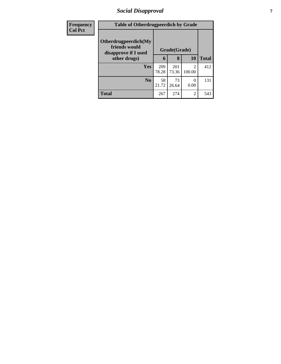# *Social Disapproval* **7**

| <b>Frequency</b> | <b>Table of Otherdrugpeerdich by Grade</b>                    |              |              |                          |              |
|------------------|---------------------------------------------------------------|--------------|--------------|--------------------------|--------------|
| <b>Col Pct</b>   | Otherdrugpeerdich(My<br>friends would<br>disapprove if I used | Grade(Grade) |              |                          |              |
|                  | other drugs)                                                  | 6            | 8            | <b>10</b>                | <b>Total</b> |
|                  | Yes                                                           | 209<br>78.28 | 201<br>73.36 | $\mathfrak{D}$<br>100.00 | 412          |
|                  | N <sub>0</sub>                                                | 58<br>21.72  | 73<br>26.64  | $\theta$<br>0.00         | 131          |
|                  | <b>Total</b>                                                  | 267          | 274          | 2                        | 543          |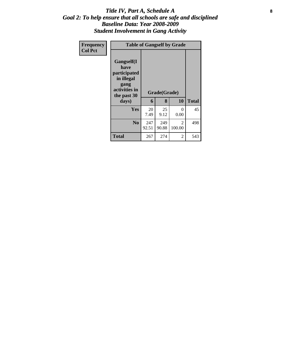### Title IV, Part A, Schedule A **8** *Goal 2: To help ensure that all schools are safe and disciplined Baseline Data: Year 2008-2009 Student Involvement in Gang Activity*

| Frequency<br><b>Col Pct</b> | <b>Table of Gangself by Grade</b>                                                                 |              |                   |             |              |  |  |
|-----------------------------|---------------------------------------------------------------------------------------------------|--------------|-------------------|-------------|--------------|--|--|
|                             | Gangself(I<br>have<br>participated<br>in illegal<br>gang<br>activities in<br>the past 30<br>days) | 6            | Grade(Grade)<br>8 | 10          | <b>Total</b> |  |  |
|                             | <b>Yes</b>                                                                                        | 20<br>7.49   | 25<br>9.12        | 0<br>0.00   | 45           |  |  |
|                             | N <sub>0</sub>                                                                                    | 247<br>92.51 | 249<br>90.88      | 2<br>100.00 | 498          |  |  |
|                             | <b>Total</b>                                                                                      | 267          | 274               | 2           | 543          |  |  |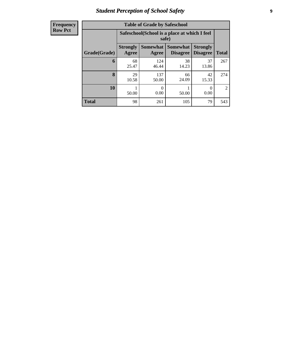# *Student Perception of School Safety* **9**

| <b>Frequency</b> |
|------------------|
| <b>Row Pct</b>   |

| <b>Table of Grade by Safeschool</b> |                          |                                                        |                                    |                                    |                |  |  |  |  |
|-------------------------------------|--------------------------|--------------------------------------------------------|------------------------------------|------------------------------------|----------------|--|--|--|--|
|                                     |                          | Safeschool (School is a place at which I feel<br>safe) |                                    |                                    |                |  |  |  |  |
| Grade(Grade)                        | <b>Strongly</b><br>Agree | <b>Somewhat</b><br>Agree                               | <b>Somewhat</b><br><b>Disagree</b> | <b>Strongly</b><br><b>Disagree</b> | <b>Total</b>   |  |  |  |  |
| 6                                   | 68<br>25.47              | 124<br>46.44                                           | 38<br>14.23                        | 37<br>13.86                        | 267            |  |  |  |  |
| 8                                   | 29<br>10.58              | 137<br>50.00                                           | 66<br>24.09                        | 42<br>15.33                        | 274            |  |  |  |  |
| 10                                  | 50.00                    | 0<br>0.00                                              | 50.00                              | 0<br>0.00                          | $\mathfrak{D}$ |  |  |  |  |
| <b>Total</b>                        | 98                       | 261                                                    | 105                                | 79                                 | 543            |  |  |  |  |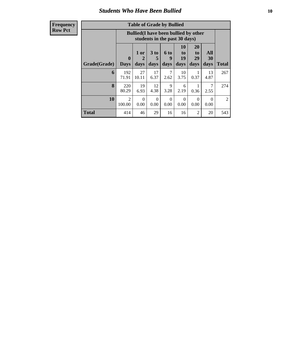### *Students Who Have Been Bullied* **10**

| <b>Table of Grade by Bullied</b> |                             |                                                                               |                              |                   |                        |                               |                   |                |  |
|----------------------------------|-----------------------------|-------------------------------------------------------------------------------|------------------------------|-------------------|------------------------|-------------------------------|-------------------|----------------|--|
|                                  |                             | <b>Bullied</b> (I have been bullied by other<br>students in the past 30 days) |                              |                   |                        |                               |                   |                |  |
| Grade(Grade)                     | $\mathbf{0}$<br><b>Days</b> | 1 or<br>2<br>days                                                             | 3 <sub>to</sub><br>5<br>days | 6 to<br>9<br>days | 10<br>to<br>19<br>days | <b>20</b><br>to<br>29<br>days | All<br>30<br>days | <b>Total</b>   |  |
| 6                                | 192<br>71.91                | 27<br>10.11                                                                   | 17<br>6.37                   | 7<br>2.62         | 10<br>3.75             | 0.37                          | 13<br>4.87        | 267            |  |
| 8                                | 220<br>80.29                | 19<br>6.93                                                                    | 12<br>4.38                   | 9<br>3.28         | 6<br>2.19              | 0.36                          | 7<br>2.55         | 274            |  |
| 10                               | $\overline{2}$<br>100.00    | $\Omega$<br>0.00                                                              | 0<br>0.00                    | $\Omega$<br>0.00  | $\Omega$<br>0.00       | $\Omega$<br>0.00              | $\Omega$<br>0.00  | $\overline{2}$ |  |
| <b>Total</b>                     | 414                         | 46                                                                            | 29                           | 16                | 16                     | $\overline{2}$                | 20                | 543            |  |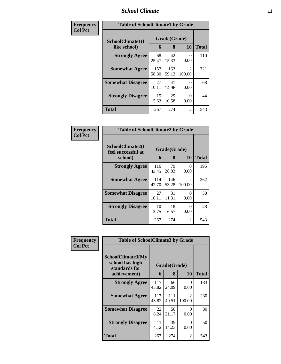### *School Climate* **11**

| Frequency      | <b>Table of SchoolClimate1 by Grade</b> |              |                   |                         |       |  |  |
|----------------|-----------------------------------------|--------------|-------------------|-------------------------|-------|--|--|
| <b>Col Pct</b> | SchoolClimate1(I<br>like school)        | 6            | Grade(Grade)<br>8 | 10                      | Total |  |  |
|                | <b>Strongly Agree</b>                   | 68<br>25.47  | 42<br>15.33       | 0<br>0.00               | 110   |  |  |
|                | <b>Somewhat Agree</b>                   | 157<br>58.80 | 162<br>59.12      | $\mathcal{L}$<br>100.00 | 321   |  |  |
|                | <b>Somewhat Disagree</b>                | 27<br>10.11  | 41<br>14.96       | 0<br>0.00               | 68    |  |  |
|                | <b>Strongly Disagree</b>                | 15<br>5.62   | 29<br>10.58       | 0<br>0.00               | 44    |  |  |
|                | <b>Total</b>                            | 267          | 274               | 2                       | 543   |  |  |

| Frequency      | <b>Table of SchoolClimate2 by Grade</b>           |              |                   |                         |              |
|----------------|---------------------------------------------------|--------------|-------------------|-------------------------|--------------|
| <b>Col Pct</b> | SchoolClimate2(I<br>feel successful at<br>school) | 6            | Grade(Grade)<br>8 | 10                      | <b>Total</b> |
|                | <b>Strongly Agree</b>                             | 116<br>43.45 | 79<br>28.83       | 0<br>0.00               | 195          |
|                | <b>Somewhat Agree</b>                             | 114<br>42.70 | 146<br>53.28      | $\mathcal{L}$<br>100.00 | 262          |
|                | <b>Somewhat Disagree</b>                          | 27<br>10.11  | 31<br>11.31       | ∩<br>0.00               | 58           |
|                | <b>Strongly Disagree</b>                          | 10<br>3.75   | 18<br>6.57        | ∩<br>0.00               | 28           |
|                | <b>Total</b>                                      | 267          | 274               | $\mathfrak{D}$          | 543          |

| Frequency<br><b>Col Pct</b> | <b>Table of SchoolClimate3 by Grade</b>                               |              |                   |                          |              |  |
|-----------------------------|-----------------------------------------------------------------------|--------------|-------------------|--------------------------|--------------|--|
|                             | SchoolClimate3(My<br>school has high<br>standards for<br>achievement) | 6            | Grade(Grade)<br>8 | 10                       | <b>Total</b> |  |
|                             | <b>Strongly Agree</b>                                                 | 117<br>43.82 | 66<br>24.09       | $\Omega$<br>0.00         | 183          |  |
|                             | <b>Somewhat Agree</b>                                                 | 117<br>43.82 | 111<br>40.51      | $\mathfrak{D}$<br>100.00 | 230          |  |
|                             | <b>Somewhat Disagree</b>                                              | 22<br>8.24   | 58<br>21.17       | 0<br>0.00                | 80           |  |
|                             | <b>Strongly Disagree</b>                                              | 11<br>4.12   | 39<br>14.23       | 0<br>0.00                | 50           |  |
|                             | <b>Total</b>                                                          | 267          | 274               | 2                        | 543          |  |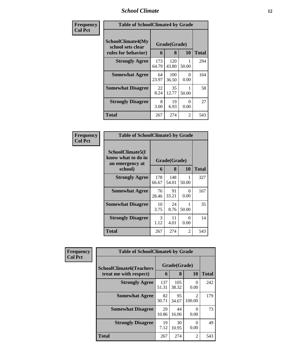### *School Climate* **12**

| Frequency      |                                                                      | <b>Table of SchoolClimate4 by Grade</b> |                   |           |              |  |  |  |
|----------------|----------------------------------------------------------------------|-----------------------------------------|-------------------|-----------|--------------|--|--|--|
| <b>Col Pct</b> | <b>SchoolClimate4(My</b><br>school sets clear<br>rules for behavior) | 6                                       | Grade(Grade)<br>8 | <b>10</b> | <b>Total</b> |  |  |  |
|                | <b>Strongly Agree</b>                                                | 173<br>64.79                            | 120<br>43.80      | 50.00     | 294          |  |  |  |
|                | <b>Somewhat Agree</b>                                                | 64<br>23.97                             | 100<br>36.50      | 0<br>0.00 | 164          |  |  |  |
|                | <b>Somewhat Disagree</b>                                             | 22<br>8.24                              | 35<br>12.77       | 50.00     | 58           |  |  |  |
|                | <b>Strongly Disagree</b>                                             | 8<br>3.00                               | 19<br>6.93        | 0<br>0.00 | 27           |  |  |  |
|                | <b>Total</b>                                                         | 267                                     | 274               | 2         | 543          |  |  |  |

#### **Frequency Col Pct**

| <b>Table of SchoolClimate5 by Grade</b>                              |              |                   |           |       |  |  |  |
|----------------------------------------------------------------------|--------------|-------------------|-----------|-------|--|--|--|
| SchoolClimate5(I<br>know what to do in<br>an emergency at<br>school) | 6            | Grade(Grade)<br>8 | 10        | Total |  |  |  |
|                                                                      |              |                   |           |       |  |  |  |
| <b>Strongly Agree</b>                                                | 178<br>66.67 | 148<br>54.01      | 50.00     | 327   |  |  |  |
| <b>Somewhat Agree</b>                                                | 76<br>28.46  | 91<br>33.21       | 0<br>0.00 | 167   |  |  |  |
| <b>Somewhat Disagree</b>                                             | 10<br>3.75   | 24<br>8.76        | 50.00     | 35    |  |  |  |
| <b>Strongly Disagree</b>                                             | 3<br>1.12    | 11<br>4.01        | 0<br>0.00 | 14    |  |  |  |
| Total                                                                | 267          | 274               | 2         | 543   |  |  |  |

| Frequency      | <b>Table of SchoolClimate6 by Grade</b> |              |              |                          |              |  |  |
|----------------|-----------------------------------------|--------------|--------------|--------------------------|--------------|--|--|
| <b>Col Pct</b> | <b>SchoolClimate6(Teachers</b>          | Grade(Grade) |              |                          |              |  |  |
|                | treat me with respect)                  | 6            | 8            | 10                       | <b>Total</b> |  |  |
|                | <b>Strongly Agree</b>                   | 137<br>51.31 | 105<br>38.32 | $\mathcal{O}$<br>0.00    | 242          |  |  |
|                | <b>Somewhat Agree</b>                   | 82<br>30.71  | 95<br>34.67  | $\mathfrak{D}$<br>100.00 | 179          |  |  |
|                | <b>Somewhat Disagree</b>                | 29<br>10.86  | 44<br>16.06  | $\mathcal{O}$<br>0.00    | 73           |  |  |
|                | <b>Strongly Disagree</b>                | 19<br>7.12   | 30<br>10.95  | 0.00                     | 49           |  |  |
|                | <b>Total</b>                            | 267          | 274          | 2                        | 543          |  |  |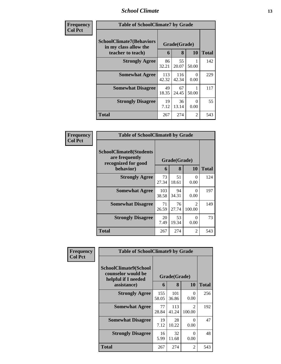### *School Climate* **13**

| <b>Frequency</b> | <b>Table of SchoolClimate7 by Grade</b>                                       |              |                   |                  |              |
|------------------|-------------------------------------------------------------------------------|--------------|-------------------|------------------|--------------|
| <b>Col Pct</b>   | <b>SchoolClimate7(Behaviors</b><br>in my class allow the<br>teacher to teach) | 6            | Grade(Grade)<br>8 | 10               | <b>Total</b> |
|                  | <b>Strongly Agree</b>                                                         | 86<br>32.21  | 55<br>20.07       | 50.00            | 142          |
|                  | <b>Somewhat Agree</b>                                                         | 113<br>42.32 | 116<br>42.34      | $\theta$<br>0.00 | 229          |
|                  | <b>Somewhat Disagree</b>                                                      | 49<br>18.35  | 67<br>24.45       | 50.00            | 117          |
|                  | <b>Strongly Disagree</b>                                                      | 19<br>7.12   | 36<br>13.14       | $\Omega$<br>0.00 | 55           |
|                  | <b>Total</b>                                                                  | 267          | 274               | 2                | 543          |

| Frequency      | <b>Table of SchoolClimate8 by Grade</b>                                              |              |                   |                          |              |
|----------------|--------------------------------------------------------------------------------------|--------------|-------------------|--------------------------|--------------|
| <b>Col Pct</b> | <b>SchoolClimate8(Students</b><br>are frequently<br>recognized for good<br>behavior) | 6            | Grade(Grade)<br>8 | <b>10</b>                | <b>Total</b> |
|                | <b>Strongly Agree</b>                                                                | 73           | 51                | 0                        | 124          |
|                |                                                                                      | 27.34        | 18.61             | 0.00                     |              |
|                | <b>Somewhat Agree</b>                                                                | 103<br>38.58 | 94<br>34.31       | $\Omega$<br>0.00         | 197          |
|                | <b>Somewhat Disagree</b>                                                             | 71<br>26.59  | 76<br>27.74       | $\mathfrak{D}$<br>100.00 | 149          |
|                | <b>Strongly Disagree</b>                                                             | 20<br>7.49   | 53<br>19.34       | $\Omega$<br>0.00         | 73           |
|                | Total                                                                                | 267          | 274               | 2                        | 543          |

| Frequency      | <b>Table of SchoolClimate9 by Grade</b>                            |              |                   |                                       |              |
|----------------|--------------------------------------------------------------------|--------------|-------------------|---------------------------------------|--------------|
| <b>Col Pct</b> | SchoolClimate9(School<br>counselor would be<br>helpful if I needed |              | Grade(Grade)<br>8 |                                       |              |
|                | assistance)                                                        | 6            |                   | 10                                    | <b>Total</b> |
|                | <b>Strongly Agree</b>                                              | 155<br>58.05 | 101<br>36.86      | 0<br>0.00                             | 256          |
|                | <b>Somewhat Agree</b>                                              | 77<br>28.84  | 113<br>41.24      | $\mathcal{D}_{\mathcal{L}}$<br>100.00 | 192          |
|                | <b>Somewhat Disagree</b>                                           | 19<br>7.12   | 28<br>10.22       | 0<br>0.00                             | 47           |
|                | <b>Strongly Disagree</b>                                           | 16<br>5.99   | 32<br>11.68       | 0<br>0.00                             | 48           |
|                | <b>Total</b>                                                       | 267          | 274               | 2                                     | 543          |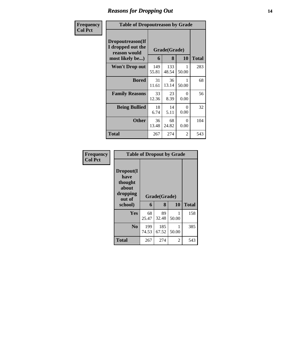### *Reasons for Dropping Out* **14**

| Frequency      | <b>Table of Dropoutreason by Grade</b>                                   |              |                   |           |              |
|----------------|--------------------------------------------------------------------------|--------------|-------------------|-----------|--------------|
| <b>Col Pct</b> | Dropoutreason(If<br>I dropped out the<br>reason would<br>most likely be) | 6            | Grade(Grade)<br>8 | <b>10</b> | <b>Total</b> |
|                | <b>Won't Drop out</b>                                                    | 149<br>55.81 | 133<br>48.54      | 50.00     | 283          |
|                | <b>Bored</b>                                                             | 31<br>11.61  | 36<br>13.14       | 50.00     | 68           |
|                | <b>Family Reasons</b>                                                    | 33<br>12.36  | 23<br>8.39        | 0<br>0.00 | 56           |
|                | <b>Being Bullied</b>                                                     | 18<br>6.74   | 14<br>5.11        | 0<br>0.00 | 32           |
|                | <b>Other</b>                                                             | 36<br>13.48  | 68<br>24.82       | 0<br>0.00 | 104          |
|                | Total                                                                    | 267          | 274               | 2         | 543          |

| Frequency      | <b>Table of Dropout by Grade</b>                                       |              |                   |            |              |  |  |  |
|----------------|------------------------------------------------------------------------|--------------|-------------------|------------|--------------|--|--|--|
| <b>Col Pct</b> | Dropout(I<br>have<br>thought<br>about<br>dropping<br>out of<br>school) | 6            | Grade(Grade)<br>8 | 10         | <b>Total</b> |  |  |  |
|                | Yes                                                                    | 68<br>25.47  | 89<br>32.48       | 50.00      | 158          |  |  |  |
|                | N <sub>0</sub>                                                         | 199          | 185               |            | 385          |  |  |  |
|                | <b>Total</b>                                                           | 74.53<br>267 | 67.52<br>274      | 50.00<br>2 | 543          |  |  |  |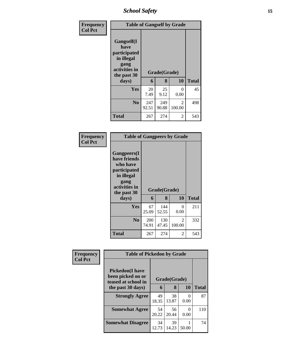*School Safety* **15**

| <b>Frequency</b> | <b>Table of Gangself by Grade</b>                                                                 |             |                   |                        |              |  |  |
|------------------|---------------------------------------------------------------------------------------------------|-------------|-------------------|------------------------|--------------|--|--|
| <b>Col Pct</b>   | Gangself(I<br>have<br>participated<br>in illegal<br>gang<br>activities in<br>the past 30<br>days) | 6           | Grade(Grade)<br>8 | 10                     | <b>Total</b> |  |  |
|                  | Yes                                                                                               | 20          | 25                | 0                      | 45           |  |  |
|                  | N <sub>0</sub>                                                                                    | 7.49<br>247 | 9.12<br>249       | 0.00<br>$\mathfrak{D}$ | 498          |  |  |
|                  |                                                                                                   | 92.51       | 90.88             | 100.00                 |              |  |  |
|                  | <b>Total</b>                                                                                      | 267         | 274               | 2                      | 543          |  |  |

#### **Frequency Col Pct**

| <b>Table of Gangpeers by Grade</b>                                                                     |              |              |                          |       |  |  |  |
|--------------------------------------------------------------------------------------------------------|--------------|--------------|--------------------------|-------|--|--|--|
| <b>Gangpeers</b> (I<br>have friends<br>who have<br>participated<br>in illegal<br>gang<br>activities in |              | Grade(Grade) |                          |       |  |  |  |
| the past 30                                                                                            |              |              |                          |       |  |  |  |
| days)                                                                                                  | 6            | 8            | 10                       | Total |  |  |  |
| Yes                                                                                                    | 67<br>25.09  | 144<br>52.55 | 0<br>0.00                | 211   |  |  |  |
| N <sub>0</sub>                                                                                         | 200<br>74.91 | 130<br>47.45 | $\mathfrak{D}$<br>100.00 | 332   |  |  |  |

| Frequency<br><b>Col Pct</b> | <b>Table of Pickedon by Grade</b>                                   |             |              |                           |              |
|-----------------------------|---------------------------------------------------------------------|-------------|--------------|---------------------------|--------------|
|                             | <b>Pickedon</b> (I have<br>been picked on or<br>teased at school in |             | Grade(Grade) |                           |              |
|                             | the past 30 days)                                                   | 6           | 8            | 10                        | <b>Total</b> |
|                             | <b>Strongly Agree</b>                                               | 49<br>18.35 | 38<br>13.87  | $\mathbf{\Omega}$<br>0.00 | 87           |
|                             | <b>Somewhat Agree</b>                                               | 54<br>20.22 | 56<br>20.44  | $\Omega$<br>0.00          | 110          |
|                             | <b>Somewhat Disagree</b>                                            | 34<br>12.73 | 39<br>14.23  | 50.00                     | 74           |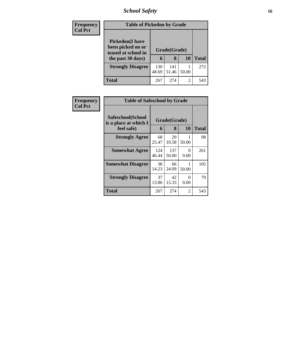# *School Safety* **16**

| <b>Frequency</b> | <b>Table of Pickedon by Grade</b>                                                        |              |                   |       |              |
|------------------|------------------------------------------------------------------------------------------|--------------|-------------------|-------|--------------|
| <b>Col Pct</b>   | <b>Pickedon</b> (I have<br>been picked on or<br>teased at school in<br>the past 30 days) | 6            | Grade(Grade)<br>8 | 10    | <b>Total</b> |
|                  | <b>Strongly Disagree</b>                                                                 | 130<br>48.69 | 141<br>51.46      | 50.00 | 272          |
|                  | Total                                                                                    | 267          | 274               | 2     | 543          |

| Frequency<br><b>Col Pct</b> | <b>Table of Safeschool by Grade</b>                      |              |                   |                |              |
|-----------------------------|----------------------------------------------------------|--------------|-------------------|----------------|--------------|
|                             | Safeschool(School<br>is a place at which I<br>feel safe) | 6            | Grade(Grade)<br>8 | <b>10</b>      | <b>Total</b> |
|                             | <b>Strongly Agree</b>                                    | 68<br>25.47  | 29<br>10.58       | 50.00          | 98           |
|                             | <b>Somewhat Agree</b>                                    | 124<br>46.44 | 137<br>50.00      | $_{0}$<br>0.00 | 261          |
|                             | <b>Somewhat Disagree</b>                                 | 38<br>14.23  | 66<br>24.09       | 50.00          | 105          |
|                             | <b>Strongly Disagree</b>                                 | 37<br>13.86  | 42<br>15.33       | 0<br>0.00      | 79           |
|                             | Total                                                    | 267          | 274               | 2              | 543          |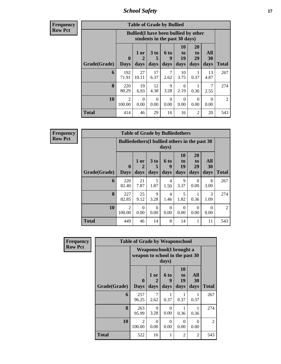*School Safety* **17**

**Frequency Row Pct**

| <b>Table of Grade by Bullied</b> |                             |                                                                                                               |                   |                   |                        |                               |                   |              |  |  |  |  |
|----------------------------------|-----------------------------|---------------------------------------------------------------------------------------------------------------|-------------------|-------------------|------------------------|-------------------------------|-------------------|--------------|--|--|--|--|
|                                  |                             | <b>Bullied</b> (I have been bullied by other<br>students in the past 30 days)                                 |                   |                   |                        |                               |                   |              |  |  |  |  |
| Grade(Grade)                     | $\mathbf{0}$<br><b>Days</b> | 1 or<br>$\overline{2}$<br>days                                                                                | 3 to<br>5<br>days | 6 to<br>9<br>days | 10<br>to<br>19<br>days | <b>20</b><br>to<br>29<br>days | All<br>30<br>days | <b>Total</b> |  |  |  |  |
| 6                                | 192<br>71.91                | 27<br>10.11                                                                                                   | 17<br>6.37        | 7<br>2.62         | 10<br>3.75             | 1<br>0.37                     | 13<br>4.87        | 267          |  |  |  |  |
| 8                                | 220<br>80.29                | 19<br>6.93                                                                                                    | 12<br>4.38        | 9<br>3.28         | 6<br>2.19              | 1<br>0.36                     | 7<br>2.55         | 274          |  |  |  |  |
| 10                               | $\overline{2}$<br>100.00    | $\Omega$<br>$\Omega$<br>$\Omega$<br>$\Omega$<br>$\Omega$<br>0<br>0.00<br>0.00<br>0.00<br>0.00<br>0.00<br>0.00 |                   |                   |                        |                               |                   |              |  |  |  |  |
| <b>Total</b>                     | 414                         | 46                                                                                                            | 29                | 16                | 16                     | 2                             | 20                | 543          |  |  |  |  |

| $\overline{J}$ | <b>Table of Grade by Bulliedothers</b> |                             |                                                         |              |                        |                                    |                        |                          |                |  |  |  |  |
|----------------|----------------------------------------|-----------------------------|---------------------------------------------------------|--------------|------------------------|------------------------------------|------------------------|--------------------------|----------------|--|--|--|--|
|                |                                        |                             | Bulliedothers (I bullied others in the past 30<br>days) |              |                        |                                    |                        |                          |                |  |  |  |  |
|                | Grade(Grade)                           | $\mathbf{0}$<br><b>Days</b> | 1 or<br>2<br>days                                       | 3 to<br>days | 6 to<br>9<br>days      | 10<br>t <sub>0</sub><br>19<br>days | 20<br>to<br>29<br>days | <b>All</b><br>30<br>days | <b>Total</b>   |  |  |  |  |
|                | 6                                      | 220<br>82.40                | 21<br>7.87                                              | 5<br>1.87    | 4<br>1.50              | 9<br>3.37                          | $\Omega$<br>0.00       | 8<br>3.00                | 267            |  |  |  |  |
|                | 8                                      | 227<br>82.85                | 25<br>9.12                                              | 9<br>3.28    | $\overline{4}$<br>1.46 | 5<br>1.82                          | 0.36                   | $\mathcal{R}$<br>1.09    | 274            |  |  |  |  |
|                | 10                                     | $\overline{2}$<br>100.00    | $\Omega$<br>0.00                                        | 0<br>0.00    | $\Omega$<br>0.00       | $\Omega$<br>0.00                   | $\Omega$<br>0.00       | $\Omega$<br>0.00         | $\overline{2}$ |  |  |  |  |
|                | <b>Total</b>                           | 449                         | 46                                                      | 14           | 8                      | 14                                 |                        | 11                       | 543            |  |  |  |  |

| Frequency      |              | <b>Table of Grade by Weaponschool</b> |                              |                          |                               |                   |              |
|----------------|--------------|---------------------------------------|------------------------------|--------------------------|-------------------------------|-------------------|--------------|
| <b>Row Pct</b> |              | weapon to school in the past 30       | Weaponschool(I brought a     | days)                    |                               |                   |              |
|                | Grade(Grade) | $\bf{0}$<br><b>Days</b>               | 1 or<br>$\mathbf{2}$<br>days | <b>6 to</b><br>9<br>days | <b>10</b><br>to<br>19<br>days | All<br>30<br>days | <b>Total</b> |
|                | 6            | 257<br>96.25                          | 7<br>2.62                    | 0.37                     | 0.37                          | 0.37              | 267          |
|                | 8            | 263<br>95.99                          | 9<br>3.28                    | $\Omega$<br>0.00         | 0.36                          | 0.36              | 274          |
|                | 10           | $\mathfrak{D}$<br>100.00              | $\Omega$<br>0.00             | $\Omega$<br>0.00         | 0<br>0.00                     | $\Omega$<br>0.00  | 2            |
|                | <b>Total</b> | 522                                   | 16                           | 1                        | $\overline{2}$                | 2                 | 543          |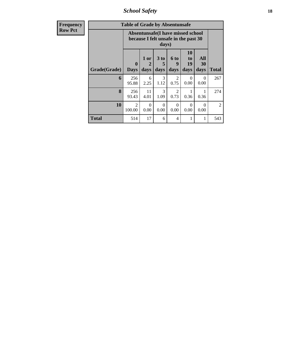*School Safety* **18**

| <b>Frequency</b> |              | <b>Table of Grade by Absentunsafe</b>                                              |                   |                   |                          |                        |                   |              |  |  |  |
|------------------|--------------|------------------------------------------------------------------------------------|-------------------|-------------------|--------------------------|------------------------|-------------------|--------------|--|--|--|
| <b>Row Pct</b>   |              | Absentunsafe(I have missed school<br>because I felt unsafe in the past 30<br>days) |                   |                   |                          |                        |                   |              |  |  |  |
|                  | Grade(Grade) | $\mathbf{0}$<br><b>Days</b>                                                        | 1 or<br>2<br>days | 3 to<br>5<br>days | <b>6 to</b><br>9<br>days | 10<br>to<br>19<br>days | All<br>30<br>days | <b>Total</b> |  |  |  |
|                  | 6            | 256<br>95.88                                                                       | 6<br>2.25         | 3<br>1.12         | $\overline{2}$<br>0.75   | $\Omega$<br>0.00       | $\Omega$<br>0.00  | 267          |  |  |  |
|                  | 8            | 256<br>93.43                                                                       | 11<br>4.01        | 3<br>1.09         | 2<br>0.73                | 0.36                   | 1<br>0.36         | 274          |  |  |  |
|                  | 10           | 2<br>100.00                                                                        | $\Omega$<br>0.00  | $\Omega$<br>0.00  | $\Omega$<br>0.00         | $\Omega$<br>0.00       | $\Omega$<br>0.00  | 2            |  |  |  |
|                  | <b>Total</b> | 514                                                                                | 17                | 6                 | 4                        | 1                      | 1                 | 543          |  |  |  |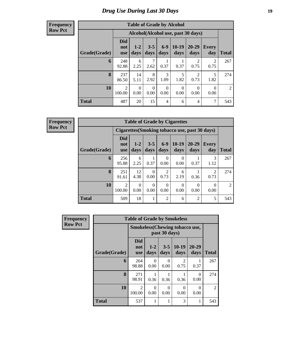# *Drug Use During Last 30 Days* **19**

### **Frequency Row Pct**

| <b>Table of Grade by Alcohol</b> |                                 |                                    |                  |                  |                  |                        |                  |       |  |  |  |  |
|----------------------------------|---------------------------------|------------------------------------|------------------|------------------|------------------|------------------------|------------------|-------|--|--|--|--|
|                                  |                                 | Alcohol(Alcohol use, past 30 days) |                  |                  |                  |                        |                  |       |  |  |  |  |
| Grade(Grade)                     | <b>Did</b><br>not<br><b>use</b> | $1 - 2$<br>days                    | $3 - 5$<br>days  | $6-9$<br>days    | $10-19$<br>days  | 20-29<br>days          | Every<br>day     | Total |  |  |  |  |
| 6                                | 248<br>92.88                    | 6<br>2.25                          | 7<br>2.62        | 0.37             | 0.37             | 2<br>0.75              | 2<br>0.75        | 267   |  |  |  |  |
| 8                                | 237<br>86.50                    | 14<br>5.11                         | 8<br>2.92        | 3<br>1.09        | 5<br>1.82        | $\mathfrak{D}$<br>0.73 | 5<br>1.82        | 274   |  |  |  |  |
| 10                               | $\overline{2}$<br>100.00        | $\Omega$<br>0.00                   | $\Omega$<br>0.00 | $\Omega$<br>0.00 | $\Omega$<br>0.00 | $\Omega$<br>0.00       | $\Omega$<br>0.00 | 2     |  |  |  |  |
| <b>Total</b>                     | 487                             | 20                                 | 15               | 4                | 6                | $\overline{4}$         | 7                | 543   |  |  |  |  |

| <b>Table of Grade by Cigarettes</b>            |                                 |                 |                 |                  |                 |                |                     |                |  |  |  |
|------------------------------------------------|---------------------------------|-----------------|-----------------|------------------|-----------------|----------------|---------------------|----------------|--|--|--|
| Cigarettes (Smoking tobacco use, past 30 days) |                                 |                 |                 |                  |                 |                |                     |                |  |  |  |
| Grade(Grade)                                   | <b>Did</b><br>not<br><b>use</b> | $1 - 2$<br>days | $3 - 5$<br>days | $6-9$<br>days    | $10-19$<br>days | 20-29<br>days  | <b>Every</b><br>day | <b>Total</b>   |  |  |  |
| 6                                              | 256<br>95.88                    | 6<br>2.25       | 0.37            | $\Omega$<br>0.00 | 0.00            | 0.37           | 3<br>1.12           | 267            |  |  |  |
| 8                                              | 251<br>91.61                    | 12<br>4.38      | 0.00            | 0.73             | 6<br>2.19       | 0.36           | 2<br>0.73           | 274            |  |  |  |
| 10                                             | 2<br>100.00                     | 0<br>0.00       | 0<br>0.00       | 0<br>0.00        | 0<br>0.00       | 0<br>0.00      | 0<br>0.00           | $\mathfrak{D}$ |  |  |  |
| <b>Total</b>                                   | 509                             | 18              |                 | 2                | 6               | $\overline{2}$ | 5                   | 543            |  |  |  |

| Frequency      | <b>Table of Grade by Smokeless</b> |                                 |                  |                  |                                       |                   |                |  |  |  |
|----------------|------------------------------------|---------------------------------|------------------|------------------|---------------------------------------|-------------------|----------------|--|--|--|
| <b>Row Pct</b> |                                    |                                 |                  | past 30 days)    | <b>Smokeless</b> (Chewing tobaccouse, |                   |                |  |  |  |
|                | Grade(Grade)                       | <b>Did</b><br>not<br><b>use</b> | $1 - 2$<br>days  | $3 - 5$<br>days  | $10-19$<br>days                       | $20 - 29$<br>days | <b>Total</b>   |  |  |  |
|                | 6                                  | 264<br>98.88                    | $\Omega$<br>0.00 | $\Omega$<br>0.00 | 2<br>0.75                             | 0.37              | 267            |  |  |  |
|                | 8                                  | 271<br>98.91                    | 0.36             | 0.36             | 0.36                                  | $\Omega$<br>0.00  | 274            |  |  |  |
|                | 10                                 | $\overline{c}$<br>100.00        | $\Omega$<br>0.00 | $\theta$<br>0.00 | 0<br>0.00                             | $\Omega$<br>0.00  | $\mathfrak{D}$ |  |  |  |
|                | <b>Total</b>                       | 537                             | 1                |                  | 3                                     | 1                 | 543            |  |  |  |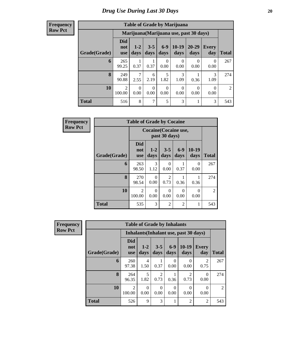| <b>Frequency</b> |
|------------------|
| <b>Row Pct</b>   |

| <b>Table of Grade by Marijuana</b> |                                 |                                         |                  |                  |                 |                   |              |                |  |  |  |  |  |
|------------------------------------|---------------------------------|-----------------------------------------|------------------|------------------|-----------------|-------------------|--------------|----------------|--|--|--|--|--|
|                                    |                                 | Marijuana (Marijuana use, past 30 days) |                  |                  |                 |                   |              |                |  |  |  |  |  |
| Grade(Grade)                       | <b>Did</b><br>not<br><b>use</b> | $1 - 2$<br>days                         | $3 - 5$<br>days  | $6-9$<br>days    | $10-19$<br>days | $20 - 29$<br>days | Every<br>day | <b>Total</b>   |  |  |  |  |  |
| 6                                  | 265<br>99.25                    | 0.37                                    | 0.37             | $\Omega$<br>0.00 | 0<br>0.00       | 0<br>0.00         | 0<br>0.00    | 267            |  |  |  |  |  |
| 8                                  | 249<br>90.88                    | 2.55                                    | 6<br>2.19        | 5<br>1.82        | 3<br>1.09       | 0.36              | 3<br>1.09    | 274            |  |  |  |  |  |
| 10                                 | $\overline{2}$<br>100.00        | 0<br>0.00                               | $\theta$<br>0.00 | $\Omega$<br>0.00 | 0<br>0.00       | 0<br>0.00         | 0<br>0.00    | $\mathfrak{D}$ |  |  |  |  |  |
| <b>Total</b>                       | 516                             | 8                                       | 7                | 5                | 3               |                   | 3            | 543            |  |  |  |  |  |

| <b>Frequency</b> | <b>Table of Grade by Cocaine</b> |                                 |                  |                                     |               |                  |                |  |  |  |  |  |
|------------------|----------------------------------|---------------------------------|------------------|-------------------------------------|---------------|------------------|----------------|--|--|--|--|--|
| <b>Row Pct</b>   |                                  | Cocaine (Cocaine use,           |                  |                                     |               |                  |                |  |  |  |  |  |
|                  | Grade(Grade)                     | <b>Did</b><br>not<br><b>use</b> | $1 - 2$<br>days  | $3 - 5$<br>days                     | $6-9$<br>days | $10-19$<br>days  | <b>Total</b>   |  |  |  |  |  |
|                  | 6                                | 263<br>98.50                    | 3<br>1.12        | ∩<br>0.00                           | 0.37          | $\Omega$<br>0.00 | 267            |  |  |  |  |  |
|                  | 8                                | 270<br>98.54                    | $\Omega$<br>0.00 | $\mathcal{D}_{\mathcal{A}}$<br>0.73 | 0.36          | 0.36             | 274            |  |  |  |  |  |
|                  | 10                               | 2<br>100.00                     | $\Omega$<br>0.00 | ∩<br>0.00                           | 0<br>0.00     | $\Omega$<br>0.00 | $\mathfrak{D}$ |  |  |  |  |  |
|                  | <b>Total</b>                     | 535                             | 3                | $\mathfrak{D}$                      | 2             | 1                | 543            |  |  |  |  |  |

| Frequency      |                                        | <b>Table of Grade by Inhalants</b> |               |                 |                  |                  |                     |                |  |  |  |  |
|----------------|----------------------------------------|------------------------------------|---------------|-----------------|------------------|------------------|---------------------|----------------|--|--|--|--|
| <b>Row Pct</b> | Inhalants (Inhalant use, past 30 days) |                                    |               |                 |                  |                  |                     |                |  |  |  |  |
|                | Grade(Grade)                           | <b>Did</b><br>not<br><b>use</b>    | $1-2$<br>days | $3 - 5$<br>days | $6-9$<br>days    | $10-19$<br>days  | <b>Every</b><br>day | <b>Total</b>   |  |  |  |  |
|                | 6                                      | 260<br>97.38                       | 4<br>1.50     | 0.37            | $\theta$<br>0.00 | $\Omega$<br>0.00 | 2<br>0.75           | 267            |  |  |  |  |
|                | 8                                      | 264<br>96.35                       | 5<br>1.82     | 2<br>0.73       | 0.36             | 2<br>0.73        | 0<br>0.00           | 274            |  |  |  |  |
|                | 10                                     | $\overline{2}$<br>100.00           | 0<br>0.00     | 0<br>0.00       | 0<br>0.00        | $\theta$<br>0.00 | 0<br>0.00           | $\overline{2}$ |  |  |  |  |
|                | <b>Total</b>                           | 526                                | 9             | 3               |                  | $\overline{2}$   | 2                   | 543            |  |  |  |  |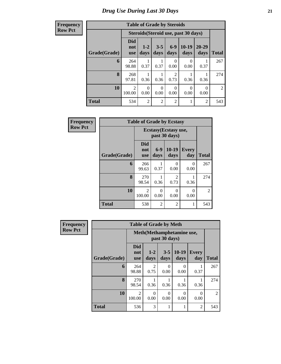| <b>Table of Grade by Steroids</b> |                                 |                                      |                  |                |                 |                   |              |  |  |  |  |  |  |
|-----------------------------------|---------------------------------|--------------------------------------|------------------|----------------|-----------------|-------------------|--------------|--|--|--|--|--|--|
|                                   |                                 | Steroids (Steroid use, past 30 days) |                  |                |                 |                   |              |  |  |  |  |  |  |
| Grade(Grade)                      | <b>Did</b><br>not<br><b>use</b> | $1 - 2$<br>days                      | $3 - 5$<br>days  | $6-9$<br>days  | $10-19$<br>days | $20 - 29$<br>days | <b>Total</b> |  |  |  |  |  |  |
| 6                                 | 264<br>98.88                    | 0.37                                 | 0.37             | 0<br>0.00      | 0<br>0.00       | 0.37              | 267          |  |  |  |  |  |  |
| 8                                 | 268<br>97.81                    | 0.36                                 | 0.36             | 2<br>0.73      | 0.36            | 0.36              | 274          |  |  |  |  |  |  |
| 10                                | 2<br>100.00                     | 0<br>0.00                            | $\Omega$<br>0.00 | 0<br>0.00      | 0<br>0.00       | 0<br>0.00         | 2            |  |  |  |  |  |  |
| <b>Total</b>                      | 534                             | $\overline{c}$                       | $\overline{2}$   | $\overline{2}$ | 1               | $\mathfrak{D}$    | 543          |  |  |  |  |  |  |

| <b>Frequency</b> | <b>Table of Grade by Ecstasy</b> |                                 |                                       |                        |                     |                |  |  |
|------------------|----------------------------------|---------------------------------|---------------------------------------|------------------------|---------------------|----------------|--|--|
| <b>Row Pct</b>   |                                  |                                 | Ecstasy(Ecstasy use,<br>past 30 days) |                        |                     |                |  |  |
|                  | Grade(Grade)                     | <b>Did</b><br>not<br><b>use</b> | $6-9$<br>days                         | $10-19$<br>days        | <b>Every</b><br>day | <b>Total</b>   |  |  |
|                  | 6                                | 266<br>99.63                    | 0.37                                  | 0<br>0.00              | 0<br>0.00           | 267            |  |  |
|                  | 8                                | 270<br>98.54                    | 0.36                                  | $\overline{c}$<br>0.73 | 0.36                | 274            |  |  |
|                  | 10                               | $\mathfrak{D}$<br>100.00        | 0<br>0.00                             | 0<br>0.00              | $\Omega$<br>0.00    | $\overline{2}$ |  |  |
|                  | <b>Total</b>                     | 538                             | 2                                     | $\overline{2}$         |                     | 543            |  |  |

| <b>Frequency</b> | <b>Table of Grade by Meth</b> |                                 |                                            |                  |                  |                     |                |  |  |
|------------------|-------------------------------|---------------------------------|--------------------------------------------|------------------|------------------|---------------------|----------------|--|--|
| <b>Row Pct</b>   |                               |                                 | Meth(Methamphetamine use,<br>past 30 days) |                  |                  |                     |                |  |  |
|                  | Grade(Grade)                  | <b>Did</b><br>not<br><b>use</b> | $1 - 2$<br>days                            | $3 - 5$<br>days  | $10-19$<br>days  | <b>Every</b><br>day | <b>Total</b>   |  |  |
|                  | 6                             | 264<br>98.88                    | $\overline{2}$<br>0.75                     | 0<br>0.00        | 0<br>0.00        | 0.37                | 267            |  |  |
|                  | 8                             | 270<br>98.54                    | 0.36                                       | 0.36             | 0.36             | 0.36                | 274            |  |  |
|                  | 10                            | $\mathfrak{D}$<br>100.00        | 0<br>0.00                                  | $\Omega$<br>0.00 | $\Omega$<br>0.00 | $\Omega$<br>0.00    | $\overline{2}$ |  |  |
|                  | <b>Total</b>                  | 536                             | 3                                          |                  | 1                | 2                   | 543            |  |  |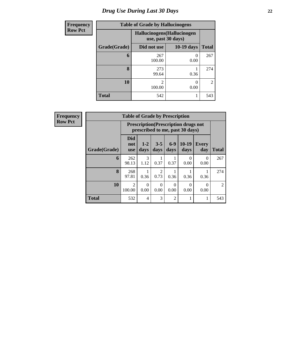# *Drug Use During Last 30 Days* **22**

| <b>Frequency</b> |              | <b>Table of Grade by Hallucinogens</b>            |                  |                |  |  |  |
|------------------|--------------|---------------------------------------------------|------------------|----------------|--|--|--|
| <b>Row Pct</b>   |              | Hallucinogens (Hallucinogen<br>use, past 30 days) |                  |                |  |  |  |
|                  | Grade(Grade) | Did not use                                       | $10-19$ days     | <b>Total</b>   |  |  |  |
|                  | 6            | 267<br>100.00                                     | $\left($<br>0.00 | 267            |  |  |  |
|                  | 8            | 273<br>99.64                                      | 0.36             | 274            |  |  |  |
|                  | 10           | ∍<br>100.00                                       | 0<br>0.00        | $\mathfrak{D}$ |  |  |  |
|                  | <b>Total</b> | 542                                               |                  | 543            |  |  |  |

| Frequency      | <b>Table of Grade by Prescription</b> |                                 |                                                                                |                 |                  |                  |                  |                |  |  |
|----------------|---------------------------------------|---------------------------------|--------------------------------------------------------------------------------|-----------------|------------------|------------------|------------------|----------------|--|--|
| <b>Row Pct</b> |                                       |                                 | <b>Prescription</b> (Prescription drugs not<br>prescribed to me, past 30 days) |                 |                  |                  |                  |                |  |  |
|                | Grade(Grade)                          | <b>Did</b><br>not<br><b>use</b> | $1-2$<br>days                                                                  | $3 - 5$<br>days | $6-9$<br>days    | $10-19$<br>days  | Every<br>day     | <b>Total</b>   |  |  |
|                | 6                                     | 262<br>98.13                    | 3<br>1.12                                                                      | 0.37            | 0.37             | $\theta$<br>0.00 | $\Omega$<br>0.00 | 267            |  |  |
|                | 8                                     | 268<br>97.81                    | 0.36                                                                           | 2<br>0.73       | 0.36             | 0.36             | 0.36             | 274            |  |  |
|                | 10                                    | 2<br>100.00                     | $\Omega$<br>0.00                                                               | 0<br>0.00       | $\Omega$<br>0.00 | $\Omega$<br>0.00 | $\Omega$<br>0.00 | $\overline{2}$ |  |  |
|                | <b>Total</b>                          | 532                             | 4                                                                              | 3               | 2                |                  | 1                | 543            |  |  |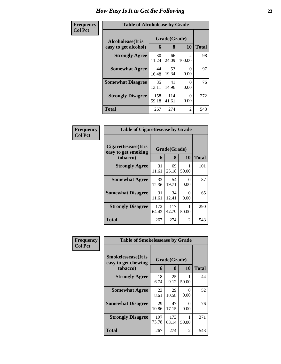| <b>Frequency</b> | <b>Table of Alcoholease by Grade</b>      |                   |              |                          |     |  |
|------------------|-------------------------------------------|-------------------|--------------|--------------------------|-----|--|
| <b>Col Pct</b>   | Alcoholease(It is<br>easy to get alcohol) | Grade(Grade)<br>6 | <b>Total</b> |                          |     |  |
|                  | <b>Strongly Agree</b>                     | 30<br>11.24       | 66<br>24.09  | $\mathfrak{D}$<br>100.00 | 98  |  |
|                  | <b>Somewhat Agree</b>                     | 44<br>16.48       | 53<br>19.34  | 0<br>0.00                | 97  |  |
|                  | <b>Somewhat Disagree</b>                  | 35<br>13.11       | 41<br>14.96  | 0<br>0.00                | 76  |  |
|                  | <b>Strongly Disagree</b>                  | 158<br>59.18      | 114<br>41.61 | 0<br>0.00                | 272 |  |
|                  | <b>Total</b>                              | 267               | 274          | $\overline{c}$           | 543 |  |

| Frequency      | <b>Table of Cigarettesease by Grade</b>     |                                                 |              |                  |              |
|----------------|---------------------------------------------|-------------------------------------------------|--------------|------------------|--------------|
| <b>Col Pct</b> | Cigarettesease(It is<br>easy to get smoking | Grade(Grade)<br><b>10</b><br>tobacco)<br>8<br>6 |              |                  | <b>Total</b> |
|                | <b>Strongly Agree</b>                       | 31<br>11.61                                     | 69<br>25.18  | 50.00            | 101          |
|                | <b>Somewhat Agree</b>                       | 33<br>12.36                                     | 54<br>19.71  | 0<br>0.00        | 87           |
|                | <b>Somewhat Disagree</b>                    | 31<br>11.61                                     | 34<br>12.41  | $\Omega$<br>0.00 | 65           |
|                | <b>Strongly Disagree</b>                    | 172<br>64.42                                    | 117<br>42.70 | 50.00            | 290          |
|                | <b>Total</b>                                | 267                                             | 274          | 2                | 543          |

| Frequency      | <b>Table of Smokelessease by Grade</b>             |              |              |           |              |
|----------------|----------------------------------------------------|--------------|--------------|-----------|--------------|
| <b>Col Pct</b> | <b>Smokelessease</b> (It is<br>easy to get chewing | Grade(Grade) |              |           |              |
|                | tobacco)                                           | 6            | 8            | 10        | <b>Total</b> |
|                | <b>Strongly Agree</b>                              | 18<br>6.74   | 25<br>9.12   | 50.00     | 44           |
|                | <b>Somewhat Agree</b>                              | 23<br>8.61   | 29<br>10.58  | 0<br>0.00 | 52           |
|                | <b>Somewhat Disagree</b>                           | 29<br>10.86  | 47<br>17.15  | 0<br>0.00 | 76           |
|                | <b>Strongly Disagree</b>                           | 197<br>73.78 | 173<br>63.14 | 50.00     | 371          |
|                | Total                                              | 267          | 274          | 2         | 543          |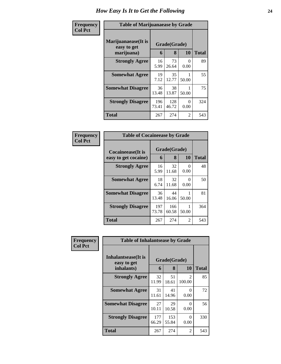#### **Frequency Col Pct**

| <b>Table of Marijuanaease by Grade</b>                        |              |              |               |              |  |  |  |
|---------------------------------------------------------------|--------------|--------------|---------------|--------------|--|--|--|
| Marijuanaease(It is<br>Grade(Grade)<br>easy to get<br>10<br>8 |              |              |               |              |  |  |  |
| marijuana)                                                    | 6            |              |               | <b>Total</b> |  |  |  |
| <b>Strongly Agree</b>                                         | 16<br>5.99   | 73<br>26.64  | 0<br>0.00     | 89           |  |  |  |
| <b>Somewhat Agree</b>                                         | 19<br>7.12   | 35<br>12.77  | 50.00         | 55           |  |  |  |
| <b>Somewhat Disagree</b>                                      | 36<br>13.48  | 38<br>13.87  | 50.00         | 75           |  |  |  |
| <b>Strongly Disagree</b>                                      | 196<br>73.41 | 128<br>46.72 | 0<br>0.00     | 324          |  |  |  |
| <b>Total</b>                                                  | 267          | 274          | $\mathcal{L}$ | 543          |  |  |  |

#### **Frequency Col Pct**

| <b>Table of Cocaineease by Grade</b>              |              |                         |                  |     |  |  |  |  |
|---------------------------------------------------|--------------|-------------------------|------------------|-----|--|--|--|--|
| <b>Cocaineease</b> (It is<br>easy to get cocaine) | 6            | Grade(Grade)<br>8<br>10 |                  |     |  |  |  |  |
| <b>Strongly Agree</b>                             | 16<br>5.99   | 32<br>11.68             | $_{0}$<br>0.00   | 48  |  |  |  |  |
| <b>Somewhat Agree</b>                             | 18<br>6.74   | 32<br>11.68             | $\Omega$<br>0.00 | 50  |  |  |  |  |
| <b>Somewhat Disagree</b>                          | 36<br>13.48  | 44<br>16.06             | 50.00            | 81  |  |  |  |  |
| <b>Strongly Disagree</b>                          | 197<br>73.78 | 166<br>60.58            | 50.00            | 364 |  |  |  |  |
| <b>Total</b>                                      | 267          | 274                     | 2                | 543 |  |  |  |  |

| Frequency      | <b>Table of Inhalantsease by Grade</b> |              |              |                          |              |  |  |
|----------------|----------------------------------------|--------------|--------------|--------------------------|--------------|--|--|
| <b>Col Pct</b> | Inhalantsease(It is<br>easy to get     |              | Grade(Grade) |                          |              |  |  |
|                | inhalants)                             | 6            | 8            | <b>10</b>                | <b>Total</b> |  |  |
|                | <b>Strongly Agree</b>                  | 32<br>11.99  | 51<br>18.61  | $\mathfrak{D}$<br>100.00 | 85           |  |  |
|                | <b>Somewhat Agree</b>                  | 31<br>11.61  | 41<br>14.96  | $\Omega$<br>0.00         | 72           |  |  |
|                | <b>Somewhat Disagree</b>               | 27<br>10.11  | 29<br>10.58  | 0<br>0.00                | 56           |  |  |
|                | <b>Strongly Disagree</b>               | 177<br>66.29 | 153<br>55.84 | 0<br>0.00                | 330          |  |  |
|                | <b>Total</b>                           | 267          | 274          | 2                        | 543          |  |  |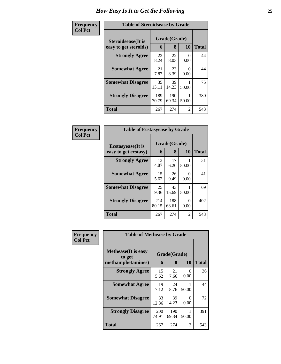#### **Frequency Col Pct**

| <b>Table of Steroidsease by Grade</b> |              |              |                           |              |  |  |  |
|---------------------------------------|--------------|--------------|---------------------------|--------------|--|--|--|
| Grade(Grade)<br>Steroidsease(It is    |              |              |                           |              |  |  |  |
| easy to get steroids)                 | 6            | 8            | 10                        | <b>Total</b> |  |  |  |
| <b>Strongly Agree</b>                 | 22<br>8.24   | 22<br>8.03   | $\mathbf{\Omega}$<br>0.00 | 44           |  |  |  |
| <b>Somewhat Agree</b>                 | 21<br>7.87   | 23<br>8.39   | 0<br>0.00                 | 44           |  |  |  |
| <b>Somewhat Disagree</b>              | 35<br>13.11  | 39<br>14.23  | 50.00                     | 75           |  |  |  |
| <b>Strongly Disagree</b>              | 189<br>70.79 | 190<br>69.34 | 50.00                     | 380          |  |  |  |
| Total                                 | 267          | 274          | 2                         | 543          |  |  |  |

| Frequency      | <b>Table of Ecstasyease by Grade</b>              |              |                   |                  |              |  |
|----------------|---------------------------------------------------|--------------|-------------------|------------------|--------------|--|
| <b>Col Pct</b> | <b>Ecstasyease</b> (It is<br>easy to get ecstasy) | 6            | Grade(Grade)<br>8 | 10               | <b>Total</b> |  |
|                | <b>Strongly Agree</b>                             | 13<br>4.87   | 17<br>6.20        | 50.00            | 31           |  |
|                | <b>Somewhat Agree</b>                             | 15<br>5.62   | 26<br>9.49        | $\Omega$<br>0.00 | 41           |  |
|                | <b>Somewhat Disagree</b>                          | 25<br>9.36   | 43<br>15.69       | 50.00            | 69           |  |
|                | <b>Strongly Disagree</b>                          | 214<br>80.15 | 188<br>68.61      | 0<br>0.00        | 402          |  |
|                | <b>Total</b>                                      | 267          | 274               | 2                | 543          |  |

| Frequency<br><b>Col Pct</b> | <b>Table of Methease by Grade</b>                          |                     |                   |           |              |  |  |  |  |  |
|-----------------------------|------------------------------------------------------------|---------------------|-------------------|-----------|--------------|--|--|--|--|--|
|                             | <b>Methease</b> (It is easy<br>to get<br>methamphetamines) | 6                   | Grade(Grade)<br>8 | 10        | <b>Total</b> |  |  |  |  |  |
|                             | <b>Strongly Agree</b>                                      | 15<br>5.62          | 21<br>7.66        | 0<br>0.00 | 36           |  |  |  |  |  |
|                             | <b>Somewhat Agree</b>                                      | 19<br>7.12          | 24<br>8.76        | 50.00     | 44           |  |  |  |  |  |
|                             | <b>Somewhat Disagree</b>                                   | 33<br>12.36         | 39<br>14.23       | ∩<br>0.00 | 72           |  |  |  |  |  |
|                             | <b>Strongly Disagree</b>                                   | <b>200</b><br>74.91 | 190<br>69.34      | 50.00     | 391          |  |  |  |  |  |
|                             | <b>Total</b>                                               | 267                 | 274               | 2         | 543          |  |  |  |  |  |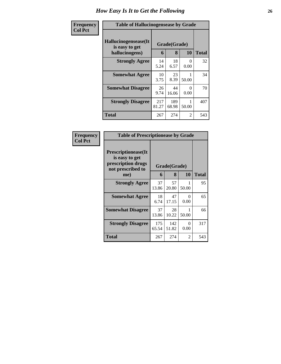| <b>Frequency</b> | <b>Table of Hallucinogensease by Grade</b>               |              |                   |           |              |
|------------------|----------------------------------------------------------|--------------|-------------------|-----------|--------------|
| <b>Col Pct</b>   | Hallucinogensease(It<br>is easy to get<br>hallucinogens) | 6            | Grade(Grade)<br>8 | 10        | <b>Total</b> |
|                  | <b>Strongly Agree</b>                                    | 14<br>5.24   | 18<br>6.57        | 0<br>0.00 | 32           |
|                  | <b>Somewhat Agree</b>                                    | 10<br>3.75   | 23<br>8.39        | 50.00     | 34           |
|                  | <b>Somewhat Disagree</b>                                 | 26<br>9.74   | 44<br>16.06       | 0<br>0.00 | 70           |
|                  | <b>Strongly Disagree</b>                                 | 217<br>81.27 | 189<br>68.98      | 50.00     | 407          |
|                  | Total                                                    | 267          | 274               | 2         | 543          |

| Frequency<br>  Col Pct |
|------------------------|
|                        |

| <b>Table of Prescriptionease by Grade</b>                                                |              |              |                  |       |
|------------------------------------------------------------------------------------------|--------------|--------------|------------------|-------|
| <b>Prescriptionease</b> (It<br>is easy to get<br>prescription drugs<br>not prescribed to | Grade(Grade) |              |                  |       |
| me)                                                                                      | 6            | 8            | 10               | Total |
| <b>Strongly Agree</b>                                                                    | 37<br>13.86  | 57<br>20.80  | 50.00            | 95    |
| <b>Somewhat Agree</b>                                                                    | 18<br>6.74   | 47<br>17.15  | $\Omega$<br>0.00 | 65    |
| <b>Somewhat Disagree</b>                                                                 | 37<br>13.86  | 28<br>10.22  | 1<br>50.00       | 66    |
| <b>Strongly Disagree</b>                                                                 | 175<br>65.54 | 142<br>51.82 | 0<br>0.00        | 317   |
| Total                                                                                    | 267          | 274          | 2                | 543   |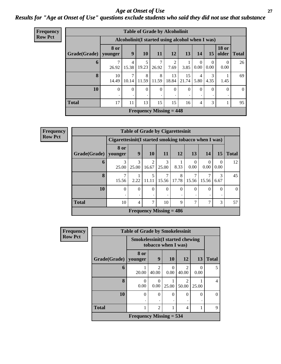### *Age at Onset of Use* **27** *Results for "Age at Onset of Use" questions exclude students who said they did not use that substance*

| Frequency      |                                                  |             |               |            | <b>Table of Grade by Alcoholinit</b>        |             |              |                        |                  |                       |                |
|----------------|--------------------------------------------------|-------------|---------------|------------|---------------------------------------------|-------------|--------------|------------------------|------------------|-----------------------|----------------|
| <b>Row Pct</b> | Alcoholinit (I started using alcohol when I was) |             |               |            |                                             |             |              |                        |                  |                       |                |
|                | Grade(Grade)   younger                           | 8 or        | 9             | 10         | 11                                          | 12          | 13           | 14                     | 15               | <b>18 or</b><br>older | <b>Total</b>   |
|                | 6                                                | 26.92       | 4<br>15.38    | 5<br>19.23 | 7<br>26.92                                  | 7.69        | 3.85         | $\Omega$<br>$0.00\,$   | $\Omega$<br>0.00 | $\Omega$<br>0.00      | 26             |
|                | 8                                                | 10<br>14.49 | 7<br>10.14    | 8<br>11.59 | 8<br>11.59                                  | 13<br>18.84 | 15<br>21.74  | $\overline{4}$<br>5.80 | 3<br>4.35        | 1.45                  | 69             |
|                | 10                                               | $\Omega$    | $\Omega$<br>٠ | $\Omega$   | $\Omega$                                    | $\Omega$    | $\mathbf{0}$ | $\Omega$               | $\Omega$         | $\theta$<br>٠         | $\overline{0}$ |
|                | <b>Total</b>                                     | 17          | 11            | 13         | 15                                          | 15          | 16           | $\overline{4}$         | 3                | 1                     | 95             |
|                |                                                  |             |               |            | <b>Frequency Missing <math>= 448</math></b> |             |              |                        |                  |                       |                |

| <b>Frequency</b> |                        |                                                       |                           |            |            | <b>Table of Grade by Cigarettesinit</b> |                  |                  |                  |              |
|------------------|------------------------|-------------------------------------------------------|---------------------------|------------|------------|-----------------------------------------|------------------|------------------|------------------|--------------|
| <b>Row Pct</b>   |                        | Cigarettesinit (I started smoking tobacco when I was) |                           |            |            |                                         |                  |                  |                  |              |
|                  | Grade(Grade)   younger | 8 or                                                  | 9                         | <b>10</b>  | 11         | 12                                      | 13               | 14               | 15               | <b>Total</b> |
|                  | 6                      | 3<br>25.00                                            | 3<br>25.00                | 2<br>16.67 | 3<br>25.00 | 8.33                                    | $\Omega$<br>0.00 | $\theta$<br>0.00 | $\Omega$<br>0.00 | 12           |
|                  | 8                      | 15.56                                                 | 2.22                      | 11.11      | 15.56      | 8<br>17.78                              | 15.56            | 15.56            | 3<br>6.67        | 45           |
|                  | 10                     | $\Omega$                                              | $\overline{0}$<br>٠       | $\Omega$   | $\Omega$   | $\overline{0}$<br>٠                     | 0                | $\Omega$         | $\Omega$         | $\Omega$     |
|                  | <b>Total</b>           | 10                                                    | $\overline{4}$            | ┑          | 10         | 9                                       | ┑                |                  | 3                | 57           |
|                  |                        |                                                       | Frequency Missing $= 486$ |            |            |                                         |                  |                  |                  |              |

| <b>Frequency</b> |              | <b>Table of Grade by Smokelessinit</b> |                         |                     |                         |                  |              |  |  |  |  |
|------------------|--------------|----------------------------------------|-------------------------|---------------------|-------------------------|------------------|--------------|--|--|--|--|
| <b>Row Pct</b>   |              | <b>Smokelessinit(I started chewing</b> |                         | tobacco when I was) |                         |                  |              |  |  |  |  |
|                  | Grade(Grade) | 8 or<br>younger                        | 9                       | <b>10</b>           | 12                      | 13               | <b>Total</b> |  |  |  |  |
|                  | 6            | 20.00                                  | $\mathfrak{D}$<br>40.00 | $\Omega$<br>0.00    | $\mathfrak{D}$<br>40.00 | $\theta$<br>0.00 | 5            |  |  |  |  |
|                  | 8            | $\Omega$<br>0.00                       | 0<br>0.00               | 25.00               | $\mathfrak{D}$<br>50.00 | 25.00            | 4            |  |  |  |  |
|                  | 10           | 0                                      | $\theta$<br>٠           | $\theta$            | $\Omega$                | $\theta$<br>٠    | 0            |  |  |  |  |
|                  | <b>Total</b> |                                        | $\overline{2}$          | 1                   | 4                       | 1                | 9            |  |  |  |  |
|                  |              | Frequency Missing $=$ 534              |                         |                     |                         |                  |              |  |  |  |  |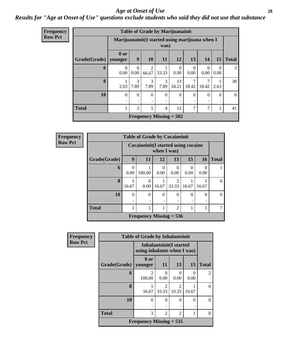#### *Age at Onset of Use* **28**

### *Results for "Age at Onset of Use" questions exclude students who said they did not use that substance*

| <b>Frequency</b> |              |                                                 |                        |            |                | <b>Table of Grade by Marijuanainit</b>      |                  |                  |                  |              |
|------------------|--------------|-------------------------------------------------|------------------------|------------|----------------|---------------------------------------------|------------------|------------------|------------------|--------------|
| <b>Row Pct</b>   |              | Marijuanainit (I started using marijuana when I |                        |            | was)           |                                             |                  |                  |                  |              |
|                  | Grade(Grade) | <b>8 or</b><br>vounger                          | 9                      | <b>10</b>  | <b>11</b>      | 12                                          | 13               | 14               | 15               | <b>Total</b> |
|                  | 6            | $\theta$<br>0.00                                | $\overline{0}$<br>0.00 | 2<br>66.67 | 33.33          | $\Omega$<br>0.00                            | $\Omega$<br>0.00 | $\Omega$<br>0.00 | $\Omega$<br>0.00 | 3            |
|                  | 8            | 2.63                                            | 3<br>7.89              | 3<br>7.89  | 3<br>7.89      | 13<br>34.21                                 | 18.42            | 7<br>18.42       | 2.63             | 38           |
|                  | 10           | $\Omega$                                        | $\Omega$<br>٠          | $\Omega$   | $\Omega$       | $\Omega$                                    | $\Omega$         | $\Omega$         | $\Omega$         | $\theta$     |
|                  | <b>Total</b> |                                                 | 3                      | 5          | $\overline{4}$ | 13                                          | $\tau$           | 7                | 1                | 41           |
|                  |              |                                                 |                        |            |                | <b>Frequency Missing = <math>502</math></b> |                  |                  |                  |              |

**Frequency Row Pct**

| <b>Table of Grade by Cocaineinit</b> |       |                                                     |                           |                         |          |       |   |  |  |  |  |
|--------------------------------------|-------|-----------------------------------------------------|---------------------------|-------------------------|----------|-------|---|--|--|--|--|
|                                      |       | Cocaineinit (I started using cocaine<br>when I was) |                           |                         |          |       |   |  |  |  |  |
| Grade(Grade)                         | 9     | 13<br>15<br>16<br>12<br><b>Total</b><br>11          |                           |                         |          |       |   |  |  |  |  |
| 6                                    | 0.00  | 100.00                                              | $\mathbf{\Omega}$<br>0.00 | 0.00                    | 0.00     | 0.00  |   |  |  |  |  |
| 8                                    | 16.67 | $\mathbf{\Omega}$<br>0.00                           | 16.67                     | $\mathfrak{D}$<br>33.33 | 16.67    | 16.67 | 6 |  |  |  |  |
| 10                                   | 0     | 0                                                   | 0                         | 0                       | $\Omega$ | 0     |   |  |  |  |  |
| <b>Total</b>                         |       |                                                     |                           | $\overline{2}$          |          |       |   |  |  |  |  |
|                                      |       | Frequency Missing $= 536$                           |                           |                         |          |       |   |  |  |  |  |

| Frequency      |              | <b>Table of Grade by Inhalantsinit</b> |                         |                         |          |                |
|----------------|--------------|----------------------------------------|-------------------------|-------------------------|----------|----------------|
| <b>Row Pct</b> |              | using inhalants when I was)            | Inhalantsinit(I started |                         |          |                |
|                | Grade(Grade) | 8 or<br>younger                        | 11                      | 13                      | 15       | <b>Total</b>   |
|                | 6            | $\mathfrak{D}$<br>100.00               | 0<br>0.00               | $\Omega$<br>0.00        | 0.00     | $\mathfrak{D}$ |
|                | 8            | 16.67                                  | $\mathfrak{D}$<br>33.33 | $\mathfrak{D}$<br>33.33 | 16.67    | 6              |
|                | 10           | $\Omega$                               | $\theta$                | $\Omega$                | $\Omega$ | 0              |
|                | <b>Total</b> | 3                                      | $\overline{2}$          | 2                       |          | 8              |
|                |              | Frequency Missing $= 535$              |                         |                         |          |                |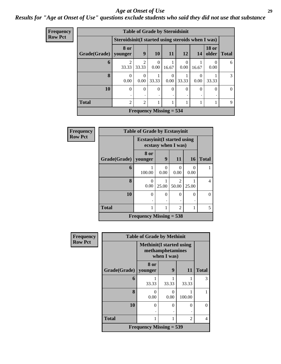#### *Age at Onset of Use* **29**

*Results for "Age at Onset of Use" questions exclude students who said they did not use that substance*

| Frequency      |              |                                                   | <b>Table of Grade by Steroidsinit</b> |                  |           |                  |          |                       |                |
|----------------|--------------|---------------------------------------------------|---------------------------------------|------------------|-----------|------------------|----------|-----------------------|----------------|
| <b>Row Pct</b> |              | Steroidsinit(I started using steroids when I was) |                                       |                  |           |                  |          |                       |                |
|                | Grade(Grade) | 8 or<br>younger                                   | 9                                     | 10               | <b>11</b> | 12               | 14       | <b>18 or</b><br>older | <b>Total</b>   |
|                | 6            | 33.33                                             | $\mathfrak{D}$<br>33.33               | $\Omega$<br>0.00 | 16.67     | $\Omega$<br>0.00 | 16.67    | $\Omega$<br>0.00      | 6              |
|                | 8            | $\Omega$<br>0.00                                  | 0<br>0.00                             | 33.33            | 0<br>0.00 | 33.33            | 0.00     | 33.33                 | $\mathfrak{Z}$ |
|                | 10           | $\Omega$                                          | $\theta$                              | $\Omega$         | $\theta$  | $\theta$         | $\Omega$ | $\Omega$              | $\overline{0}$ |
|                | <b>Total</b> | $\overline{2}$                                    | $\overline{2}$                        |                  | 1         |                  |          |                       | 9              |
|                |              |                                                   | Frequency Missing $=$ 534             |                  |           |                  |          |                       |                |

| Frequency      |              | <b>Table of Grade by Ecstasyinit</b>        |           |                     |           |              |
|----------------|--------------|---------------------------------------------|-----------|---------------------|-----------|--------------|
| <b>Row Pct</b> |              | <b>Ecstasyinit</b> (I started using         |           | ecstasy when I was) |           |              |
|                | Grade(Grade) | 8 or<br>younger                             | 9         | 11                  | 16        | <b>Total</b> |
|                | 6            | 100.00                                      | 0<br>0.00 | $\Omega$<br>0.00    | 0<br>0.00 |              |
|                | 8            | ∩<br>0.00                                   | 25.00     | 50.00               | 25.00     | 4            |
|                | 10           | $\Omega$                                    | $\theta$  | 0                   | 0         | 0            |
|                | <b>Total</b> |                                             | 1         | $\overline{2}$      |           | 5            |
|                |              | <b>Frequency Missing = <math>538</math></b> |           |                     |           |              |

| <b>Frequency</b> | <b>Table of Grade by Methinit</b> |                                  |                                 |           |              |  |  |  |
|------------------|-----------------------------------|----------------------------------|---------------------------------|-----------|--------------|--|--|--|
| <b>Row Pct</b>   |                                   | <b>Methinit</b> (I started using | methamphetamines<br>when I was) |           |              |  |  |  |
|                  | Grade(Grade)                      | 8 or<br>younger                  | 9                               | <b>11</b> | <b>Total</b> |  |  |  |
|                  | 6                                 | 33.33                            | 33.33                           | 33.33     | 3            |  |  |  |
|                  | 8                                 | 0<br>0.00                        | 0<br>0.00                       | 100.00    |              |  |  |  |
|                  | 10                                | 0                                | 0                               | 0         | $\Omega$     |  |  |  |
|                  | <b>Total</b>                      |                                  |                                 | 2         | 4            |  |  |  |
|                  | Frequency Missing $=$ 539         |                                  |                                 |           |              |  |  |  |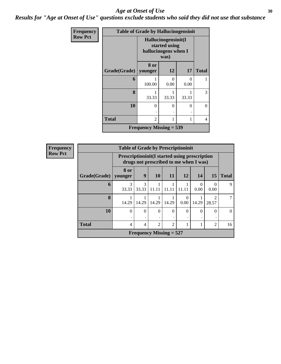#### Age at Onset of Use **30**

*Results for "Age at Onset of Use" questions exclude students who said they did not use that substance*

| Frequency      | <b>Table of Grade by Hallucinogensinit</b> |                                |                                                                      |           |              |  |  |  |
|----------------|--------------------------------------------|--------------------------------|----------------------------------------------------------------------|-----------|--------------|--|--|--|
| <b>Row Pct</b> |                                            |                                | Hallucinogensinit(I<br>started using<br>hallucinogens when I<br>was) |           |              |  |  |  |
|                | Grade(Grade)   younger                     | 8 or                           | 12                                                                   | 17        | <b>Total</b> |  |  |  |
|                | 6                                          | 100.00                         | $\Omega$<br>0.00                                                     | 0<br>0.00 |              |  |  |  |
|                | 8                                          | 33.33                          | 33.33                                                                | 33.33     | 3            |  |  |  |
|                | 10                                         | 0                              | $\theta$                                                             | 0         | $\theta$     |  |  |  |
|                | <b>Total</b>                               | $\overline{c}$                 |                                                                      | 1         | 4            |  |  |  |
|                |                                            | <b>Frequency Missing = 539</b> |                                                                      |           |              |  |  |  |

| <b>Frequency</b> |  |
|------------------|--|
| <b>Row Pct</b>   |  |

| <b>Table of Grade by Prescriptioninit</b>                                                       |            |            |                |                |           |           |                                      |    |
|-------------------------------------------------------------------------------------------------|------------|------------|----------------|----------------|-----------|-----------|--------------------------------------|----|
| <b>Prescriptioninit (I started using prescription</b><br>drugs not prescribed to me when I was) |            |            |                |                |           |           |                                      |    |
| 8 or<br>9<br><b>10</b><br>11<br>12<br>15<br>14<br><b>Total</b><br>Grade(Grade)   younger        |            |            |                |                |           |           |                                      |    |
| 6                                                                                               | 3<br>33.33 | 3<br>33.33 | 11.11          | 11.11          | 11.11     | 0<br>0.00 | 0<br>0.00                            | 9  |
| 8                                                                                               | 14.29      | 14.29      | 14.29          | 14.29          | ∩<br>0.00 | 14.29     | $\mathcal{D}_{\mathcal{L}}$<br>28.57 |    |
| 10                                                                                              | 0          | $\Omega$   | $\theta$       | $\Omega$       | 0         | 0         | $\Omega$                             |    |
| <b>Total</b>                                                                                    | 4          | 4          | $\mathfrak{D}$ | $\mathfrak{D}$ |           |           | $\overline{2}$                       | 16 |
| <b>Frequency Missing = 527</b>                                                                  |            |            |                |                |           |           |                                      |    |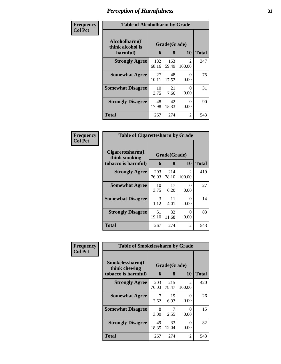| Frequency      | <b>Table of Alcoholharm by Grade</b>          |              |                   |                  |              |  |
|----------------|-----------------------------------------------|--------------|-------------------|------------------|--------------|--|
| <b>Col Pct</b> | Alcoholharm(I<br>think alcohol is<br>harmful) | 6            | Grade(Grade)<br>8 | 10               | <b>Total</b> |  |
|                | <b>Strongly Agree</b>                         | 182<br>68.16 | 163<br>59.49      | 2<br>100.00      | 347          |  |
|                | <b>Somewhat Agree</b>                         | 27<br>10.11  | 48<br>17.52       | $\Omega$<br>0.00 | 75           |  |
|                | <b>Somewhat Disagree</b>                      | 10<br>3.75   | 21<br>7.66        | $\Omega$<br>0.00 | 31           |  |
|                | <b>Strongly Disagree</b>                      | 48<br>17.98  | 42<br>15.33       | 0<br>0.00        | 90           |  |
|                | <b>Total</b>                                  | 267          | 274               | 2                | 543          |  |

| <b>Frequency</b><br><b>Col Pct</b> |  |
|------------------------------------|--|
|                                    |  |
|                                    |  |

| <b>Table of Cigarettesharm by Grade</b>                  |                   |              |                         |     |  |  |  |
|----------------------------------------------------------|-------------------|--------------|-------------------------|-----|--|--|--|
| Cigarettesharm(I<br>think smoking<br>tobacco is harmful) | Grade(Grade)<br>6 | <b>Total</b> |                         |     |  |  |  |
| <b>Strongly Agree</b>                                    | 203<br>76.03      | 214<br>78.10 | $\mathcal{L}$<br>100.00 | 419 |  |  |  |
| <b>Somewhat Agree</b>                                    | 10<br>3.75        | 17<br>6.20   | 0<br>0.00               | 27  |  |  |  |
| <b>Somewhat Disagree</b>                                 | 3<br>1.12         | 11<br>4.01   | 0<br>0.00               | 14  |  |  |  |
| <b>Strongly Disagree</b>                                 | 51<br>19.10       | 32<br>11.68  | 0<br>0.00               | 83  |  |  |  |
| Total                                                    | 267               | 274          | 2                       | 543 |  |  |  |

| Frequency      | <b>Table of Smokelessharm by Grade</b> |              |              |                                       |              |  |  |
|----------------|----------------------------------------|--------------|--------------|---------------------------------------|--------------|--|--|
| <b>Col Pct</b> | Smokelessharm(I<br>think chewing       | Grade(Grade) |              |                                       |              |  |  |
|                | tobacco is harmful)                    | 6            | 8            | 10                                    | <b>Total</b> |  |  |
|                | <b>Strongly Agree</b>                  | 203<br>76.03 | 215<br>78.47 | $\mathcal{D}_{\mathcal{L}}$<br>100.00 | 420          |  |  |
|                | <b>Somewhat Agree</b>                  | 2.62         | 19<br>6.93   | 0<br>0.00                             | 26           |  |  |
|                | <b>Somewhat Disagree</b>               | 8<br>3.00    | 2.55         | 0<br>0.00                             | 15           |  |  |
|                | <b>Strongly Disagree</b>               | 49<br>18.35  | 33<br>12.04  | 0<br>0.00                             | 82           |  |  |
|                | <b>Total</b>                           | 267          | 274          | 2                                     | 543          |  |  |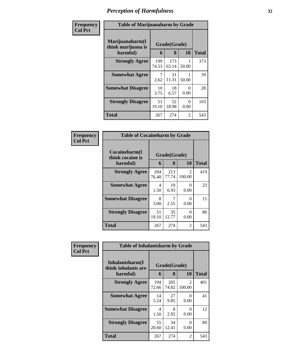| <b>Frequency</b><br>Col Pct |
|-----------------------------|
|                             |

Ш

### **Table of Marijuanaharm by Grade**

٦

| raoic or manifeananann by Grade       |              |              |           |              |  |  |  |
|---------------------------------------|--------------|--------------|-----------|--------------|--|--|--|
| Marijuanaharm(I<br>think marijuana is | Grade(Grade) |              |           |              |  |  |  |
| harmful)                              | 6            | 8            | 10        | <b>Total</b> |  |  |  |
| <b>Strongly Agree</b>                 | 199<br>74.53 | 173<br>63.14 | 50.00     | 373          |  |  |  |
| <b>Somewhat Agree</b>                 | 7<br>2.62    | 31<br>11.31  | 50.00     | 39           |  |  |  |
| <b>Somewhat Disagree</b>              | 10<br>3.75   | 18<br>6.57   | 0<br>0.00 | 28           |  |  |  |
| <b>Strongly Disagree</b>              | 51<br>19.10  | 52<br>18.98  | 0<br>0.00 | 103          |  |  |  |
| <b>Total</b>                          | 267          | 274          | 2         | 543          |  |  |  |

#### **Frequency Col Pct**

| <b>Table of Cocaineharm by Grade</b>          |                   |              |             |     |  |  |  |
|-----------------------------------------------|-------------------|--------------|-------------|-----|--|--|--|
| Cocaineharm(I<br>think cocaine is<br>harmful) | Grade(Grade)<br>6 | <b>Total</b> |             |     |  |  |  |
| <b>Strongly Agree</b>                         | 204<br>76.40      | 213<br>77.74 | 2<br>100.00 | 419 |  |  |  |
| <b>Somewhat Agree</b>                         | 4<br>1.50         | 19<br>6.93   | 0<br>0.00   | 23  |  |  |  |
| <b>Somewhat Disagree</b>                      | 8<br>3.00         | 7<br>2.55    | 0<br>0.00   | 15  |  |  |  |
| <b>Strongly Disagree</b>                      | 51<br>19.10       | 35<br>12.77  | 0<br>0.00   | 86  |  |  |  |
| <b>Total</b>                                  | 267               | 274          | 2           | 543 |  |  |  |

| Frequency      | <b>Table of Inhalantsharm by Grade</b>              |              |                   |                          |              |  |
|----------------|-----------------------------------------------------|--------------|-------------------|--------------------------|--------------|--|
| <b>Col Pct</b> | Inhalantsharm(I)<br>think inhalants are<br>harmful) | 6            | Grade(Grade)<br>8 | <b>10</b>                | <b>Total</b> |  |
|                | <b>Strongly Agree</b>                               | 194<br>72.66 | 205<br>74.82      | $\mathfrak{D}$<br>100.00 | 401          |  |
|                | <b>Somewhat Agree</b>                               | 14<br>5.24   | 27<br>9.85        | 0<br>0.00                | 41           |  |
|                | <b>Somewhat Disagree</b>                            | 4<br>1.50    | 8<br>2.92         | 0<br>0.00                | 12           |  |
|                | <b>Strongly Disagree</b>                            | 55<br>20.60  | 34<br>12.41       | $\theta$<br>0.00         | 89           |  |
|                | Total                                               | 267          | 274               | $\mathfrak{D}$           | 543          |  |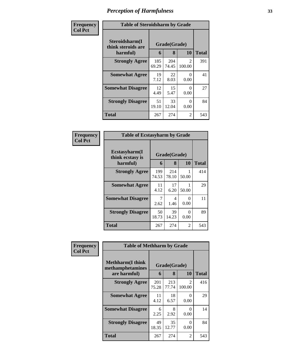| Frequency      | <b>Table of Steroidsharm by Grade</b>            |              |                   |                         |              |  |  |
|----------------|--------------------------------------------------|--------------|-------------------|-------------------------|--------------|--|--|
| <b>Col Pct</b> | Steroidsharm(I<br>think steroids are<br>harmful) | 6            | Grade(Grade)<br>8 | <b>10</b>               | <b>Total</b> |  |  |
|                | <b>Strongly Agree</b>                            | 185<br>69.29 | 204<br>74.45      | $\mathcal{L}$<br>100.00 | 391          |  |  |
|                | <b>Somewhat Agree</b>                            | 19<br>7.12   | 22<br>8.03        | 0<br>0.00               | 41           |  |  |
|                | <b>Somewhat Disagree</b>                         | 12<br>4.49   | 15<br>5.47        | 0<br>0.00               | 27           |  |  |
|                | <b>Strongly Disagree</b>                         | 51<br>19.10  | 33<br>12.04       | $\Omega$<br>0.00        | 84           |  |  |
|                | <b>Total</b>                                     | 267          | 274               | 2                       | 543          |  |  |

#### **Frequency Col Pct**

| <b>Table of Ecstasyharm by Grade</b>          |                   |              |            |     |  |  |  |
|-----------------------------------------------|-------------------|--------------|------------|-----|--|--|--|
| Ecstasyharm(I<br>think ecstasy is<br>harmful) | Grade(Grade)<br>6 | Total        |            |     |  |  |  |
| <b>Strongly Agree</b>                         | 199<br>74.53      | 214<br>78.10 | 1<br>50.00 | 414 |  |  |  |
| <b>Somewhat Agree</b>                         | 11<br>4.12        | 17<br>6.20   | 50.00      | 29  |  |  |  |
| <b>Somewhat Disagree</b>                      | 7<br>2.62         | 4<br>1.46    | 0<br>0.00  | 11  |  |  |  |
| <b>Strongly Disagree</b>                      | 50<br>18.73       | 39<br>14.23  | 0<br>0.00  | 89  |  |  |  |
| <b>Total</b>                                  | 267               | 274          | 2          | 543 |  |  |  |

| Frequency      | <b>Table of Methharm by Grade</b>            |              |              |                          |              |  |
|----------------|----------------------------------------------|--------------|--------------|--------------------------|--------------|--|
| <b>Col Pct</b> | <b>Methharm</b> (I think<br>methamphetamines |              | Grade(Grade) |                          |              |  |
|                | are harmful)                                 | 6            | 8            | <b>10</b>                | <b>Total</b> |  |
|                | <b>Strongly Agree</b>                        | 201<br>75.28 | 213<br>77.74 | $\mathfrak{D}$<br>100.00 | 416          |  |
|                | <b>Somewhat Agree</b>                        | 11<br>4.12   | 18<br>6.57   | 0<br>0.00                | 29           |  |
|                | <b>Somewhat Disagree</b>                     | 6<br>2.25    | 8<br>2.92    | 0<br>0.00                | 14           |  |
|                | <b>Strongly Disagree</b>                     | 49<br>18.35  | 35<br>12.77  | 0<br>0.00                | 84           |  |
|                | <b>Total</b>                                 | 267          | 274          | 2                        | 543          |  |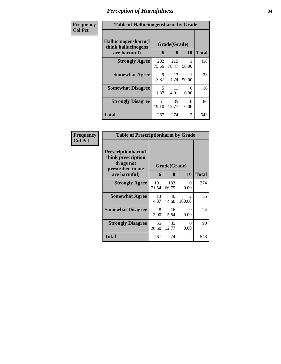| Frequency      | <b>Table of Hallucinogensharm by Grade</b>                 |              |                   |           |              |
|----------------|------------------------------------------------------------|--------------|-------------------|-----------|--------------|
| <b>Col Pct</b> | Hallucinogensharm(I<br>think hallucinogens<br>are harmful) | 6            | Grade(Grade)<br>8 | 10        | <b>Total</b> |
|                | <b>Strongly Agree</b>                                      | 202<br>75.66 | 215<br>78.47      | 50.00     | 418          |
|                | <b>Somewhat Agree</b>                                      | 9<br>3.37    | 13<br>4.74        | 50.00     | 23           |
|                | <b>Somewhat Disagree</b>                                   | 5<br>1.87    | 11<br>4.01        | 0<br>0.00 | 16           |
|                | <b>Strongly Disagree</b>                                   | 51<br>19.10  | 35<br>12.77       | ∩<br>0.00 | 86           |
|                | <b>Total</b>                                               | 267          | 274               | 2         | 543          |

| Frequency      | <b>Table of Prescriptionharm by Grade</b><br>Prescriptionharm(I<br>think prescription<br>drugs not<br>Grade(Grade)<br>prescribed to me<br>8<br>10<br><b>Total</b><br>6<br>are harmful)<br><b>Strongly Agree</b><br>191<br>183<br>374<br>0<br>0.00<br>71.54<br>66.79<br><b>Somewhat Agree</b><br>55<br>13<br>40<br>$\mathfrak{D}$<br>4.87<br>100.00<br>14.60<br><b>Somewhat Disagree</b><br>24<br>8<br>16<br>$\Omega$<br>3.00<br>0.00<br>5.84<br><b>Strongly Disagree</b><br>55<br>35<br>90<br>$\Omega$<br>12.77<br>0.00<br>20.60 |     |     |                |     |
|----------------|----------------------------------------------------------------------------------------------------------------------------------------------------------------------------------------------------------------------------------------------------------------------------------------------------------------------------------------------------------------------------------------------------------------------------------------------------------------------------------------------------------------------------------|-----|-----|----------------|-----|
| <b>Col Pct</b> |                                                                                                                                                                                                                                                                                                                                                                                                                                                                                                                                  |     |     |                |     |
|                |                                                                                                                                                                                                                                                                                                                                                                                                                                                                                                                                  |     |     |                |     |
|                |                                                                                                                                                                                                                                                                                                                                                                                                                                                                                                                                  |     |     |                |     |
|                |                                                                                                                                                                                                                                                                                                                                                                                                                                                                                                                                  |     |     |                |     |
|                |                                                                                                                                                                                                                                                                                                                                                                                                                                                                                                                                  |     |     |                |     |
|                |                                                                                                                                                                                                                                                                                                                                                                                                                                                                                                                                  |     |     |                |     |
|                | Total                                                                                                                                                                                                                                                                                                                                                                                                                                                                                                                            | 267 | 274 | $\mathfrak{D}$ | 543 |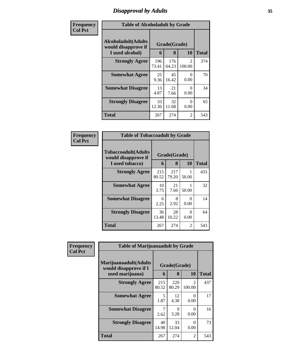# *Disapproval by Adults* **35**

| Frequency      | <b>Table of Alcoholadult by Grade</b>                                 |              |                   |                          |              |  |
|----------------|-----------------------------------------------------------------------|--------------|-------------------|--------------------------|--------------|--|
| <b>Col Pct</b> | <b>Alcoholadult</b> (Adults<br>would disapprove if<br>I used alcohol) | 6            | Grade(Grade)<br>8 | 10                       | <b>Total</b> |  |
|                | <b>Strongly Agree</b>                                                 | 196<br>73.41 | 176<br>64.23      | $\mathfrak{D}$<br>100.00 | 374          |  |
|                | <b>Somewhat Agree</b>                                                 | 25<br>9.36   | 45<br>16.42       | 0<br>0.00                | 70           |  |
|                | <b>Somewhat Disagree</b>                                              | 13<br>4.87   | 21<br>7.66        | $\Omega$<br>0.00         | 34           |  |
|                | <b>Strongly Disagree</b>                                              | 33<br>12.36  | 32<br>11.68       | $\Omega$<br>0.00         | 65           |  |
|                | <b>Total</b>                                                          | 267          | 274               | $\overline{2}$           | 543          |  |

| Frequency      | <b>Table of Tobaccoadult by Grade</b>                                 |              |                   |           |              |  |
|----------------|-----------------------------------------------------------------------|--------------|-------------------|-----------|--------------|--|
| <b>Col Pct</b> | <b>Tobaccoadult</b> (Adults<br>would disapprove if<br>I used tobacco) | 6            | Grade(Grade)<br>8 | <b>10</b> | <b>Total</b> |  |
|                | <b>Strongly Agree</b>                                                 | 215<br>80.52 | 217<br>79.20      | 50.00     | 433          |  |
|                | <b>Somewhat Agree</b>                                                 | 10<br>3.75   | 21<br>7.66        | 50.00     | 32           |  |
|                | <b>Somewhat Disagree</b>                                              | 6<br>2.25    | 8<br>2.92         | 0<br>0.00 | 14           |  |
|                | <b>Strongly Disagree</b>                                              | 36<br>13.48  | 28<br>10.22       | 0<br>0.00 | 64           |  |
|                | <b>Total</b>                                                          | 267          | 274               | 2         | 543          |  |

| Frequency      | <b>Table of Marijuanaadult by Grade</b>        |              |                     |                          |              |
|----------------|------------------------------------------------|--------------|---------------------|--------------------------|--------------|
| <b>Col Pct</b> | Marijuanaadult(Adults<br>would disapprove if I |              | Grade(Grade)        |                          |              |
|                | used marijuana)                                | 6            | 8                   | 10                       | <b>Total</b> |
|                | <b>Strongly Agree</b>                          | 215<br>80.52 | 220<br>80.29        | $\mathfrak{D}$<br>100.00 | 437          |
|                | <b>Somewhat Agree</b>                          | 5<br>1.87    | 12<br>4.38          | $\Omega$<br>0.00         | 17           |
|                | <b>Somewhat Disagree</b>                       | 2.62         | $\mathbf Q$<br>3.28 | 0<br>0.00                | 16           |
|                | <b>Strongly Disagree</b>                       | 40<br>14.98  | 33<br>12.04         | 0<br>0.00                | 73           |
|                | <b>Total</b>                                   | 267          | 274                 | 2                        | 543          |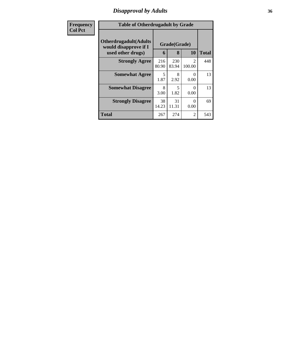# *Disapproval by Adults* **36**

| Frequency      | <b>Table of Otherdrugadult by Grade</b>                                     |              |                   |                           |              |  |
|----------------|-----------------------------------------------------------------------------|--------------|-------------------|---------------------------|--------------|--|
| <b>Col Pct</b> | <b>Otherdrugadult</b> (Adults<br>would disapprove if I<br>used other drugs) | 6            | Grade(Grade)<br>8 | 10                        | <b>Total</b> |  |
|                | <b>Strongly Agree</b>                                                       | 216<br>80.90 | 230<br>83.94      | $\mathfrak{D}$<br>100.00  | 448          |  |
|                | <b>Somewhat Agree</b>                                                       | 5<br>1.87    | 8<br>2.92         | $\mathbf{\Omega}$<br>0.00 | 13           |  |
|                | <b>Somewhat Disagree</b>                                                    | 8<br>3.00    | 5<br>1.82         | 0.00                      | 13           |  |
|                | <b>Strongly Disagree</b>                                                    | 38<br>14.23  | 31<br>11.31       | $\mathcal{O}$<br>0.00     | 69           |  |
|                | <b>Total</b>                                                                | 267          | 274               | $\overline{2}$            | 543          |  |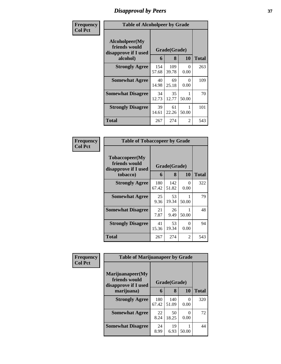## *Disapproval by Peers* **37**

| Frequency      |                                                         | <b>Table of Alcoholpeer by Grade</b> |              |              |     |  |  |
|----------------|---------------------------------------------------------|--------------------------------------|--------------|--------------|-----|--|--|
| <b>Col Pct</b> | Alcoholpeer(My<br>friends would<br>disapprove if I used |                                      | Grade(Grade) |              |     |  |  |
| alcohol)       | 6                                                       | 8                                    | 10           | <b>Total</b> |     |  |  |
|                | <b>Strongly Agree</b>                                   | 154<br>57.68                         | 109<br>39.78 | 0<br>0.00    | 263 |  |  |
|                | <b>Somewhat Agree</b>                                   | 40<br>14.98                          | 69<br>25.18  | 0<br>0.00    | 109 |  |  |
|                | <b>Somewhat Disagree</b>                                | 34<br>12.73                          | 35<br>12.77  | 50.00        | 70  |  |  |
|                | <b>Strongly Disagree</b>                                | 39<br>14.61                          | 61<br>22.26  | 50.00        | 101 |  |  |
|                | Total                                                   | 267                                  | 274          | 2            | 543 |  |  |

| Frequency      | <b>Table of Tobaccopeer by Grade</b>                                    |              |              |           |              |  |
|----------------|-------------------------------------------------------------------------|--------------|--------------|-----------|--------------|--|
| <b>Col Pct</b> | Tobaccopeer(My<br>friends would<br>Grade(Grade)<br>disapprove if I used |              |              |           |              |  |
|                | tobacco)                                                                | 6            | 8            | 10        | <b>Total</b> |  |
|                | <b>Strongly Agree</b>                                                   | 180<br>67.42 | 142<br>51.82 | 0<br>0.00 | 322          |  |
|                | <b>Somewhat Agree</b>                                                   | 25<br>9.36   | 53<br>19.34  | 50.00     | 79           |  |
|                | <b>Somewhat Disagree</b>                                                | 21<br>7.87   | 26<br>9.49   | 50.00     | 48           |  |
|                | <b>Strongly Disagree</b>                                                | 41<br>15.36  | 53<br>19.34  | 0<br>0.00 | 94           |  |
|                | Total                                                                   | 267          | 274          | 2         | 543          |  |

| Frequency      | <b>Table of Marijuanapeer by Grade</b>                    |              |              |           |              |
|----------------|-----------------------------------------------------------|--------------|--------------|-----------|--------------|
| <b>Col Pct</b> | Marijuanapeer(My<br>friends would<br>disapprove if I used | Grade(Grade) |              |           |              |
|                | marijuana)                                                | 6            | 8            | 10        | <b>Total</b> |
|                | <b>Strongly Agree</b>                                     | 180<br>67.42 | 140<br>51.09 | 0<br>0.00 | 320          |
|                | <b>Somewhat Agree</b>                                     | 22<br>8.24   | 50<br>18.25  | 0.00      | 72           |
|                | <b>Somewhat Disagree</b>                                  | 24<br>8.99   | 19<br>6.93   | 50.00     | 44           |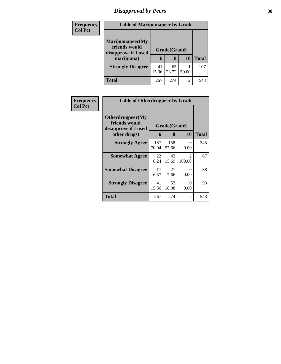# *Disapproval by Peers* **38**

| <b>Frequency</b> | <b>Table of Marijuanapeer by Grade</b>                    |             |                   |       |              |
|------------------|-----------------------------------------------------------|-------------|-------------------|-------|--------------|
| <b>Col Pct</b>   | Marijuanapeer(My<br>friends would<br>disapprove if I used |             | Grade(Grade)<br>8 | 10    | <b>Total</b> |
|                  | marijuana)                                                | 6           |                   |       |              |
|                  | <b>Strongly Disagree</b>                                  | 41<br>15.36 | 65<br>23.72       | 50.00 | 107          |
|                  | Total                                                     | 267         | 274               | 2     | 543          |

| <b>Frequency</b> | <b>Table of Otherdrugpeer by Grade</b>                                    |                   |              |                         |     |
|------------------|---------------------------------------------------------------------------|-------------------|--------------|-------------------------|-----|
| <b>Col Pct</b>   | Otherdrugpeer(My<br>friends would<br>disapprove if I used<br>other drugs) | Grade(Grade)<br>6 | <b>Total</b> |                         |     |
|                  | <b>Strongly Agree</b>                                                     | 187<br>70.04      | 158<br>57.66 | 0<br>0.00               | 345 |
|                  | <b>Somewhat Agree</b>                                                     | 22<br>8.24        | 43<br>15.69  | $\mathcal{D}$<br>100.00 | 67  |
|                  | <b>Somewhat Disagree</b>                                                  | 17<br>6.37        | 21<br>7.66   | $\Omega$<br>0.00        | 38  |
|                  | <b>Strongly Disagree</b>                                                  | 41<br>15.36       | 52<br>18.98  | 0<br>0.00               | 93  |
|                  | <b>Total</b>                                                              | 267               | 274          | 2                       | 543 |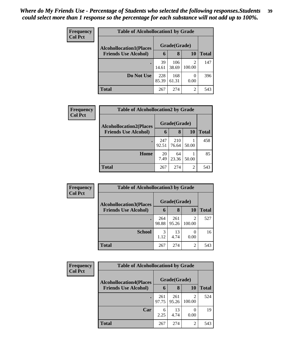| Frequency      | <b>Table of Alcohollocation1 by Grade</b> |              |              |           |              |  |  |  |
|----------------|-------------------------------------------|--------------|--------------|-----------|--------------|--|--|--|
| <b>Col Pct</b> | <b>Alcohollocation1(Places</b>            | Grade(Grade) |              |           |              |  |  |  |
|                | <b>Friends Use Alcohol)</b>               | 6            | 8            | 10        | <b>Total</b> |  |  |  |
|                |                                           | 39<br>14.61  | 106<br>38.69 | 100.00    | 147          |  |  |  |
|                | Do Not Use                                | 228<br>85.39 | 168<br>61.31 | 0<br>0.00 | 396          |  |  |  |
|                | <b>Total</b>                              | 267          | 274          | 2         | 543          |  |  |  |

| Frequency      |                                | <b>Table of Alcohollocation2 by Grade</b> |              |       |              |
|----------------|--------------------------------|-------------------------------------------|--------------|-------|--------------|
| <b>Col Pct</b> | <b>Alcohollocation2(Places</b> |                                           | Grade(Grade) |       |              |
|                | <b>Friends Use Alcohol)</b>    | 6                                         | 8            | 10    | <b>Total</b> |
|                |                                | 247<br>92.51                              | 210<br>76.64 | 50.00 | 458          |
|                | Home                           | 20<br>7.49                                | 64<br>23.36  | 50.00 | 85           |
|                | <b>Total</b>                   | 267                                       | 274          | 2     | 543          |

| Frequency<br><b>Col Pct</b> | <b>Table of Alcohollocation3 by Grade</b> |              |              |                          |              |  |
|-----------------------------|-------------------------------------------|--------------|--------------|--------------------------|--------------|--|
|                             | <b>Alcohollocation3(Places</b>            |              | Grade(Grade) |                          |              |  |
|                             | <b>Friends Use Alcohol)</b>               | 6            | 8            | 10                       | <b>Total</b> |  |
|                             |                                           | 264<br>98.88 | 261<br>95.26 | $\mathfrak{D}$<br>100.00 | 527          |  |
|                             | <b>School</b>                             | 3<br>1.12    | 13<br>4.74   | $\Omega$<br>0.00         | 16           |  |
|                             | <b>Total</b>                              | 267          | 274          | 2                        | 543          |  |

| <b>Frequency</b> | <b>Table of Alcohollocation4 by Grade</b>                     |              |              |             |              |
|------------------|---------------------------------------------------------------|--------------|--------------|-------------|--------------|
| <b>Col Pct</b>   | <b>Alcohollocation4(Places</b><br><b>Friends Use Alcohol)</b> | Grade(Grade) |              |             |              |
|                  |                                                               | 6            | 8            | <b>10</b>   | <b>Total</b> |
|                  |                                                               | 261<br>97.75 | 261<br>95.26 | 2<br>100.00 | 524          |
|                  | Car                                                           | 6<br>2.25    | 13<br>4.74   | 0.00        | 19           |
|                  | <b>Total</b>                                                  | 267          | 274          | 2           | 543          |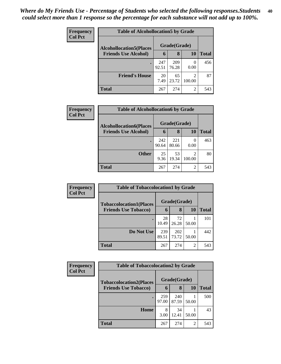| <b>Frequency</b><br><b>Col Pct</b> | <b>Table of Alcohollocation5 by Grade</b> |              |              |                  |              |  |
|------------------------------------|-------------------------------------------|--------------|--------------|------------------|--------------|--|
|                                    | <b>Alcohollocation5</b> (Places           | Grade(Grade) |              |                  |              |  |
|                                    | <b>Friends Use Alcohol)</b>               | 6            | 8            | 10               | <b>Total</b> |  |
|                                    |                                           | 247<br>92.51 | 209<br>76.28 | $\theta$<br>0.00 | 456          |  |
|                                    | <b>Friend's House</b>                     | 20<br>7.49   | 65<br>23.72  | 2<br>100.00      | 87           |  |
|                                    | <b>Total</b>                              | 267          | 274          | 2                | 543          |  |

| Frequency      | <b>Table of Alcohollocation6 by Grade</b> |              |              |        |              |  |
|----------------|-------------------------------------------|--------------|--------------|--------|--------------|--|
| <b>Col Pct</b> | <b>Alcohollocation6(Places</b>            |              | Grade(Grade) |        |              |  |
|                | <b>Friends Use Alcohol)</b>               | 6            | 8            | 10     | <b>Total</b> |  |
|                |                                           | 242<br>90.64 | 221<br>80.66 | 0.00   | 463          |  |
|                | <b>Other</b>                              | 25<br>9.36   | 53<br>19.34  | 100.00 | 80           |  |
|                | <b>Total</b>                              | 267          | 274          | 2      | 543          |  |

| <b>Frequency</b> | <b>Table of Tobaccolocation1 by Grade</b>                     |              |              |                |       |
|------------------|---------------------------------------------------------------|--------------|--------------|----------------|-------|
| <b>Col Pct</b>   | <b>Tobaccolocation1(Places</b><br><b>Friends Use Tobacco)</b> |              | Grade(Grade) |                |       |
|                  |                                                               | 6            | 8            | <b>10</b>      | Total |
|                  |                                                               | 28<br>10.49  | 72<br>26.28  | 50.00          | 101   |
|                  | Do Not Use                                                    | 239<br>89.51 | 202<br>73.72 | 50.00          | 442   |
|                  | <b>Total</b>                                                  | 267          | 274          | $\overline{2}$ | 543   |

| Frequency<br><b>Col Pct</b> | <b>Table of Tobaccolocation2 by Grade</b> |              |              |           |       |  |  |
|-----------------------------|-------------------------------------------|--------------|--------------|-----------|-------|--|--|
|                             | <b>Tobaccolocation2(Places</b>            |              | Grade(Grade) |           |       |  |  |
|                             | <b>Friends Use Tobacco)</b>               | 6            | 8            | <b>10</b> | Total |  |  |
|                             |                                           | 259<br>97.00 | 240<br>87.59 | 50.00     | 500   |  |  |
|                             | Home                                      | 8<br>3.00    | 34<br>12.41  | 50.00     | 43    |  |  |
|                             | <b>Total</b>                              | 267          | 274          | 2         | 543   |  |  |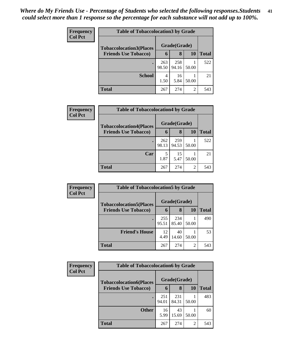| <b>Frequency</b> | <b>Table of Tobaccolocation3 by Grade</b> |              |              |                |              |  |  |  |  |
|------------------|-------------------------------------------|--------------|--------------|----------------|--------------|--|--|--|--|
| <b>Col Pct</b>   | <b>Tobaccolocation3(Places</b>            | Grade(Grade) |              |                |              |  |  |  |  |
|                  | <b>Friends Use Tobacco)</b>               | 6            | 8            | 10             | <b>Total</b> |  |  |  |  |
|                  |                                           | 263<br>98.50 | 258<br>94.16 | 50.00          | 522          |  |  |  |  |
|                  | <b>School</b>                             | 4<br>1.50    | 16<br>5.84   | 50.00          | 21           |  |  |  |  |
|                  | <b>Total</b>                              | 267          | 274          | $\overline{2}$ | 543          |  |  |  |  |

| <b>Frequency</b> | <b>Table of Tobaccolocation4 by Grade</b> |              |              |           |              |
|------------------|-------------------------------------------|--------------|--------------|-----------|--------------|
| <b>Col Pct</b>   | <b>Tobaccolocation4(Places</b>            |              | Grade(Grade) |           |              |
|                  | <b>Friends Use Tobacco)</b>               | 6            | 8            | <b>10</b> | <b>Total</b> |
|                  |                                           | 262<br>98.13 | 259<br>94.53 | 50.00     | 522          |
|                  | Car                                       | 5<br>1.87    | 15<br>5.47   | 50.00     | 21           |
|                  | <b>Total</b>                              | 267          | 274          | 2         | 543          |

| Frequency<br><b>Col Pct</b> | <b>Table of Tobaccolocation5 by Grade</b> |              |              |       |              |  |
|-----------------------------|-------------------------------------------|--------------|--------------|-------|--------------|--|
|                             | <b>Tobaccolocation5(Places</b>            |              | Grade(Grade) |       |              |  |
|                             | <b>Friends Use Tobacco)</b>               | 6            | 8            | 10    | <b>Total</b> |  |
|                             |                                           | 255<br>95.51 | 234<br>85.40 | 50.00 | 490          |  |
|                             | <b>Friend's House</b>                     | 12<br>4.49   | 40<br>14.60  | 50.00 | 53           |  |
|                             | <b>Total</b>                              | 267          | 274          | 2     | 543          |  |

| <b>Frequency</b><br><b>Col Pct</b> | <b>Table of Tobaccolocation6 by Grade</b> |              |              |       |       |  |
|------------------------------------|-------------------------------------------|--------------|--------------|-------|-------|--|
|                                    | <b>Tobaccolocation6(Places</b>            |              | Grade(Grade) |       |       |  |
|                                    | <b>Friends Use Tobacco)</b>               | 6            | 8            | 10    | Total |  |
|                                    |                                           | 251<br>94.01 | 231<br>84.31 | 50.00 | 483   |  |
|                                    | <b>Other</b>                              | 16<br>5.99   | 43<br>15.69  | 50.00 | 60    |  |
|                                    | <b>Total</b>                              | 267          | 274          | 2     | 543   |  |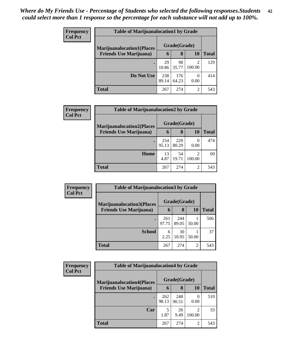| <b>Frequency</b> | <b>Table of Marijuanalocation1 by Grade</b> |              |              |                |              |  |
|------------------|---------------------------------------------|--------------|--------------|----------------|--------------|--|
| <b>Col Pct</b>   | <b>Marijuanalocation1(Places</b>            |              | Grade(Grade) |                |              |  |
|                  | <b>Friends Use Marijuana</b> )              | 6            | 8            | 10             | <b>Total</b> |  |
|                  |                                             | 29<br>10.86  | 98<br>35.77  | ∍<br>100.00    | 129          |  |
|                  | Do Not Use                                  | 238<br>89.14 | 176<br>64.23 | 0.00           | 414          |  |
|                  | <b>Total</b>                                | 267          | 274          | $\mathfrak{D}$ | 543          |  |

| Frequency      | <b>Table of Marijuanalocation2 by Grade</b>                         |              |              |        |       |  |  |  |
|----------------|---------------------------------------------------------------------|--------------|--------------|--------|-------|--|--|--|
| <b>Col Pct</b> | <b>Marijuanalocation2(Places)</b><br><b>Friends Use Marijuana</b> ) |              | Grade(Grade) |        |       |  |  |  |
|                |                                                                     | 6            | 8            | 10     | Total |  |  |  |
|                |                                                                     | 254<br>95.13 | 220<br>80.29 | 0.00   | 474   |  |  |  |
|                | Home                                                                | 13<br>4.87   | 54<br>19.71  | 100.00 | 69    |  |  |  |
|                | <b>Total</b>                                                        | 267          | 274          | 2      | 543   |  |  |  |

| <b>Frequency</b> | <b>Table of Marijuanalocation3 by Grade</b> |              |              |                |              |
|------------------|---------------------------------------------|--------------|--------------|----------------|--------------|
| <b>Col Pct</b>   | <b>Marijuanalocation3</b> (Places           |              | Grade(Grade) |                |              |
|                  | <b>Friends Use Marijuana</b> )              | 6            | 8            | 10             | <b>Total</b> |
|                  |                                             | 261<br>97.75 | 244<br>89.05 | 50.00          | 506          |
|                  | <b>School</b>                               | 6<br>2.25    | 30<br>10.95  | 50.00          | 37           |
|                  | <b>Total</b>                                | 267          | 274          | $\overline{2}$ | 543          |

| Frequency      | <b>Table of Marijuanalocation4 by Grade</b> |              |              |             |              |  |  |  |
|----------------|---------------------------------------------|--------------|--------------|-------------|--------------|--|--|--|
| <b>Col Pct</b> | <b>Marijuanalocation4(Places</b>            |              | Grade(Grade) |             |              |  |  |  |
|                | <b>Friends Use Marijuana</b> )              | 6            | 8            | 10          | <b>Total</b> |  |  |  |
|                |                                             | 262<br>98.13 | 248<br>90.51 | 0.00        | 510          |  |  |  |
|                | Car                                         | 5<br>1.87    | 26<br>9.49   | ◠<br>100.00 | 33           |  |  |  |
|                | Total                                       | 267          | 274          | 2           | 543          |  |  |  |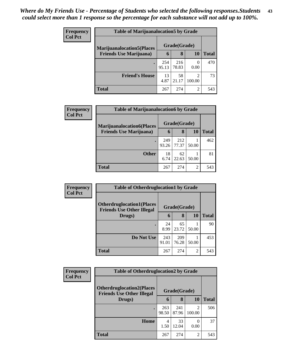| <b>Frequency</b> | <b>Table of Marijuanalocation5 by Grade</b>                         |              |              |             |       |  |  |
|------------------|---------------------------------------------------------------------|--------------|--------------|-------------|-------|--|--|
| <b>Col Pct</b>   | <b>Marijuanalocation5</b> (Places<br><b>Friends Use Marijuana</b> ) |              | Grade(Grade) |             |       |  |  |
|                  |                                                                     | $\mathbf b$  | 8            | 10          | Total |  |  |
|                  |                                                                     | 254<br>95.13 | 216<br>78.83 | 0.00        | 470   |  |  |
|                  | <b>Friend's House</b>                                               | 13<br>4.87   | 58<br>21.17  | ∍<br>100.00 | 73    |  |  |
|                  | <b>Total</b>                                                        | 267          | 274          | 2           | 543   |  |  |

| <b>Frequency</b> | <b>Table of Marijuanalocation6 by Grade</b> |              |              |           |              |  |  |
|------------------|---------------------------------------------|--------------|--------------|-----------|--------------|--|--|
| <b>Col Pct</b>   | <b>Marijuanalocation6(Places</b>            |              | Grade(Grade) |           |              |  |  |
|                  | <b>Friends Use Marijuana</b> )              | 6            | 8            | <b>10</b> | <b>Total</b> |  |  |
|                  | ٠                                           | 249<br>93.26 | 212<br>77.37 | 50.00     | 462          |  |  |
|                  | <b>Other</b>                                | 18<br>6.74   | 62<br>22.63  | 50.00     | 81           |  |  |
|                  | <b>Total</b>                                | 267          | 274          | 2         | 543          |  |  |

| <b>Frequency</b> | <b>Table of Otherdruglocation1 by Grade</b>                          |              |              |                |              |
|------------------|----------------------------------------------------------------------|--------------|--------------|----------------|--------------|
| <b>Col Pct</b>   | <b>Otherdruglocation1(Places</b><br><b>Friends Use Other Illegal</b> |              | Grade(Grade) |                |              |
|                  | Drugs)                                                               | 6            | 8            | <b>10</b>      | <b>Total</b> |
|                  |                                                                      | 24<br>8.99   | 65<br>23.72  | 50.00          | 90           |
|                  | Do Not Use                                                           | 243<br>91.01 | 209<br>76.28 | 50.00          | 453          |
|                  | <b>Total</b>                                                         | 267          | 274          | $\mathfrak{D}$ | 543          |

| Frequency      | <b>Table of Otherdruglocation2 by Grade</b>                          |              |              |        |              |
|----------------|----------------------------------------------------------------------|--------------|--------------|--------|--------------|
| <b>Col Pct</b> | <b>Otherdruglocation2(Places</b><br><b>Friends Use Other Illegal</b> |              | Grade(Grade) |        |              |
|                | Drugs)                                                               | 6            | 8            | 10     | <b>Total</b> |
|                |                                                                      | 263<br>98.50 | 241<br>87.96 | 100.00 | 506          |
|                | Home                                                                 | 4<br>1.50    | 33<br>12.04  | 0.00   | 37           |
|                | <b>Total</b>                                                         | 267          | 274          | 2      | 543          |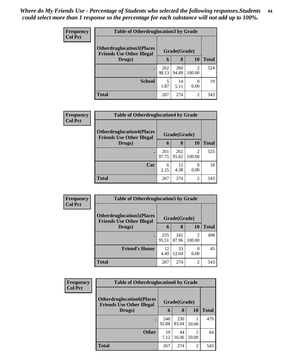| <b>Frequency</b> | <b>Table of Otherdruglocation3 by Grade</b>                           |              |              |                  |              |
|------------------|-----------------------------------------------------------------------|--------------|--------------|------------------|--------------|
| <b>Col Pct</b>   | <b>Otherdruglocation3(Places)</b><br><b>Friends Use Other Illegal</b> |              | Grade(Grade) |                  |              |
|                  | Drugs)                                                                | 6            | 8            | 10               | <b>Total</b> |
|                  | $\bullet$                                                             | 262<br>98.13 | 260<br>94.89 | 2<br>100.00      | 524          |
|                  | <b>School</b>                                                         | 5<br>1.87    | 14<br>5.11   | $\Omega$<br>0.00 | 19           |
|                  | <b>Total</b>                                                          | 267          | 274          | 2                | 543          |

| <b>Frequency</b> | <b>Table of Otherdruglocation4 by Grade</b>                           |              |              |                          |              |  |
|------------------|-----------------------------------------------------------------------|--------------|--------------|--------------------------|--------------|--|
| <b>Col Pct</b>   | <b>Otherdruglocation4(Places)</b><br><b>Friends Use Other Illegal</b> |              | Grade(Grade) |                          |              |  |
|                  | Drugs)                                                                | 6            | 8            | 10                       | <b>Total</b> |  |
|                  |                                                                       | 261<br>97.75 | 262<br>95.62 | $\mathfrak{D}$<br>100.00 | 525          |  |
|                  | Car                                                                   | 6<br>2.25    | 12<br>4.38   | 0<br>0.00                | 18           |  |
|                  | <b>Total</b>                                                          | 267          | 274          | 2                        | 543          |  |

| Frequency      | <b>Table of Otherdruglocation5 by Grade</b>                          |              |              |                         |              |  |
|----------------|----------------------------------------------------------------------|--------------|--------------|-------------------------|--------------|--|
| <b>Col Pct</b> | <b>Otherdruglocation5(Places</b><br><b>Friends Use Other Illegal</b> |              | Grade(Grade) |                         |              |  |
|                | Drugs)                                                               | 6            | 8            | 10                      | <b>Total</b> |  |
|                |                                                                      | 255<br>95.51 | 241<br>87.96 | $\mathcal{D}$<br>100.00 | 498          |  |
|                | <b>Friend's House</b>                                                | 12<br>4.49   | 33<br>12.04  | 0.00                    | 45           |  |
|                | <b>Total</b>                                                         | 267          | 274          | 2                       | 543          |  |

| <b>Frequency</b> | <b>Table of Otherdruglocation6 by Grade</b>                           |              |              |           |              |
|------------------|-----------------------------------------------------------------------|--------------|--------------|-----------|--------------|
| <b>Col Pct</b>   | <b>Otherdruglocation6(Places)</b><br><b>Friends Use Other Illegal</b> |              | Grade(Grade) |           |              |
|                  | Drugs)                                                                | 6            | 8            | <b>10</b> | <b>Total</b> |
|                  |                                                                       | 248<br>92.88 | 230<br>83.94 | 50.00     | 479          |
|                  | <b>Other</b>                                                          | 19<br>7.12   | 44<br>16.06  | 50.00     | 64           |
|                  | <b>Total</b>                                                          | 267          | 274          | 2         | 543          |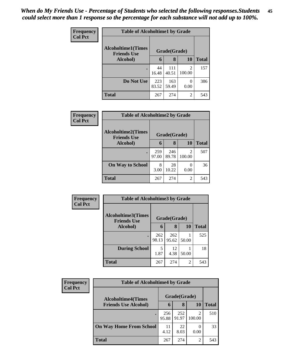| Frequency      | <b>Table of Alcoholtime1 by Grade</b>           |              |              |                |              |
|----------------|-------------------------------------------------|--------------|--------------|----------------|--------------|
| <b>Col Pct</b> | <b>Alcoholtime1(Times</b><br><b>Friends Use</b> |              | Grade(Grade) |                |              |
|                | Alcohol)                                        | 6            | 8            | <b>10</b>      | <b>Total</b> |
|                |                                                 | 44<br>16.48  | 111<br>40.51 | 2<br>100.00    | 157          |
|                | Do Not Use                                      | 223<br>83.52 | 163<br>59.49 | 0.00           | 386          |
|                | <b>Total</b>                                    | 267          | 274          | $\overline{2}$ | 543          |

| <b>Frequency</b> |                                                 | <b>Table of Alcoholtime2 by Grade</b> |              |                          |              |  |  |
|------------------|-------------------------------------------------|---------------------------------------|--------------|--------------------------|--------------|--|--|
| <b>Col Pct</b>   | <b>Alcoholtime2(Times</b><br><b>Friends Use</b> |                                       | Grade(Grade) |                          |              |  |  |
|                  | Alcohol)                                        | 6                                     | 8            | 10                       | <b>Total</b> |  |  |
|                  | $\bullet$                                       | 259<br>97.00                          | 246<br>89.78 | $\mathfrak{D}$<br>100.00 | 507          |  |  |
|                  | <b>On Way to School</b>                         | 8<br>3.00                             | 28<br>10.22  | $\mathbf{0}$<br>0.00     | 36           |  |  |
|                  | <b>Total</b>                                    | 267                                   | 274          | 2                        | 543          |  |  |

| Frequency      | <b>Table of Alcoholtime3 by Grade</b>           |              |              |                |              |
|----------------|-------------------------------------------------|--------------|--------------|----------------|--------------|
| <b>Col Pct</b> | <b>Alcoholtime3(Times</b><br><b>Friends Use</b> |              | Grade(Grade) |                |              |
|                | Alcohol)                                        | 6            | 8            | <b>10</b>      | <b>Total</b> |
|                |                                                 | 262<br>98.13 | 262<br>95.62 | 50.00          | 525          |
|                | <b>During School</b>                            | 5<br>1.87    | 12<br>4.38   | 50.00          | 18           |
|                | <b>Total</b>                                    | 267          | 274          | $\overline{2}$ | 543          |

| Frequency      | <b>Table of Alcoholtime4 by Grade</b> |              |              |           |              |  |
|----------------|---------------------------------------|--------------|--------------|-----------|--------------|--|
| <b>Col Pct</b> | <b>Alcoholtime4(Times</b>             |              | Grade(Grade) |           |              |  |
|                | <b>Friends Use Alcohol)</b>           | 6            | 8            | <b>10</b> | <b>Total</b> |  |
|                |                                       | 256<br>95.88 | 252<br>91.97 | 100.00    | 510          |  |
|                | <b>On Way Home From School</b>        | 11<br>4.12   | 22<br>8.03   | 0.00      | 33           |  |
|                | <b>Total</b>                          | 267          | 274          | 2         | 543          |  |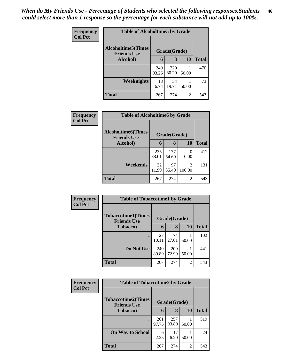| <b>Frequency</b> | <b>Table of Alcoholtime5 by Grade</b>           |              |              |           |              |  |
|------------------|-------------------------------------------------|--------------|--------------|-----------|--------------|--|
| <b>Col Pct</b>   | <b>Alcoholtime5(Times</b><br><b>Friends Use</b> |              | Grade(Grade) |           |              |  |
|                  | Alcohol)                                        | 6            | 8            | <b>10</b> | <b>Total</b> |  |
|                  |                                                 | 249<br>93.26 | 220<br>80.29 | 50.00     | 470          |  |
|                  | Weeknights                                      | 18<br>6.74   | 54<br>19.71  | 50.00     | 73           |  |
|                  | <b>Total</b>                                    | 267          | 274          | 2         | 543          |  |

| <b>Frequency</b> |                                                 | <b>Table of Alcoholtime6 by Grade</b> |              |                          |              |  |  |
|------------------|-------------------------------------------------|---------------------------------------|--------------|--------------------------|--------------|--|--|
| <b>Col Pct</b>   | <b>Alcoholtime6(Times</b><br><b>Friends Use</b> | Grade(Grade)                          |              |                          |              |  |  |
|                  | Alcohol)                                        | 6                                     | 8            | 10                       | <b>Total</b> |  |  |
|                  |                                                 | 235<br>88.01                          | 177<br>64.60 | 0<br>0.00                | 412          |  |  |
|                  | Weekends                                        | 32<br>11.99                           | 97<br>35.40  | $\mathfrak{D}$<br>100.00 | 131          |  |  |
|                  | <b>Total</b>                                    | 267                                   | 274          | 2                        | 543          |  |  |

| Frequency<br><b>Col Pct</b> | <b>Table of Tobaccotime1 by Grade</b>           |              |                     |                |              |  |
|-----------------------------|-------------------------------------------------|--------------|---------------------|----------------|--------------|--|
|                             | <b>Tobaccotime1(Times</b><br><b>Friends Use</b> |              | Grade(Grade)        |                |              |  |
|                             | <b>Tobacco</b> )                                | 6            | 8                   | <b>10</b>      | <b>Total</b> |  |
|                             |                                                 | 27<br>10.11  | 74<br>27.01         | 50.00          | 102          |  |
|                             | Do Not Use                                      | 240<br>89.89 | <b>200</b><br>72.99 | 50.00          | 441          |  |
|                             | <b>Total</b>                                    | 267          | 274                 | $\overline{2}$ | 543          |  |

| <b>Frequency</b> | <b>Table of Tobaccotime2 by Grade</b>           |              |              |       |              |  |
|------------------|-------------------------------------------------|--------------|--------------|-------|--------------|--|
| <b>Col Pct</b>   | <b>Tobaccotime2(Times</b><br><b>Friends Use</b> | Grade(Grade) |              |       |              |  |
|                  | <b>Tobacco</b> )                                | 6            | 8            | 10    | <b>Total</b> |  |
|                  |                                                 | 261<br>97.75 | 257<br>93.80 | 50.00 | 519          |  |
|                  | <b>On Way to School</b>                         | 6<br>2.25    | 17<br>6.20   | 50.00 | 24           |  |
|                  | <b>Total</b>                                    | 267          | 274          | 2     | 543          |  |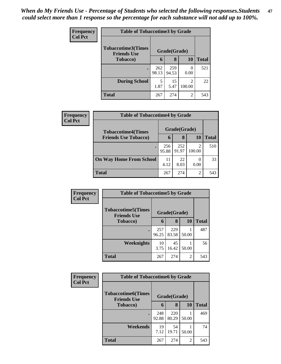| Frequency<br><b>Col Pct</b> | <b>Table of Tobaccotime3 by Grade</b>           |              |              |                          |              |  |  |
|-----------------------------|-------------------------------------------------|--------------|--------------|--------------------------|--------------|--|--|
|                             | <b>Tobaccotime3(Times</b><br><b>Friends Use</b> |              | Grade(Grade) |                          |              |  |  |
|                             | <b>Tobacco</b> )                                | 6            | 8            | 10                       | <b>Total</b> |  |  |
|                             | $\bullet$                                       | 262<br>98.13 | 259<br>94.53 | 0<br>0.00                | 521          |  |  |
|                             | <b>During School</b>                            | 5<br>1.87    | 15<br>5.47   | $\overline{c}$<br>100.00 | 22           |  |  |
|                             | <b>Total</b>                                    | 267          | 274          | $\overline{c}$           | 543          |  |  |

| <b>Frequency</b> | <b>Table of Tobaccotime4 by Grade</b> |              |              |        |       |  |
|------------------|---------------------------------------|--------------|--------------|--------|-------|--|
| <b>Col Pct</b>   | <b>Tobaccotime4(Times</b>             |              | Grade(Grade) |        |       |  |
|                  | <b>Friends Use Tobacco)</b>           | 6            | 8            | 10     | Total |  |
|                  |                                       | 256<br>95.88 | 252<br>91.97 | 100.00 | 510   |  |
|                  | <b>On Way Home From School</b>        | 11<br>4.12   | 22<br>8.03   | 0.00   | 33    |  |
|                  | <b>Total</b>                          | 267          | 274          | 2      | 543   |  |

| Frequency      | <b>Table of Tobaccotime5 by Grade</b>           |              |              |                |              |
|----------------|-------------------------------------------------|--------------|--------------|----------------|--------------|
| <b>Col Pct</b> | <b>Tobaccotime5(Times</b><br><b>Friends Use</b> |              | Grade(Grade) |                |              |
|                | <b>Tobacco</b> )                                | 6            | 8            | 10             | <b>Total</b> |
|                |                                                 | 257<br>96.25 | 229<br>83.58 | 50.00          | 487          |
|                | <b>Weeknights</b>                               | 10<br>3.75   | 45<br>16.42  | 50.00          | 56           |
|                | <b>Total</b>                                    | 267          | 274          | $\overline{2}$ | 543          |

| <b>Frequency</b> | <b>Table of Tobaccotime6 by Grade</b>           |              |              |       |              |  |
|------------------|-------------------------------------------------|--------------|--------------|-------|--------------|--|
| <b>Col Pct</b>   | <b>Tobaccotime6(Times</b><br><b>Friends Use</b> |              | Grade(Grade) |       |              |  |
|                  | <b>Tobacco</b> )                                | 6            | 8            | 10    | <b>Total</b> |  |
|                  |                                                 | 248<br>92.88 | 220<br>80.29 | 50.00 | 469          |  |
|                  | Weekends                                        | 19<br>7.12   | 54<br>19.71  | 50.00 | 74           |  |
|                  | <b>Total</b>                                    | 267          | 274          | 2     | 543          |  |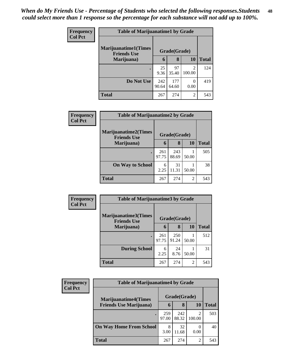| <b>Frequency</b> | <b>Table of Marijuanatime1 by Grade</b>           |              |              |                          |              |  |
|------------------|---------------------------------------------------|--------------|--------------|--------------------------|--------------|--|
| <b>Col Pct</b>   | <b>Marijuanatime1(Times</b><br><b>Friends Use</b> |              | Grade(Grade) |                          |              |  |
|                  | Marijuana)                                        | 6            | 8            | 10                       | <b>Total</b> |  |
|                  |                                                   | 25<br>9.36   | 97<br>35.40  | $\mathfrak{D}$<br>100.00 | 124          |  |
|                  | Do Not Use                                        | 242<br>90.64 | 177<br>64.60 | 0<br>0.00                | 419          |  |
|                  | <b>Total</b>                                      | 267          | 274          | 2                        | 543          |  |

| Frequency |                                                   | <b>Table of Marijuanatime2 by Grade</b> |              |               |              |  |
|-----------|---------------------------------------------------|-----------------------------------------|--------------|---------------|--------------|--|
| Col Pct   | <b>Marijuanatime2(Times</b><br><b>Friends Use</b> |                                         | Grade(Grade) |               |              |  |
|           | Marijuana)                                        | 6                                       | 8            | 10            | <b>Total</b> |  |
|           |                                                   | 261<br>97.75                            | 243<br>88.69 | 50.00         | 505          |  |
|           | <b>On Way to School</b>                           | 6<br>2.25                               | 31<br>11.31  | 50.00         | 38           |  |
|           | <b>Total</b>                                      | 267                                     | 274          | $\mathcal{L}$ | 543          |  |

| Frequency      | <b>Table of Marijuanatime3 by Grade</b>    |              |              |                |              |
|----------------|--------------------------------------------|--------------|--------------|----------------|--------------|
| <b>Col Pct</b> | Marijuanatime3(Times<br><b>Friends Use</b> |              | Grade(Grade) |                |              |
|                | Marijuana)                                 | 6            | 8            | <b>10</b>      | <b>Total</b> |
|                | $\bullet$                                  | 261<br>97.75 | 250<br>91.24 | 50.00          | 512          |
|                | <b>During School</b>                       | 6<br>2.25    | 24<br>8.76   | 50.00          | 31           |
|                | <b>Total</b>                               | 267          | 274          | $\overline{c}$ | 543          |

| <b>Frequency</b> | <b>Table of Marijuanatime4 by Grade</b> |              |              |        |       |  |
|------------------|-----------------------------------------|--------------|--------------|--------|-------|--|
| <b>Col Pct</b>   | <b>Marijuanatime4</b> (Times            |              | Grade(Grade) |        |       |  |
|                  | <b>Friends Use Marijuana</b> )          | 6            | 8            | 10     | Total |  |
|                  |                                         | 259<br>97.00 | 242<br>88.32 | 100.00 | 503   |  |
|                  | <b>On Way Home From School</b>          | 8<br>3.00    | 32<br>11.68  | 0.00   | 40    |  |
|                  | <b>Total</b>                            | 267          | 274          | 2      | 543   |  |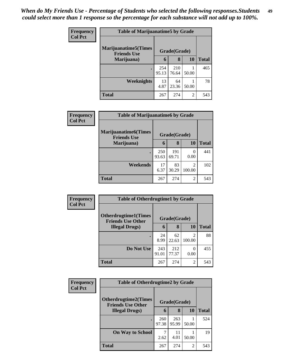| Frequency | <b>Table of Marijuanatime5 by Grade</b>            |              |              |                |              |  |
|-----------|----------------------------------------------------|--------------|--------------|----------------|--------------|--|
| Col Pct   | <b>Marijuanatime5</b> (Times<br><b>Friends Use</b> |              | Grade(Grade) |                |              |  |
|           | Marijuana)                                         | 6            | 8            | <b>10</b>      | <b>Total</b> |  |
|           | $\bullet$                                          | 254<br>95.13 | 210<br>76.64 | 50.00          | 465          |  |
|           | <b>Weeknights</b>                                  | 13<br>4.87   | 64<br>23.36  | 50.00          | 78           |  |
|           | <b>Total</b>                                       | 267          | 274          | $\overline{2}$ | 543          |  |

| Frequency      | <b>Table of Marijuanatime6 by Grade</b>            |              |              |                          |              |  |
|----------------|----------------------------------------------------|--------------|--------------|--------------------------|--------------|--|
| <b>Col Pct</b> | <b>Marijuanatime6</b> (Times<br><b>Friends Use</b> |              | Grade(Grade) |                          |              |  |
|                | Marijuana)                                         | 6            | 8            | 10                       | <b>Total</b> |  |
|                | $\bullet$                                          | 250<br>93.63 | 191<br>69.71 | $\left($<br>0.00         | 441          |  |
|                | Weekends                                           | 17<br>6.37   | 83<br>30.29  | $\mathfrak{D}$<br>100.00 | 102          |  |
|                | <b>Total</b>                                       | 267          | 274          | $\mathfrak{D}$           | 543          |  |

| Frequency      | <b>Table of Otherdrugtime1 by Grade</b>                  |              |              |                          |              |  |
|----------------|----------------------------------------------------------|--------------|--------------|--------------------------|--------------|--|
| <b>Col Pct</b> | <b>Otherdrugtime1</b> (Times<br><b>Friends Use Other</b> |              | Grade(Grade) |                          |              |  |
|                | <b>Illegal Drugs</b> )                                   | 6            | 8            | 10                       | <b>Total</b> |  |
|                |                                                          | 24<br>8.99   | 62<br>22.63  | $\mathfrak{D}$<br>100.00 | 88           |  |
|                | Do Not Use                                               | 243<br>91.01 | 212<br>77.37 | 0<br>0.00                | 455          |  |
|                | <b>Total</b>                                             | 267          | 274          | $\overline{2}$           | 543          |  |

| Frequency      | <b>Table of Otherdrugtime2 by Grade</b>                 |              |              |                |              |  |
|----------------|---------------------------------------------------------|--------------|--------------|----------------|--------------|--|
| <b>Col Pct</b> | <b>Otherdrugtime2(Times</b><br><b>Friends Use Other</b> |              | Grade(Grade) |                |              |  |
|                | <b>Illegal Drugs</b> )                                  | 6            | 8            | 10             | <b>Total</b> |  |
|                | $\bullet$                                               | 260<br>97.38 | 263<br>95.99 | 50.00          | 524          |  |
|                | <b>On Way to School</b>                                 | 2.62         | 11<br>4.01   | 50.00          | 19           |  |
|                | <b>Total</b>                                            | 267          | 274          | $\overline{2}$ | 543          |  |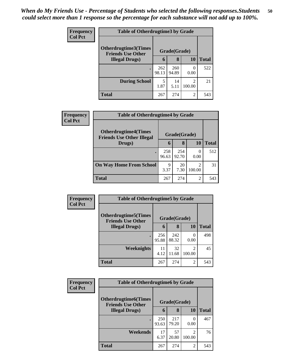| <b>Frequency</b> | <b>Table of Otherdrugtime3 by Grade</b>          |              |              |                                       |              |  |  |
|------------------|--------------------------------------------------|--------------|--------------|---------------------------------------|--------------|--|--|
| <b>Col Pct</b>   | Otherdrugtime3(Times<br><b>Friends Use Other</b> | Grade(Grade) |              |                                       |              |  |  |
|                  | <b>Illegal Drugs</b> )                           | 6            | 8            | 10                                    | <b>Total</b> |  |  |
|                  | $\bullet$                                        | 262<br>98.13 | 260<br>94.89 | 0.00                                  | 522          |  |  |
|                  | <b>During School</b>                             | 5<br>1.87    | 14<br>5.11   | $\mathcal{D}_{\mathcal{L}}$<br>100.00 | 21           |  |  |
|                  | <b>Total</b>                                     | 267          | 274          | $\overline{2}$                        | 543          |  |  |

| <b>Frequency</b> | <b>Table of Otherdrugtime4 by Grade</b>                         |              |              |                          |              |  |
|------------------|-----------------------------------------------------------------|--------------|--------------|--------------------------|--------------|--|
| <b>Col Pct</b>   | <b>Otherdrugtime4(Times</b><br><b>Friends Use Other Illegal</b> |              | Grade(Grade) |                          |              |  |
|                  | Drugs)                                                          | 6            | 8            | 10                       | <b>Total</b> |  |
|                  |                                                                 | 258<br>96.63 | 254<br>92.70 | $\Omega$<br>0.00         | 512          |  |
|                  | <b>On Way Home From School</b>                                  | 9<br>3.37    | 20<br>7.30   | $\mathfrak{D}$<br>100.00 | 31           |  |
|                  | <b>Total</b>                                                    | 267          | 274          | 2                        | 543          |  |

| Frequency      | <b>Table of Otherdrugtime5 by Grade</b>                  |              |              |                          |              |  |  |
|----------------|----------------------------------------------------------|--------------|--------------|--------------------------|--------------|--|--|
| <b>Col Pct</b> | <b>Otherdrugtime5</b> (Times<br><b>Friends Use Other</b> |              | Grade(Grade) |                          |              |  |  |
|                | <b>Illegal Drugs</b> )                                   | 6            | 8            | 10                       | <b>Total</b> |  |  |
|                |                                                          | 256<br>95.88 | 242<br>88.32 | 0<br>0.00                | 498          |  |  |
|                | Weeknights                                               | 11<br>4.12   | 32<br>11.68  | $\mathfrak{D}$<br>100.00 | 45           |  |  |
|                | <b>Total</b>                                             | 267          | 274          | $\overline{2}$           | 543          |  |  |

| <b>Frequency</b> | <b>Table of Otherdrugtime6 by Grade</b>                 |              |              |                          |              |  |
|------------------|---------------------------------------------------------|--------------|--------------|--------------------------|--------------|--|
| <b>Col Pct</b>   | <b>Otherdrugtime6(Times</b><br><b>Friends Use Other</b> | Grade(Grade) |              |                          |              |  |
|                  | <b>Illegal Drugs</b> )                                  | 6            | 8            | 10                       | <b>Total</b> |  |
|                  |                                                         | 250<br>93.63 | 217<br>79.20 | 0<br>0.00                | 467          |  |
|                  | Weekends                                                | 17<br>6.37   | 57<br>20.80  | $\mathfrak{D}$<br>100.00 | 76           |  |
|                  | <b>Total</b>                                            | 267          | 274          | $\overline{2}$           | 543          |  |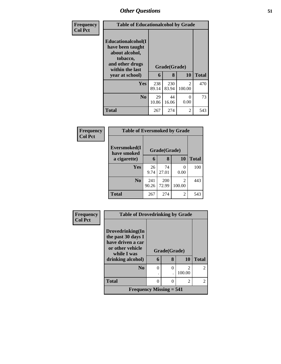| Frequency      | <b>Table of Educationalcohol by Grade</b>                                                                  |              |              |                          |              |  |  |
|----------------|------------------------------------------------------------------------------------------------------------|--------------|--------------|--------------------------|--------------|--|--|
| <b>Col Pct</b> | Educationalcohol(I<br>have been taught<br>about alcohol,<br>tobacco,<br>and other drugs<br>within the last |              | Grade(Grade) |                          |              |  |  |
|                | year at school)                                                                                            | 6            | 8            | <b>10</b>                | <b>Total</b> |  |  |
|                | Yes                                                                                                        | 238<br>89.14 | 230<br>83.94 | $\mathfrak{D}$<br>100.00 | 470          |  |  |
|                | N <sub>0</sub>                                                                                             | 29<br>10.86  | 44<br>16.06  | 0<br>0.00                | 73           |  |  |
|                | <b>Total</b>                                                                                               | 267          | 274          | 2                        | 543          |  |  |

| Frequency<br><b>Col Pct</b> |                             | <b>Table of Eversmoked by Grade</b> |              |             |              |  |  |  |  |  |
|-----------------------------|-----------------------------|-------------------------------------|--------------|-------------|--------------|--|--|--|--|--|
|                             | Eversmoked(I<br>have smoked |                                     | Grade(Grade) |             |              |  |  |  |  |  |
|                             | a cigarette)                | 6                                   | 8            | 10          | <b>Total</b> |  |  |  |  |  |
|                             | <b>Yes</b>                  | 26<br>9.74                          | 74<br>27.01  | 0<br>0.00   | 100          |  |  |  |  |  |
|                             | N <sub>0</sub>              | 241<br>90.26                        | 200<br>72.99 | 2<br>100.00 | 443          |  |  |  |  |  |
|                             | <b>Total</b>                | 267                                 | 274          | 2           | 543          |  |  |  |  |  |

| Frequency      | <b>Table of Drovedrinking by Grade</b>  |              |   |        |                |
|----------------|-----------------------------------------|--------------|---|--------|----------------|
| <b>Col Pct</b> |                                         |              |   |        |                |
|                | Drovedrinking(In                        |              |   |        |                |
|                | the past 30 days I<br>have driven a car |              |   |        |                |
|                | or other vehicle<br>while I was         | Grade(Grade) |   |        |                |
|                | drinking alcohol)                       | 6            | 8 | 10     | <b>Total</b>   |
|                | N <sub>0</sub>                          | 0            | 0 |        | $\overline{2}$ |
|                |                                         |              |   | 100.00 |                |
|                | <b>Total</b>                            | 0            | 0 | 2      | $\mathfrak{D}$ |
|                | Frequency Missing $= 541$               |              |   |        |                |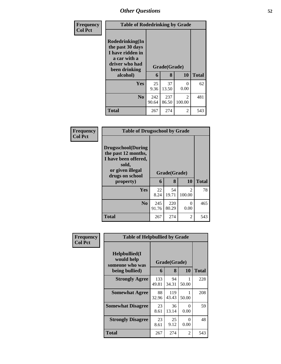| Frequency      | <b>Table of Rodedrinking by Grade</b>                                                                                  |              |                   |                          |              |
|----------------|------------------------------------------------------------------------------------------------------------------------|--------------|-------------------|--------------------------|--------------|
| <b>Col Pct</b> | Rodedrinking(In<br>the past 30 days<br>I have ridden in<br>a car with a<br>driver who had<br>been drinking<br>alcohol) | 6            | Grade(Grade)<br>8 | 10                       | <b>Total</b> |
|                | <b>Yes</b>                                                                                                             | 25<br>9.36   | 37<br>13.50       | $\Omega$<br>0.00         | 62           |
|                | N <sub>o</sub>                                                                                                         | 242<br>90.64 | 237<br>86.50      | $\mathfrak{D}$<br>100.00 | 481          |
|                | <b>Total</b>                                                                                                           | 267          | 274               | $\mathfrak{D}$           | 543          |

| <b>Frequency</b> | <b>Table of Drugsschool by Grade</b>                                                                                                   |              |                   |                                       |              |  |  |  |  |
|------------------|----------------------------------------------------------------------------------------------------------------------------------------|--------------|-------------------|---------------------------------------|--------------|--|--|--|--|
| <b>Col Pct</b>   | <b>Drugsschool</b> (During<br>the past 12 months,<br>I have been offered,<br>sold,<br>or given illegal<br>drugs on school<br>property) | 6            | Grade(Grade)<br>8 | 10                                    | <b>Total</b> |  |  |  |  |
|                  | Yes                                                                                                                                    | 22<br>8.24   | 54<br>19.71       | $\mathcal{D}_{\mathcal{L}}$<br>100.00 | 78           |  |  |  |  |
|                  | N <sub>0</sub>                                                                                                                         | 245<br>91.76 | 220<br>80.29      | 0<br>0.00                             | 465          |  |  |  |  |
|                  | <b>Total</b>                                                                                                                           | 267          | 274               | $\mathfrak{D}$                        | 543          |  |  |  |  |

| Frequency      | <b>Table of Helpbullied by Grade</b>                              |              |                   |                |       |  |
|----------------|-------------------------------------------------------------------|--------------|-------------------|----------------|-------|--|
| <b>Col Pct</b> | Helpbullied(I)<br>would help<br>someone who was<br>being bullied) | 6            | Grade(Grade)<br>8 | 10             | Total |  |
|                |                                                                   |              |                   |                |       |  |
|                | <b>Strongly Agree</b>                                             | 133<br>49.81 | 94<br>34.31       | 50.00          | 228   |  |
|                | <b>Somewhat Agree</b>                                             | 88<br>32.96  | 119<br>43.43      | 50.00          | 208   |  |
|                | <b>Somewhat Disagree</b>                                          | 23<br>8.61   | 36<br>13.14       | 0<br>0.00      | 59    |  |
|                | <b>Strongly Disagree</b>                                          | 23<br>8.61   | 25<br>9.12        | 0<br>0.00      | 48    |  |
|                | Total                                                             | 267          | 274               | $\mathfrak{D}$ | 543   |  |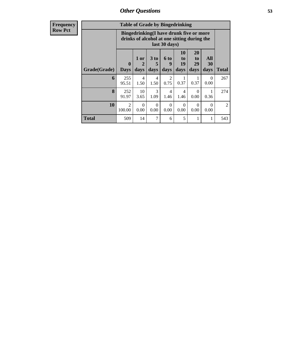**Frequency Row Pct**

| <b>Table of Grade by Bingedrinking</b> |                                                                                                                                                                        |                                                                                                         |           |                        |                        |           |           |              |  |
|----------------------------------------|------------------------------------------------------------------------------------------------------------------------------------------------------------------------|---------------------------------------------------------------------------------------------------------|-----------|------------------------|------------------------|-----------|-----------|--------------|--|
|                                        |                                                                                                                                                                        | Bingedrinking(I have drunk five or more<br>drinks of alcohol at one sitting during the<br>last 30 days) |           |                        |                        |           |           |              |  |
| Grade(Grade)                           | 20<br>10<br>All<br>3 to<br>1 or<br><b>6 to</b><br>to<br>to<br>29<br>9<br>19<br>30<br>$\bf{0}$<br>2<br>5<br>days<br>days<br>days<br>days<br><b>Days</b><br>days<br>days |                                                                                                         |           |                        |                        |           |           | <b>Total</b> |  |
| 6                                      | 255<br>95.51                                                                                                                                                           | $\overline{4}$<br>1.50                                                                                  | 4<br>1.50 | $\overline{2}$<br>0.75 | 0.37                   | 0.37      | 0<br>0.00 | 267          |  |
| 8                                      | 252<br>91.97                                                                                                                                                           | 10<br>3.65                                                                                              | 3<br>1.09 | 4<br>1.46              | $\overline{4}$<br>1.46 | 0<br>0.00 | 0.36      | 274          |  |
| 10                                     | $\mathfrak{D}$<br>100.00                                                                                                                                               | $\Omega$<br>$\Omega$<br>$\Omega$<br>0<br>0<br>0<br>0.00<br>0.00<br>0.00<br>0.00<br>0.00<br>0.00         |           |                        |                        |           |           |              |  |
| <b>Total</b>                           | 509                                                                                                                                                                    | 14                                                                                                      | 7         | 6                      | 5                      | 1         |           | 543          |  |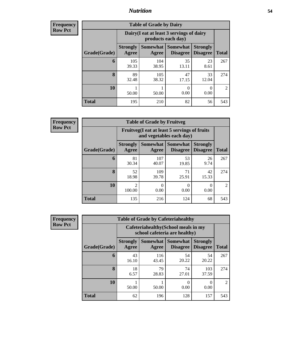### *Nutrition* **54**

**Frequency Row Pct**

| <b>Table of Grade by Dairy</b> |                          |                                                                 |                                          |                                    |                |  |  |
|--------------------------------|--------------------------|-----------------------------------------------------------------|------------------------------------------|------------------------------------|----------------|--|--|
|                                |                          | Dairy (I eat at least 3 servings of dairy<br>products each day) |                                          |                                    |                |  |  |
| Grade(Grade)                   | <b>Strongly</b><br>Agree | Agree                                                           | Somewhat   Somewhat  <br><b>Disagree</b> | <b>Strongly</b><br><b>Disagree</b> | <b>Total</b>   |  |  |
| 6                              | 105<br>39.33             | 104<br>38.95                                                    | 35<br>13.11                              | 23<br>8.61                         | 267            |  |  |
| 8                              | 89<br>32.48              | 105<br>38.32                                                    | 47<br>17.15                              | 33<br>12.04                        | 274            |  |  |
| 10                             | 50.00                    | 50.00                                                           | 0<br>0.00                                | 0<br>0.00                          | $\mathfrak{D}$ |  |  |
| <b>Total</b>                   | 195                      | 210                                                             | 82                                       | 56                                 | 543            |  |  |

**Frequency Row Pct**

| <b>Table of Grade by Fruitveg</b> |                          |                                                                          |                             |                                    |                |  |  |  |
|-----------------------------------|--------------------------|--------------------------------------------------------------------------|-----------------------------|------------------------------------|----------------|--|--|--|
|                                   |                          | Fruitveg(I eat at least 5 servings of fruits<br>and vegetables each day) |                             |                                    |                |  |  |  |
| Grade(Grade)                      | <b>Strongly</b><br>Agree | Somewhat<br>Agree                                                        | <b>Somewhat</b><br>Disagree | <b>Strongly</b><br><b>Disagree</b> | <b>Total</b>   |  |  |  |
| 6                                 | 81<br>30.34              | 107<br>40.07                                                             | 53<br>19.85                 | 26<br>9.74                         | 267            |  |  |  |
| 8                                 | 52<br>18.98              | 109<br>39.78                                                             | 71<br>25.91                 | 42<br>15.33                        | 274            |  |  |  |
| 10                                | $\mathfrak{D}$<br>100.00 | 0.00                                                                     | 0<br>0.00                   | 0.00                               | $\overline{2}$ |  |  |  |
| <b>Total</b>                      | 135                      | 216                                                                      | 124                         | 68                                 | 543            |  |  |  |

| <b>Frequency</b> | <b>Table of Grade by Cafeteriahealthy</b> |                                                                       |                          |                                    |                                    |                |  |  |
|------------------|-------------------------------------------|-----------------------------------------------------------------------|--------------------------|------------------------------------|------------------------------------|----------------|--|--|
| <b>Row Pct</b>   |                                           | Cafeteriahealthy (School meals in my<br>school cafeteria are healthy) |                          |                                    |                                    |                |  |  |
|                  | Grade(Grade)                              | <b>Strongly</b><br>Agree                                              | <b>Somewhat</b><br>Agree | <b>Somewhat</b><br><b>Disagree</b> | <b>Strongly</b><br><b>Disagree</b> | <b>Total</b>   |  |  |
|                  | 6                                         | 43<br>16.10                                                           | 116<br>43.45             | 54<br>20.22                        | 54<br>20.22                        | 267            |  |  |
|                  | 8                                         | 18<br>6.57                                                            | 79<br>28.83              | 74<br>27.01                        | 103<br>37.59                       | 274            |  |  |
|                  | 10                                        | 50.00                                                                 | 50.00                    | 0<br>0.00                          | $\Omega$<br>0.00                   | $\mathfrak{D}$ |  |  |
|                  | <b>Total</b>                              | 62                                                                    | 196                      | 128                                | 157                                | 543            |  |  |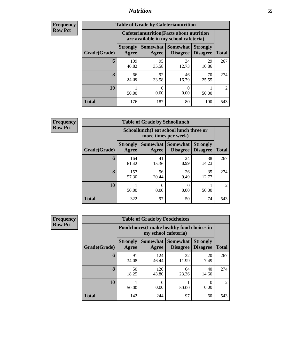## *Nutrition* **55**

| <b>Frequency</b> |
|------------------|
| Row Pct          |

| <b>Table of Grade by Cafeterianutrition</b> |                          |                                                                                           |                                    |                                    |                |  |  |
|---------------------------------------------|--------------------------|-------------------------------------------------------------------------------------------|------------------------------------|------------------------------------|----------------|--|--|
|                                             |                          | <b>Cafeterianutrition</b> (Facts about nutrition<br>are available in my school cafeteria) |                                    |                                    |                |  |  |
| Grade(Grade)                                | <b>Strongly</b><br>Agree | Somewhat  <br>Agree                                                                       | <b>Somewhat</b><br><b>Disagree</b> | <b>Strongly</b><br><b>Disagree</b> | <b>Total</b>   |  |  |
| 6                                           | 109<br>40.82             | 95<br>35.58                                                                               | 34<br>12.73                        | 29<br>10.86                        | 267            |  |  |
| 8                                           | 66<br>24.09              | 92<br>33.58                                                                               | 46<br>16.79                        | 70<br>25.55                        | 274            |  |  |
| 10                                          | 50.00                    | ∩<br>0.00                                                                                 | 0<br>0.00                          | 50.00                              | $\mathfrak{D}$ |  |  |
| <b>Total</b>                                | 176                      | 187                                                                                       | 80                                 | 100                                | 543            |  |  |

**Frequency Row Pct**

| <b>Table of Grade by Schoollunch</b> |                          |                                                                 |                               |                                    |                |  |  |
|--------------------------------------|--------------------------|-----------------------------------------------------------------|-------------------------------|------------------------------------|----------------|--|--|
|                                      |                          | Schoollunch(I eat school lunch three or<br>more times per week) |                               |                                    |                |  |  |
| Grade(Grade)                         | <b>Strongly</b><br>Agree | Agree                                                           | Somewhat Somewhat<br>Disagree | <b>Strongly</b><br><b>Disagree</b> | <b>Total</b>   |  |  |
| 6                                    | 164<br>61.42             | 41<br>15.36                                                     | 24<br>8.99                    | 38<br>14.23                        | 267            |  |  |
| 8                                    | 157<br>57.30             | 56<br>20.44                                                     | 26<br>9.49                    | 35<br>12.77                        | 274            |  |  |
| 10                                   | 50.00                    | ∩<br>0.00                                                       | 0.00                          | 50.00                              | $\mathfrak{D}$ |  |  |
| <b>Total</b>                         | 322                      | 97                                                              | 50                            | 74                                 | 543            |  |  |

| <b>Frequency</b> |  |
|------------------|--|
| <b>Row Pct</b>   |  |

| <b>Table of Grade by Foodchoices</b> |                          |                                                                            |                                        |                                    |                             |  |  |
|--------------------------------------|--------------------------|----------------------------------------------------------------------------|----------------------------------------|------------------------------------|-----------------------------|--|--|
|                                      |                          | <b>Foodchoices</b> (I make healthy food choices in<br>my school cafeteria) |                                        |                                    |                             |  |  |
| Grade(Grade)                         | <b>Strongly</b><br>Agree | Agree                                                                      | Somewhat   Somewhat<br><b>Disagree</b> | <b>Strongly</b><br><b>Disagree</b> | <b>Total</b>                |  |  |
| 6                                    | 91<br>34.08              | 124<br>46.44                                                               | 32<br>11.99                            | 20<br>7.49                         | 267                         |  |  |
| 8                                    | 50<br>18.25              | 120<br>43.80                                                               | 64<br>23.36                            | 40<br>14.60                        | 274                         |  |  |
| <b>10</b>                            | 50.00                    | 0<br>0.00                                                                  | 50.00                                  | 0<br>0.00                          | $\mathcal{D}_{\mathcal{L}}$ |  |  |
| <b>Total</b>                         | 142                      | 244                                                                        | 97                                     | 60                                 | 543                         |  |  |

٦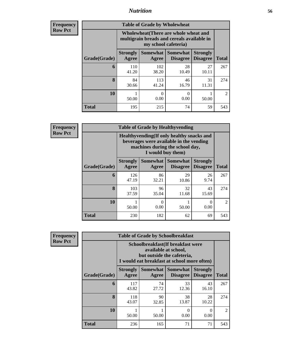## *Nutrition* **56**

| Frequency |
|-----------|
| Row Pct   |

| <b>Table of Grade by Wholewheat</b> |                                                                                                             |                           |                                    |                                    |                |  |  |
|-------------------------------------|-------------------------------------------------------------------------------------------------------------|---------------------------|------------------------------------|------------------------------------|----------------|--|--|
|                                     | Wholewheat (There are whole wheat and<br>multigrain breads and cereals available in<br>my school cafeteria) |                           |                                    |                                    |                |  |  |
| Grade(Grade)                        | <b>Strongly</b><br>Agree                                                                                    | <b>Somewhat</b><br>Agree  | <b>Somewhat</b><br><b>Disagree</b> | <b>Strongly</b><br><b>Disagree</b> | <b>Total</b>   |  |  |
| 6                                   | 110<br>41.20                                                                                                | 102<br>38.20              | 28<br>10.49                        | 27<br>10.11                        | 267            |  |  |
| 8                                   | 84<br>30.66                                                                                                 | 113<br>41.24              | 46<br>16.79                        | 31<br>11.31                        | 274            |  |  |
| 10                                  | 50.00                                                                                                       | $\mathbf{\Omega}$<br>0.00 | 0<br>0.00                          | 50.00                              | $\mathfrak{D}$ |  |  |
| <b>Total</b>                        | 195                                                                                                         | 215                       | 74                                 | 59                                 | 543            |  |  |

**Frequency Row Pct**

| v | <b>Table of Grade by Healthyvending</b> |                          |                                                                                                                                               |                                    |                                    |                |  |  |  |
|---|-----------------------------------------|--------------------------|-----------------------------------------------------------------------------------------------------------------------------------------------|------------------------------------|------------------------------------|----------------|--|--|--|
|   |                                         |                          | Healthyvending (If only healthy snacks and<br>beverages were available in the vending<br>machines during the school day,<br>I would buy them) |                                    |                                    |                |  |  |  |
|   | Grade(Grade)                            | <b>Strongly</b><br>Agree | Somewhat  <br>Agree                                                                                                                           | <b>Somewhat</b><br><b>Disagree</b> | <b>Strongly</b><br><b>Disagree</b> | <b>Total</b>   |  |  |  |
|   | 6                                       | 126<br>47.19             | 86<br>32.21                                                                                                                                   | 29<br>10.86                        | 26<br>9.74                         | 267            |  |  |  |
|   | 8                                       | 103<br>37.59             | 96<br>35.04                                                                                                                                   | 32<br>11.68                        | 43<br>15.69                        | 274            |  |  |  |
|   | 10                                      | 50.00                    | 0<br>0.00                                                                                                                                     | 50.00                              | 0<br>0.00                          | $\mathfrak{D}$ |  |  |  |
|   | <b>Total</b>                            | 230                      | 182                                                                                                                                           | 62                                 | 69                                 | 543            |  |  |  |

**Frequency Row Pct**

| <b>Table of Grade by Schoolbreakfast</b> |                                                                                                                                         |             |                                        |                                    |                |  |  |
|------------------------------------------|-----------------------------------------------------------------------------------------------------------------------------------------|-------------|----------------------------------------|------------------------------------|----------------|--|--|
|                                          | Schoolbreakfast (If breakfast were<br>available at school,<br>but outside the cafeteria,<br>I would eat breakfast at school more often) |             |                                        |                                    |                |  |  |
| Grade(Grade)                             | <b>Strongly</b><br>Agree                                                                                                                | Agree       | Somewhat   Somewhat<br><b>Disagree</b> | <b>Strongly</b><br><b>Disagree</b> | <b>Total</b>   |  |  |
| 6                                        | 117<br>43.82                                                                                                                            | 74<br>27.72 | 33<br>12.36                            | 43<br>16.10                        | 267            |  |  |
| 8                                        | 118<br>43.07                                                                                                                            | 90<br>32.85 | 38<br>13.87                            | 28<br>10.22                        | 274            |  |  |
| 10                                       | 50.00                                                                                                                                   | 50.00       | 0<br>0.00                              | 0<br>0.00                          | $\mathfrak{D}$ |  |  |
| Total                                    | 236                                                                                                                                     | 165         | 71                                     | 71                                 | 543            |  |  |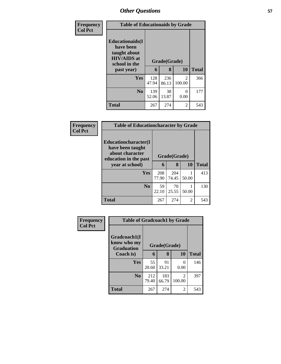| Frequency<br><b>Col Pct</b> | <b>Table of Educationaids by Grade</b>                                                                    |              |                   |                          |              |
|-----------------------------|-----------------------------------------------------------------------------------------------------------|--------------|-------------------|--------------------------|--------------|
|                             | <b>Educationaids</b> (I<br>have been<br>taught about<br><b>HIV/AIDS</b> at<br>school in the<br>past year) | 6            | Grade(Grade)<br>8 | 10                       | <b>Total</b> |
|                             | Yes                                                                                                       | 128<br>47.94 | 236<br>86.13      | $\mathfrak{D}$<br>100.00 | 366          |
|                             | N <sub>0</sub>                                                                                            | 139<br>52.06 | 38<br>13.87       | ∩<br>0.00                | 177          |
|                             | <b>Total</b>                                                                                              | 267          | 274               | $\overline{\mathcal{L}}$ | 543          |

| Frequency      | <b>Table of Educationcharacter by Grade</b>                                                  |              |              |           |              |  |  |  |
|----------------|----------------------------------------------------------------------------------------------|--------------|--------------|-----------|--------------|--|--|--|
| <b>Col Pct</b> | <b>Educationcharacter</b> (I<br>have been taught<br>about character<br>education in the past | Grade(Grade) |              |           |              |  |  |  |
|                | year at school)                                                                              | 6            | 8            | <b>10</b> | <b>Total</b> |  |  |  |
|                | <b>Yes</b>                                                                                   | 208<br>77.90 | 204<br>74.45 | 50.00     | 413          |  |  |  |
|                | N <sub>o</sub>                                                                               | 59<br>22.10  | 70<br>25.55  | 50.00     | 130          |  |  |  |
|                | <b>Total</b>                                                                                 | 267          | 274          | 2         | 543          |  |  |  |

| Frequency<br><b>Col Pct</b> | <b>Table of Gradcoach1 by Grade</b>              |              |              |                          |              |
|-----------------------------|--------------------------------------------------|--------------|--------------|--------------------------|--------------|
|                             | Gradcoach1(I<br>know who my<br><b>Graduation</b> |              | Grade(Grade) |                          |              |
|                             | Coach is)                                        | 6            | 8            | 10                       | <b>Total</b> |
|                             | Yes                                              | 55<br>20.60  | 91<br>33.21  | $\mathcal{O}$<br>0.00    | 146          |
|                             | N <sub>0</sub>                                   | 212<br>79.40 | 183<br>66.79 | $\overline{2}$<br>100.00 | 397          |
|                             | <b>Total</b>                                     | 267          | 274          | $\overline{2}$           | 543          |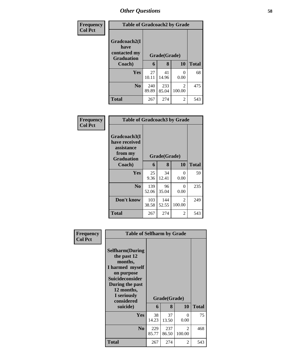| <b>Frequency</b> | <b>Table of Gradcoach2 by Grade</b>                       |              |              |             |              |
|------------------|-----------------------------------------------------------|--------------|--------------|-------------|--------------|
| <b>Col Pct</b>   | Gradcoach2(I<br>have<br>contacted my<br><b>Graduation</b> | Grade(Grade) |              |             |              |
|                  | Coach)                                                    | 6            | 8            | 10          | <b>Total</b> |
|                  | Yes                                                       | 27<br>10.11  | 41<br>14.96  | 0.00        | 68           |
|                  | N <sub>0</sub>                                            | 240<br>89.89 | 233<br>85.04 | 2<br>100.00 | 475          |
|                  | Total                                                     | 267          | 274          | 2           | 543          |

| Frequency<br><b>Col Pct</b> | <b>Table of Gradcoach3 by Grade</b>                                         |              |              |                         |              |
|-----------------------------|-----------------------------------------------------------------------------|--------------|--------------|-------------------------|--------------|
|                             | Gradcoach3(I<br>have received<br>assistance<br>from my<br><b>Graduation</b> |              | Grade(Grade) |                         |              |
|                             | Coach)                                                                      | 6            | 8            | <b>10</b>               | <b>Total</b> |
|                             | Yes                                                                         | 25<br>9.36   | 34<br>12.41  | 0<br>0.00               | 59           |
|                             | N <sub>0</sub>                                                              | 139<br>52.06 | 96<br>35.04  | ∩<br>0.00               | 235          |
|                             | Don't know                                                                  | 103<br>38.58 | 144<br>52.55 | $\mathcal{L}$<br>100.00 | 249          |
|                             | <b>Total</b>                                                                | 267          | 274          | 2                       | 543          |

|                | <b>Table of Selfharm by Grade</b>                                                                                                                            |              |              |             |              |  |  |  |
|----------------|--------------------------------------------------------------------------------------------------------------------------------------------------------------|--------------|--------------|-------------|--------------|--|--|--|
| Frequency      |                                                                                                                                                              |              |              |             |              |  |  |  |
| <b>Col Pct</b> | <b>Selfharm</b> (During<br>the past 12<br>months,<br>I harmed myself<br>on purpose<br><b>Suicideconsider</b><br>During the past<br>12 months,<br>I seriously |              | Grade(Grade) |             |              |  |  |  |
|                | considered<br>suicide)                                                                                                                                       | 6            | 8            | 10          | <b>Total</b> |  |  |  |
|                | <b>Yes</b>                                                                                                                                                   | 38<br>14.23  | 37<br>13.50  | 0<br>0.00   | 75           |  |  |  |
|                | N <sub>0</sub>                                                                                                                                               | 229<br>85.77 | 237<br>86.50 | 2<br>100.00 | 468          |  |  |  |
|                | <b>Total</b>                                                                                                                                                 | 267          | 274          | 2           | 543          |  |  |  |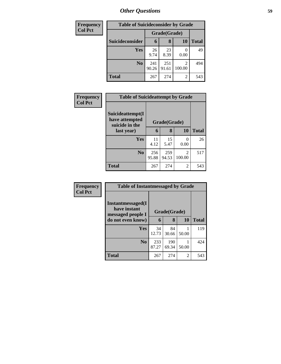| <b>Frequency</b> | <b>Table of Suicideconsider by Grade</b> |              |              |                                       |              |
|------------------|------------------------------------------|--------------|--------------|---------------------------------------|--------------|
| <b>Col Pct</b>   |                                          | Grade(Grade) |              |                                       |              |
|                  | Suicideconsider                          | 6            | 8            | <b>10</b>                             | <b>Total</b> |
|                  | Yes                                      | 26<br>9.74   | 23<br>8.39   | 0.00                                  | 49           |
|                  | N <sub>0</sub>                           | 241<br>90.26 | 251<br>91.61 | $\mathcal{D}_{\mathcal{L}}$<br>100.00 | 494          |
|                  | <b>Total</b>                             | 267          | 274          | 2                                     | 543          |

| Frequency      | <b>Table of Suicideattempt by Grade</b>              |              |              |                |              |
|----------------|------------------------------------------------------|--------------|--------------|----------------|--------------|
| <b>Col Pct</b> | Suicideattempt(I<br>have attempted<br>suicide in the | Grade(Grade) |              |                |              |
|                | last year)                                           | 6            | 8            | <b>10</b>      | <b>Total</b> |
|                | Yes                                                  | 11<br>4.12   | 15<br>5.47   | 0<br>0.00      | 26           |
|                | N <sub>0</sub>                                       | 256<br>95.88 | 259<br>94.53 | 2<br>100.00    | 517          |
|                | <b>Total</b>                                         | 267          | 274          | $\overline{c}$ | 543          |

| <b>Frequency</b><br><b>Col Pct</b> | <b>Table of Instantmessaged by Grade</b>                                            |              |              |       |              |  |  |
|------------------------------------|-------------------------------------------------------------------------------------|--------------|--------------|-------|--------------|--|--|
|                                    | <b>Instantmessaged</b> (I<br>have instant<br>messaged people I<br>do not even know) | Grade(Grade) |              |       |              |  |  |
|                                    |                                                                                     | 6            | 8            | 10    | <b>Total</b> |  |  |
|                                    | <b>Yes</b>                                                                          | 34<br>12.73  | 84<br>30.66  | 50.00 | 119          |  |  |
|                                    | N <sub>0</sub>                                                                      | 233<br>87.27 | 190<br>69.34 | 50.00 | 424          |  |  |
|                                    | <b>Total</b>                                                                        | 267          | 274          | 2     | 543          |  |  |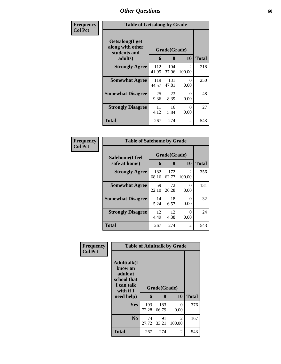| Frequency      | <b>Table of Getsalong by Grade</b>                             |              |                   |                         |              |
|----------------|----------------------------------------------------------------|--------------|-------------------|-------------------------|--------------|
| <b>Col Pct</b> | Getsalong(I get<br>along with other<br>students and<br>adults) | 6            | Grade(Grade)<br>8 | 10                      | <b>Total</b> |
|                | <b>Strongly Agree</b>                                          | 112<br>41.95 | 104<br>37.96      | $\mathcal{L}$<br>100.00 | 218          |
|                | <b>Somewhat Agree</b>                                          | 119<br>44.57 | 131<br>47.81      | 0<br>0.00               | 250          |
|                | <b>Somewhat Disagree</b>                                       | 25<br>9.36   | 23<br>8.39        | 0<br>0.00               | 48           |
|                | <b>Strongly Disagree</b>                                       | 11<br>4.12   | 16<br>5.84        | 0<br>0.00               | 27           |
|                | Total                                                          | 267          | 274               | 2                       | 543          |

| Frequency      | <b>Table of Safehome by Grade</b> |              |                   |                           |              |  |
|----------------|-----------------------------------|--------------|-------------------|---------------------------|--------------|--|
| <b>Col Pct</b> | Safehome(I feel<br>safe at home)  | 6            | Grade(Grade)<br>8 | <b>10</b>                 | <b>Total</b> |  |
|                | <b>Strongly Agree</b>             | 182<br>68.16 | 172<br>62.77      | 2<br>100.00               | 356          |  |
|                | <b>Somewhat Agree</b>             | 59<br>22.10  | 72<br>26.28       | $\mathbf{\Omega}$<br>0.00 | 131          |  |
|                | <b>Somewhat Disagree</b>          | 14<br>5.24   | 18<br>6.57        | 0<br>0.00                 | 32           |  |
|                | <b>Strongly Disagree</b>          | 12<br>4.49   | 12<br>4.38        | 0<br>0.00                 | 24           |  |
|                | <b>Total</b>                      | 267          | 274               | 2                         | 543          |  |

| Frequency      | <b>Table of Adulttalk by Grade</b>                                                                |                   |              |                          |     |  |  |  |
|----------------|---------------------------------------------------------------------------------------------------|-------------------|--------------|--------------------------|-----|--|--|--|
| <b>Col Pct</b> | <b>Adulttalk(I</b><br>know an<br>adult at<br>school that<br>I can talk<br>with if I<br>need help) | Grade(Grade)<br>6 | <b>Total</b> |                          |     |  |  |  |
|                | <b>Yes</b>                                                                                        | 193<br>72.28      | 183<br>66.79 | 0<br>0.00                | 376 |  |  |  |
|                | N <sub>0</sub>                                                                                    | 74<br>27.72       | 91<br>33.21  | $\mathfrak{D}$<br>100.00 | 167 |  |  |  |
|                | <b>Total</b>                                                                                      | 267               | 274          | 2                        | 543 |  |  |  |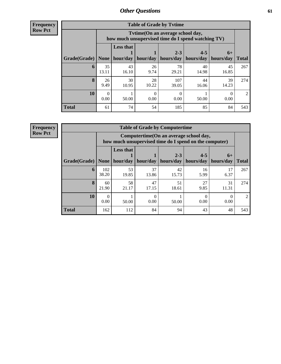**Frequency Row Pct**

| <b>Table of Grade by Tytime</b> |             |                                                                                        |             |                      |                      |                   |                |
|---------------------------------|-------------|----------------------------------------------------------------------------------------|-------------|----------------------|----------------------|-------------------|----------------|
|                                 |             | Tytime(On an average school day,<br>how much unsupervised time do I spend watching TV) |             |                      |                      |                   |                |
| Grade(Grade)                    | None $ $    | <b>Less that</b><br>hour/day                                                           | hour/day    | $2 - 3$<br>hours/day | $4 - 5$<br>hours/day | $6+$<br>hours/day | <b>Total</b>   |
| 6                               | 35<br>13.11 | 43<br>16.10                                                                            | 26<br>9.74  | 78<br>29.21          | 40<br>14.98          | 45<br>16.85       | 267            |
| 8                               | 26<br>9.49  | 30<br>10.95                                                                            | 28<br>10.22 | 107<br>39.05         | 44<br>16.06          | 39<br>14.23       | 274            |
| 10                              | 0<br>0.00   | 50.00                                                                                  | 0.00        | 0.00                 | 50.00                | 0.00              | $\mathfrak{D}$ |
| <b>Total</b>                    | 61          | 74                                                                                     | 54          | 185                  | 85                   | 84                | 543            |

**Frequency**

**Row Pct**

| <b>Table of Grade by Computertime</b> |                  |                                                                                                   |             |                      |                      |                   |                |
|---------------------------------------|------------------|---------------------------------------------------------------------------------------------------|-------------|----------------------|----------------------|-------------------|----------------|
|                                       |                  | Computertime (On an average school day,<br>how much unsupervised time do I spend on the computer) |             |                      |                      |                   |                |
| Grade(Grade)                          | <b>None</b>      | <b>Less that</b><br>  hour/day                                                                    | hour/day    | $2 - 3$<br>hours/day | $4 - 5$<br>hours/day | $6+$<br>hours/day | <b>Total</b>   |
| 6                                     | 102<br>38.20     | 53<br>19.85                                                                                       | 37<br>13.86 | 42<br>15.73          | 16<br>5.99           | 17<br>6.37        | 267            |
| 8                                     | 60<br>21.90      | 58<br>21.17                                                                                       | 47<br>17.15 | 51<br>18.61          | 27<br>9.85           | 31<br>11.31       | 274            |
| 10                                    | $\Omega$<br>0.00 | 50.00                                                                                             | 0.00        | 50.00                | 0.00                 | 0.00              | $\mathfrak{D}$ |
| <b>Total</b>                          | 162              | 112                                                                                               | 84          | 94                   | 43                   | 48                | 543            |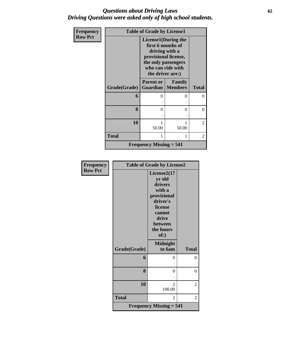### *Questions about Driving Laws* **62** *Driving Questions were asked only of high school students.*

| Frequency      |              | <b>Table of Grade by License1</b>                                                                                                                          |                                 |              |  |
|----------------|--------------|------------------------------------------------------------------------------------------------------------------------------------------------------------|---------------------------------|--------------|--|
| <b>Row Pct</b> |              | <b>License1</b> (During the<br>first 6 months of<br>driving with a<br>provisional license,<br>the only passengers<br>who can ride with<br>the driver are:) |                                 |              |  |
|                | Grade(Grade) | <b>Parent or</b><br>Guardian                                                                                                                               | <b>Family</b><br><b>Members</b> | <b>Total</b> |  |
|                | 6            | 0                                                                                                                                                          | 0                               | 0            |  |
|                | 8            | 0                                                                                                                                                          | 0                               | 0            |  |
|                | 10           | 50.00                                                                                                                                                      | 1<br>50.00                      | 2            |  |
|                | <b>Total</b> | 1                                                                                                                                                          | 1                               | 2            |  |
|                |              | <b>Frequency Missing = 541</b>                                                                                                                             |                                 |              |  |

| <b>Frequency</b> | <b>Table of Grade by License2</b> |                                                                                                                                     |                |  |
|------------------|-----------------------------------|-------------------------------------------------------------------------------------------------------------------------------------|----------------|--|
| <b>Row Pct</b>   |                                   | License2(17<br>yr old<br>drivers<br>with a<br>provisional<br>driver's<br>license<br>cannot<br>drive<br>between<br>the hours<br>of:) |                |  |
|                  | Grade(Grade)                      | <b>Midnight</b><br>to 6am                                                                                                           | <b>Total</b>   |  |
|                  | 6                                 | 0                                                                                                                                   | $\theta$       |  |
|                  | 8                                 | 0                                                                                                                                   | $\overline{0}$ |  |
|                  | 10                                | $\mathfrak{D}$<br>100.00                                                                                                            | 2              |  |
|                  | <b>Total</b>                      | $\overline{2}$                                                                                                                      | 2              |  |
|                  |                                   | <b>Frequency Missing = 541</b>                                                                                                      |                |  |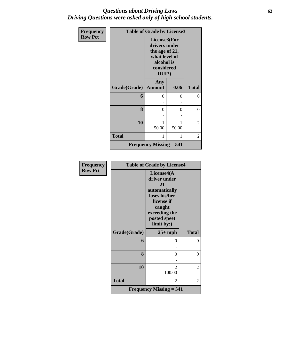### *Questions about Driving Laws* **63** *Driving Questions were asked only of high school students.*

| Frequency      | <b>Table of Grade by License3</b> |                                                                                                       |          |                |  |
|----------------|-----------------------------------|-------------------------------------------------------------------------------------------------------|----------|----------------|--|
| <b>Row Pct</b> |                                   | License3(For<br>drivers under<br>the age of 21,<br>what level of<br>alcohol is<br>considered<br>DUI?) |          |                |  |
|                | Grade(Grade)                      | Any<br><b>Amount</b>                                                                                  | 0.06     | <b>Total</b>   |  |
|                | 6                                 | 0                                                                                                     | $\Omega$ | $\overline{0}$ |  |
|                | 8                                 | $\theta$                                                                                              | $\Omega$ | $\overline{0}$ |  |
|                | 10                                | 1<br>50.00                                                                                            | 50.00    | 2              |  |
|                | <b>Total</b>                      | 1                                                                                                     | 1        | 2              |  |
|                |                                   | <b>Frequency Missing <math>= 541</math></b>                                                           |          |                |  |

| <b>Frequency</b> | <b>Table of Grade by License4</b> |                                                                                                                                           |              |  |
|------------------|-----------------------------------|-------------------------------------------------------------------------------------------------------------------------------------------|--------------|--|
| <b>Row Pct</b>   |                                   | License4(A<br>driver under<br>21<br>automatically<br>loses his/her<br>license if<br>caught<br>exceeding the<br>posted speet<br>limit by:) |              |  |
|                  | Grade(Grade)                      | $25+mph$                                                                                                                                  | <b>Total</b> |  |
|                  | 6                                 | 0                                                                                                                                         | 0            |  |
|                  |                                   |                                                                                                                                           |              |  |
|                  | 8                                 | 0                                                                                                                                         | 0            |  |
|                  |                                   |                                                                                                                                           |              |  |
|                  | 10                                | $\mathcal{D}_{\mathcal{L}}$<br>100.00                                                                                                     | 2            |  |
|                  | <b>Total</b>                      | $\mathfrak{D}$                                                                                                                            | 2            |  |
|                  |                                   | <b>Frequency Missing = 541</b>                                                                                                            |              |  |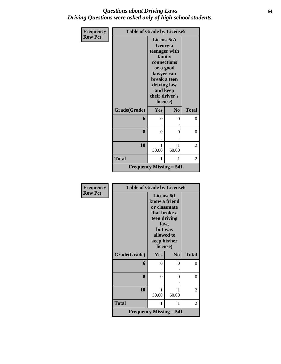### *Questions about Driving Laws* **64** *Driving Questions were asked only of high school students.*

| <b>Frequency</b> | <b>Table of Grade by License5</b>           |                                                                                                                                                                         |                |                |
|------------------|---------------------------------------------|-------------------------------------------------------------------------------------------------------------------------------------------------------------------------|----------------|----------------|
| <b>Row Pct</b>   |                                             | License $5(A)$<br>Georgia<br>teenager with<br>family<br>connections<br>or a good<br>lawyer can<br>break a teen<br>driving law<br>and keep<br>their driver's<br>license) |                |                |
|                  | Grade(Grade)                                | Yes                                                                                                                                                                     | N <sub>0</sub> | <b>Total</b>   |
|                  | 6                                           | $\theta$                                                                                                                                                                | 0              | 0              |
|                  |                                             |                                                                                                                                                                         |                |                |
|                  | 8                                           | 0                                                                                                                                                                       | 0              | 0              |
|                  |                                             |                                                                                                                                                                         |                |                |
|                  | 10                                          | 1<br>50.00                                                                                                                                                              | 1<br>50.00     | 2              |
|                  | <b>Total</b>                                | 1                                                                                                                                                                       | 1              | $\overline{2}$ |
|                  | <b>Frequency Missing <math>= 541</math></b> |                                                                                                                                                                         |                |                |

| Frequency      | <b>Table of Grade by License6</b> |                                                                                                                                                       |                |              |
|----------------|-----------------------------------|-------------------------------------------------------------------------------------------------------------------------------------------------------|----------------|--------------|
| <b>Row Pct</b> |                                   | License <sub>6</sub> (I<br>know a friend<br>or classmate<br>that broke a<br>teen driving<br>law,<br>but was<br>allowed to<br>keep his/her<br>license) |                |              |
|                | Grade(Grade)                      | Yes                                                                                                                                                   | N <sub>0</sub> | <b>Total</b> |
|                | 6                                 | 0                                                                                                                                                     | 0              | 0            |
|                |                                   |                                                                                                                                                       |                |              |
|                | 8                                 | 0                                                                                                                                                     | 0              | $\Omega$     |
|                | 10                                | 1<br>50.00                                                                                                                                            | 1<br>50.00     | 2            |
|                | <b>Total</b>                      | 1                                                                                                                                                     | 1              | 2            |
|                | Frequency Missing $= 541$         |                                                                                                                                                       |                |              |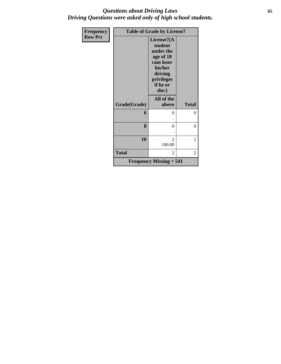### *Questions about Driving Laws* **65** *Driving Questions were asked only of high school students.*

| <b>Frequency</b> | <b>Table of Grade by License7</b> |                                                                                                                       |                |  |
|------------------|-----------------------------------|-----------------------------------------------------------------------------------------------------------------------|----------------|--|
| <b>Row Pct</b>   |                                   | License7(A<br>student<br>under the<br>age of 18<br>cam loser<br>his/her<br>driving<br>privileges<br>if he or<br>she:) |                |  |
|                  | Grade(Grade)                      | All of the<br>above                                                                                                   | <b>Total</b>   |  |
|                  | 6                                 | 0                                                                                                                     | $\theta$       |  |
|                  | 8                                 | $\theta$                                                                                                              | 0              |  |
|                  | 10                                | $\mathfrak{D}$<br>100.00                                                                                              | $\overline{c}$ |  |
|                  | <b>Total</b>                      | $\overline{2}$                                                                                                        | 2              |  |
|                  |                                   | <b>Frequency Missing = 541</b>                                                                                        |                |  |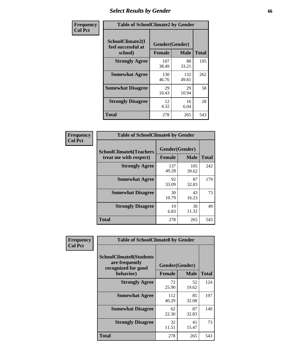## *Select Results by Gender* **66**

| Frequency      |                                                   | <b>Table of SchoolClimate2 by Gender</b> |              |              |  |
|----------------|---------------------------------------------------|------------------------------------------|--------------|--------------|--|
| <b>Col Pct</b> | SchoolClimate2(I<br>feel successful at<br>school) | Gender(Gender)<br><b>Female</b>          | <b>Male</b>  | <b>Total</b> |  |
|                | <b>Strongly Agree</b>                             | 107<br>38.49                             | 88<br>33.21  | 195          |  |
|                | <b>Somewhat Agree</b>                             | 130<br>46.76                             | 132<br>49.81 | 262          |  |
|                | <b>Somewhat Disagree</b>                          | 29<br>10.43                              | 29<br>10.94  | 58           |  |
|                | <b>Strongly Disagree</b>                          | 12<br>4.32                               | 16<br>6.04   | 28           |  |
|                | <b>Total</b>                                      | 278                                      | 265          | 543          |  |

| Frequency      | <b>Table of SchoolClimate6 by Gender</b>                 |                                 |              |              |  |
|----------------|----------------------------------------------------------|---------------------------------|--------------|--------------|--|
| <b>Col Pct</b> | <b>SchoolClimate6(Teachers</b><br>treat me with respect) | Gender(Gender)<br><b>Female</b> | <b>Male</b>  | <b>Total</b> |  |
|                | <b>Strongly Agree</b>                                    | 137<br>49.28                    | 105<br>39.62 | 242          |  |
|                | <b>Somewhat Agree</b>                                    | 92<br>33.09                     | 87<br>32.83  | 179          |  |
|                | <b>Somewhat Disagree</b>                                 | 30<br>10.79                     | 43<br>16.23  | 73           |  |
|                | <b>Strongly Disagree</b>                                 | 19<br>6.83                      | 30<br>11.32  | 49           |  |
|                | <b>Total</b>                                             | 278                             | 265          | 543          |  |

| Frequency      | <b>Table of SchoolClimate8 by Gender</b>                                             |               |                               |              |  |
|----------------|--------------------------------------------------------------------------------------|---------------|-------------------------------|--------------|--|
| <b>Col Pct</b> | <b>SchoolClimate8(Students</b><br>are frequently<br>recognized for good<br>behavior) | <b>Female</b> | Gender(Gender)<br><b>Male</b> | <b>Total</b> |  |
|                | <b>Strongly Agree</b>                                                                | 72            | 52                            | 124          |  |
|                |                                                                                      | 25.90         | 19.62                         |              |  |
|                | <b>Somewhat Agree</b>                                                                | 112<br>40.29  | 85<br>32.08                   | 197          |  |
|                | <b>Somewhat Disagree</b>                                                             | 62<br>22.30   | 87<br>32.83                   | 149          |  |
|                | <b>Strongly Disagree</b>                                                             | 32<br>11.51   | 41<br>15.47                   | 73           |  |
|                | Total                                                                                | 278           | 265                           | 543          |  |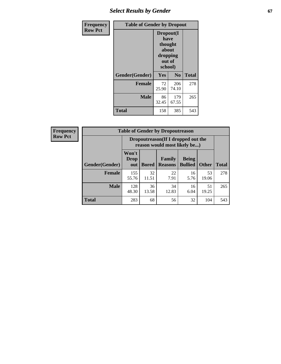## **Select Results by Gender** 67

| Frequency      | <b>Table of Gender by Dropout</b> |                                                                        |                |              |
|----------------|-----------------------------------|------------------------------------------------------------------------|----------------|--------------|
| <b>Row Pct</b> |                                   | Dropout(I<br>have<br>thought<br>about<br>dropping<br>out of<br>school) |                |              |
|                | Gender(Gender)                    | Yes                                                                    | N <sub>0</sub> | <b>Total</b> |
|                | <b>Female</b>                     | 72<br>25.90                                                            | 206<br>74.10   | 278          |
|                | <b>Male</b>                       | 86<br>32.45                                                            | 179<br>67.55   | 265          |
|                | <b>Total</b>                      | 158                                                                    | 385            | 543          |

22 7.91

34 12.83

**Being Bullied Other**

> 16 5.76

16 6.04

| <b>Frequency</b> | <b>Table of Gender by Dropoutreason</b> |                                                                    |    |                                                   |              |     |  |
|------------------|-----------------------------------------|--------------------------------------------------------------------|----|---------------------------------------------------|--------------|-----|--|
| <b>Row Pct</b>   |                                         | Dropoutreason(If I dropped out the<br>reason would most likely be) |    |                                                   |              |     |  |
|                  |                                         | Won't                                                              |    |                                                   |              |     |  |
|                  | Gender(Gender)                          | <b>Drop</b><br>out                                                 |    | <b>Family</b><br><b>Bored   Reasons   Bullied</b> | <b>Being</b> | Oth |  |
|                  | Female                                  | 155                                                                | 32 | 22                                                | 16           |     |  |

-f ٦

55.76

48.30

**Male** 128

11.51

36 13.58

**Total** 283 68 56 32 104 543

**Total**

278

265

53 19.06

51 19.25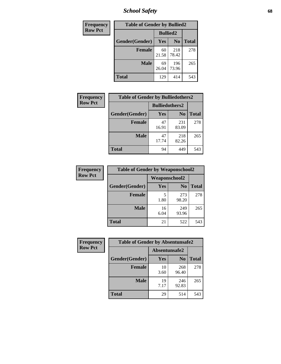*School Safety* **68**

| Frequency      | <b>Table of Gender by Bullied2</b> |                 |                |              |
|----------------|------------------------------------|-----------------|----------------|--------------|
| <b>Row Pct</b> |                                    | <b>Bullied2</b> |                |              |
|                | Gender(Gender)                     | <b>Yes</b>      | N <sub>0</sub> | <b>Total</b> |
|                | <b>Female</b>                      | 60<br>21.58     | 218<br>78.42   | 278          |
|                | <b>Male</b>                        | 69<br>26.04     | 196<br>73.96   | 265          |
|                | <b>Total</b>                       | 129             | 414            | 543          |

| <b>Frequency</b> | <b>Table of Gender by Bulliedothers2</b> |                       |                |              |
|------------------|------------------------------------------|-----------------------|----------------|--------------|
| <b>Row Pct</b>   |                                          | <b>Bulliedothers2</b> |                |              |
|                  | Gender(Gender)                           | Yes                   | N <sub>0</sub> | <b>Total</b> |
|                  | <b>Female</b>                            | 47<br>16.91           | 231<br>83.09   | 278          |
|                  | <b>Male</b>                              | 47<br>17.74           | 218<br>82.26   | 265          |
|                  | <b>Total</b>                             | 94                    | 449            | 543          |

| Frequency      | <b>Table of Gender by Weaponschool2</b> |                      |                |              |
|----------------|-----------------------------------------|----------------------|----------------|--------------|
| <b>Row Pct</b> |                                         | <b>Weaponschool2</b> |                |              |
|                | Gender(Gender)                          | Yes                  | N <sub>0</sub> | <b>Total</b> |
|                | <b>Female</b>                           | 1.80                 | 273<br>98.20   | 278          |
|                | <b>Male</b>                             | 16<br>6.04           | 249<br>93.96   | 265          |
|                | <b>Total</b>                            | 21                   | 522            | 543          |

| Frequency      | <b>Table of Gender by Absentunsafe2</b> |               |                |              |
|----------------|-----------------------------------------|---------------|----------------|--------------|
| <b>Row Pct</b> |                                         | Absentunsafe2 |                |              |
|                | Gender(Gender)                          | Yes           | N <sub>0</sub> | <b>Total</b> |
|                | <b>Female</b>                           | 10<br>3.60    | 268<br>96.40   | 278          |
|                | <b>Male</b>                             | 19<br>7.17    | 246<br>92.83   | 265          |
|                | <b>Total</b>                            | 29            | 514            | 543          |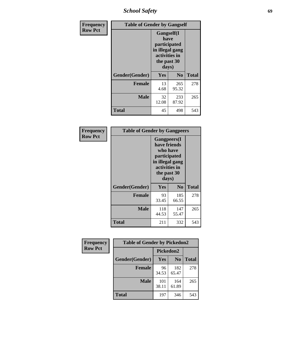*School Safety* **69**

| Frequency      | <b>Table of Gender by Gangself</b> |                                                                                                        |                |              |
|----------------|------------------------------------|--------------------------------------------------------------------------------------------------------|----------------|--------------|
| <b>Row Pct</b> |                                    | <b>Gangself</b> (I<br>have<br>participated<br>in illegal gang<br>activities in<br>the past 30<br>days) |                |              |
|                | Gender(Gender)                     | Yes                                                                                                    | N <sub>0</sub> | <b>Total</b> |
|                | <b>Female</b>                      | 13<br>4.68                                                                                             | 265<br>95.32   | 278          |
|                | <b>Male</b>                        | 32<br>12.08                                                                                            | 233<br>87.92   | 265          |
|                | <b>Total</b>                       | 45                                                                                                     | 498            | 543          |

| Frequency      | <b>Table of Gender by Gangpeers</b> |                                                                                                                             |                |              |
|----------------|-------------------------------------|-----------------------------------------------------------------------------------------------------------------------------|----------------|--------------|
| <b>Row Pct</b> |                                     | <b>Gangpeers</b> (I<br>have friends<br>who have<br>participated<br>in illegal gang<br>activities in<br>the past 30<br>days) |                |              |
|                | Gender(Gender)                      | Yes                                                                                                                         | N <sub>0</sub> | <b>Total</b> |
|                | <b>Female</b>                       | 93<br>33.45                                                                                                                 | 185<br>66.55   | 278          |
|                | <b>Male</b>                         | 118<br>44.53                                                                                                                | 147<br>55.47   | 265          |
|                | <b>Total</b>                        | 211                                                                                                                         | 332            | 543          |

| Frequency      | <b>Table of Gender by Pickedon2</b> |              |                |              |
|----------------|-------------------------------------|--------------|----------------|--------------|
| <b>Row Pct</b> |                                     | Pickedon2    |                |              |
|                | Gender(Gender)                      | Yes          | N <sub>0</sub> | <b>Total</b> |
|                | <b>Female</b>                       | 96<br>34.53  | 182<br>65.47   | 278          |
|                | <b>Male</b>                         | 101<br>38.11 | 164<br>61.89   | 265          |
|                | <b>Total</b>                        | 197          | 346            | 543          |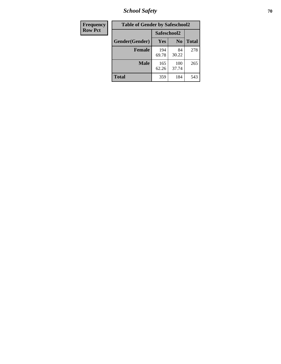*School Safety* **70**

| Frequency      | <b>Table of Gender by Safeschool2</b> |              |                |              |
|----------------|---------------------------------------|--------------|----------------|--------------|
| <b>Row Pct</b> |                                       | Safeschool2  |                |              |
|                | Gender(Gender)                        | <b>Yes</b>   | N <sub>0</sub> | <b>Total</b> |
|                | <b>Female</b>                         | 194<br>69.78 | 84<br>30.22    | 278          |
|                | <b>Male</b>                           | 165<br>62.26 | 100<br>37.74   | 265          |
|                | <b>Total</b>                          | 359          | 184            | 543          |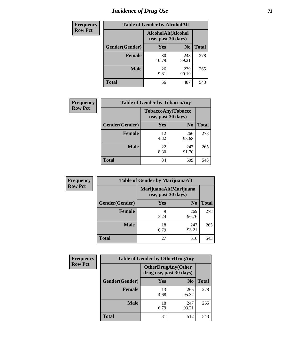# *Incidence of Drug Use* <sup>71</sup>

| <b>Frequency</b> | <b>Table of Gender by AlcoholAlt</b> |                                          |                |              |
|------------------|--------------------------------------|------------------------------------------|----------------|--------------|
| <b>Row Pct</b>   |                                      | AlcoholAlt(Alcohol<br>use, past 30 days) |                |              |
|                  | Gender(Gender)                       | <b>Yes</b>                               | N <sub>0</sub> | <b>Total</b> |
|                  | <b>Female</b>                        | 30<br>10.79                              | 248<br>89.21   | 278          |
|                  | <b>Male</b>                          | 26<br>9.81                               | 239<br>90.19   | 265          |
|                  | <b>Total</b>                         | 56                                       | 487            | 543          |

| <b>Frequency</b> | <b>Table of Gender by TobaccoAny</b>     |            |                |              |
|------------------|------------------------------------------|------------|----------------|--------------|
| <b>Row Pct</b>   | TobaccoAny(Tobacco<br>use, past 30 days) |            |                |              |
|                  | Gender(Gender)                           | Yes        | N <sub>0</sub> | <b>Total</b> |
|                  | Female                                   | 12<br>4.32 | 266<br>95.68   | 278          |
|                  | <b>Male</b>                              | 22<br>8.30 | 243<br>91.70   | 265          |
|                  | <b>Total</b>                             | 34         | 509            | 543          |

| <b>Frequency</b><br><b>Row Pct</b> | <b>Table of Gender by MarijuanaAlt</b> |                                              |                |              |
|------------------------------------|----------------------------------------|----------------------------------------------|----------------|--------------|
|                                    |                                        | MarijuanaAlt(Marijuana<br>use, past 30 days) |                |              |
|                                    | Gender(Gender)                         | <b>Yes</b>                                   | N <sub>0</sub> | <b>Total</b> |
|                                    | Female                                 | 9<br>3.24                                    | 269<br>96.76   | 278          |
|                                    | <b>Male</b>                            | 18<br>6.79                                   | 247<br>93.21   | 265          |
|                                    | <b>Total</b>                           | 27                                           | 516            | 543          |

| <b>Frequency</b> | <b>Table of Gender by OtherDrugAny</b> |                                                      |                |              |
|------------------|----------------------------------------|------------------------------------------------------|----------------|--------------|
| <b>Row Pct</b>   |                                        | <b>OtherDrugAny(Other</b><br>drug use, past 30 days) |                |              |
|                  | Gender(Gender)                         | <b>Yes</b>                                           | N <sub>0</sub> | <b>Total</b> |
|                  | <b>Female</b>                          | 13<br>4.68                                           | 265<br>95.32   | 278          |
|                  | <b>Male</b>                            | 18<br>6.79                                           | 247<br>93.21   | 265          |
|                  | <b>Total</b>                           | 31                                                   | 512            | 543          |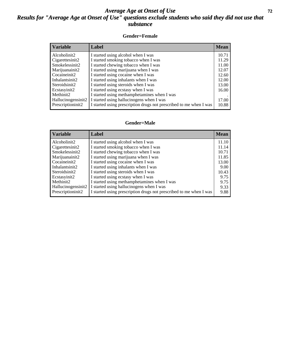### *Average Age at Onset of Use* **72** *Results for "Average Age at Onset of Use" questions exclude students who said they did not use that substance*

#### **Gender=Female**

| <b>Variable</b>    | Label                                                              | <b>Mean</b> |
|--------------------|--------------------------------------------------------------------|-------------|
| Alcoholinit2       | I started using alcohol when I was                                 | 10.71       |
| Cigarettesinit2    | I started smoking tobacco when I was                               | 11.29       |
| Smokelessinit2     | I started chewing tobacco when I was                               | 11.00       |
| Marijuanainit2     | I started using marijuana when I was                               | 12.07       |
| Cocaineinit2       | I started using cocaine when I was                                 | 12.60       |
| Inhalantsinit2     | I started using inhalants when I was                               | 12.00       |
| Steroidsinit2      | I started using steroids when I was                                | 13.00       |
| Ecstasyinit2       | I started using ecstasy when I was                                 | 16.00       |
| Methinit2          | I started using methamphetamines when I was                        |             |
| Hallucinogensinit2 | I started using hallucinogens when I was                           | 17.00       |
| Prescriptioninit2  | I started using prescription drugs not prescribed to me when I was | 10.88       |

#### **Gender=Male**

| <b>Variable</b>    | Label                                                              | <b>Mean</b> |
|--------------------|--------------------------------------------------------------------|-------------|
| Alcoholinit2       | I started using alcohol when I was                                 | 11.10       |
| Cigarettesinit2    | I started smoking tobacco when I was                               | 11.14       |
| Smokelessinit2     | I started chewing tobacco when I was                               | 10.71       |
| Marijuanainit2     | I started using marijuana when I was                               | 11.85       |
| Cocaineinit2       | I started using cocaine when I was                                 | 13.00       |
| Inhalantsinit2     | I started using inhalants when I was                               | 9.00        |
| Steroidsinit2      | I started using steroids when I was                                | 10.43       |
| Ecstasyinit2       | I started using ecstasy when I was                                 | 9.75        |
| Methinit2          | I started using methamphetamines when I was                        | 9.75        |
| Hallucinogensinit2 | I started using hallucinogens when I was                           | 9.33        |
| Prescriptioninit2  | I started using prescription drugs not prescribed to me when I was | 9.88        |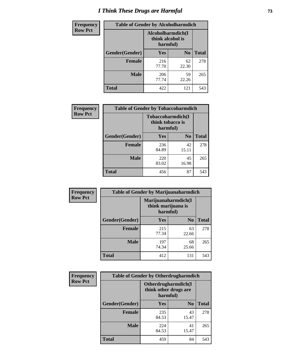# *I Think These Drugs are Harmful* **73**

| <b>Frequency</b> | <b>Table of Gender by Alcoholharmdich</b> |                                                   |                |              |
|------------------|-------------------------------------------|---------------------------------------------------|----------------|--------------|
| <b>Row Pct</b>   |                                           | Alcoholharmdich(I<br>think alcohol is<br>harmful) |                |              |
|                  | Gender(Gender)                            | Yes                                               | N <sub>0</sub> | <b>Total</b> |
|                  | <b>Female</b>                             | 216<br>77.70                                      | 62<br>22.30    | 278          |
|                  | <b>Male</b>                               | 206<br>77.74                                      | 59<br>22.26    | 265          |
|                  | Total                                     | 422                                               | 121            | 543          |

| Frequency      | <b>Table of Gender by Tobaccoharmdich</b> |                                                   |                |              |
|----------------|-------------------------------------------|---------------------------------------------------|----------------|--------------|
| <b>Row Pct</b> |                                           | Tobaccoharmdich(I<br>think tobacco is<br>harmful) |                |              |
|                | Gender(Gender)                            | <b>Yes</b>                                        | N <sub>0</sub> | <b>Total</b> |
|                | <b>Female</b>                             | 236<br>84.89                                      | 42<br>15.11    | 278          |
|                | <b>Male</b>                               | 220<br>83.02                                      | 45<br>16.98    | 265          |
|                | <b>Total</b>                              | 456                                               | 87             | 543          |

| Frequency      | <b>Table of Gender by Marijuanaharmdich</b> |                                                       |                |              |
|----------------|---------------------------------------------|-------------------------------------------------------|----------------|--------------|
| <b>Row Pct</b> |                                             | Marijuanaharmdich(I<br>think marijuana is<br>harmful) |                |              |
|                | Gender(Gender)                              | <b>Yes</b>                                            | N <sub>0</sub> | <b>Total</b> |
|                | <b>Female</b>                               | 215<br>77.34                                          | 63<br>22.66    | 278          |
|                | <b>Male</b>                                 | 197<br>74.34                                          | 68<br>25.66    | 265          |
|                | <b>Total</b>                                | 412                                                   | 131            | 543          |

| Frequency      | <b>Table of Gender by Otherdrugharmdich</b> |                                                          |                |              |
|----------------|---------------------------------------------|----------------------------------------------------------|----------------|--------------|
| <b>Row Pct</b> |                                             | Otherdrugharmdich(I<br>think other drugs are<br>harmful) |                |              |
|                | Gender(Gender)                              | <b>Yes</b>                                               | N <sub>0</sub> | <b>Total</b> |
|                | <b>Female</b>                               | 235<br>84.53                                             | 43<br>15.47    | 278          |
|                | <b>Male</b>                                 | 224<br>84.53                                             | 41<br>15.47    | 265          |
|                | <b>Total</b>                                | 459                                                      | 84             | 543          |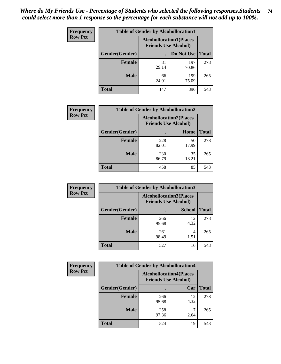| <b>Frequency</b> | <b>Table of Gender by Alcohollocation1</b> |                                                               |              |              |
|------------------|--------------------------------------------|---------------------------------------------------------------|--------------|--------------|
| <b>Row Pct</b>   |                                            | <b>Alcohollocation1(Places</b><br><b>Friends Use Alcohol)</b> |              |              |
|                  | Gender(Gender)                             |                                                               | Do Not Use   | <b>Total</b> |
|                  | <b>Female</b>                              | 81<br>29.14                                                   | 197<br>70.86 | 278          |
|                  | <b>Male</b>                                | 66<br>24.91                                                   | 199<br>75.09 | 265          |
|                  | <b>Total</b>                               | 147                                                           | 396          | 543          |

| <b>Frequency</b> | <b>Table of Gender by Alcohollocation2</b> |              |                                                               |              |
|------------------|--------------------------------------------|--------------|---------------------------------------------------------------|--------------|
| <b>Row Pct</b>   |                                            |              | <b>Alcohollocation2(Places</b><br><b>Friends Use Alcohol)</b> |              |
|                  | Gender(Gender)                             |              | Home                                                          | <b>Total</b> |
|                  | <b>Female</b>                              | 228<br>82.01 | 50<br>17.99                                                   | 278          |
|                  | <b>Male</b>                                | 230<br>86.79 | 35<br>13.21                                                   | 265          |
|                  | <b>Total</b>                               | 458          | 85                                                            | 543          |

| Frequency      | <b>Table of Gender by Alcohollocation3</b> |              |                                                               |              |
|----------------|--------------------------------------------|--------------|---------------------------------------------------------------|--------------|
| <b>Row Pct</b> |                                            |              | <b>Alcohollocation3(Places</b><br><b>Friends Use Alcohol)</b> |              |
|                | Gender(Gender)                             |              | <b>School</b>                                                 | <b>Total</b> |
|                | <b>Female</b>                              | 266<br>95.68 | 12<br>4.32                                                    | 278          |
|                | <b>Male</b>                                | 261<br>98.49 | 4<br>1.51                                                     | 265          |
|                | <b>Total</b>                               | 527          | 16                                                            | 543          |

| Frequency      | <b>Table of Gender by Alcohollocation4</b> |                                                               |            |              |
|----------------|--------------------------------------------|---------------------------------------------------------------|------------|--------------|
| <b>Row Pct</b> |                                            | <b>Alcohollocation4(Places</b><br><b>Friends Use Alcohol)</b> |            |              |
|                | Gender(Gender)                             |                                                               | Car        | <b>Total</b> |
|                | <b>Female</b>                              | 266<br>95.68                                                  | 12<br>4.32 | 278          |
|                | <b>Male</b>                                | 258<br>97.36                                                  | 2.64       | 265          |
|                | <b>Total</b>                               | 524                                                           | 19         | 543          |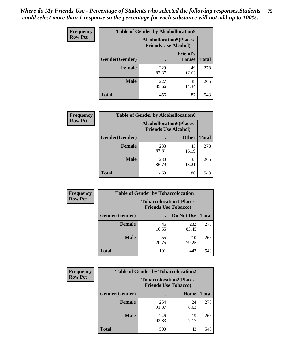| <b>Frequency</b> | <b>Table of Gender by Alcohollocation5</b> |                                                                |                                 |              |
|------------------|--------------------------------------------|----------------------------------------------------------------|---------------------------------|--------------|
| <b>Row Pct</b>   |                                            | <b>Alcohollocation5</b> (Places<br><b>Friends Use Alcohol)</b> |                                 |              |
|                  | Gender(Gender)                             |                                                                | <b>Friend's</b><br><b>House</b> | <b>Total</b> |
|                  | <b>Female</b>                              | 229<br>82.37                                                   | 49<br>17.63                     | 278          |
|                  | <b>Male</b>                                | 227<br>85.66                                                   | 38<br>14.34                     | 265          |
|                  | <b>Total</b>                               | 456                                                            | 87                              | 543          |

| Frequency      | <b>Table of Gender by Alcohollocation6</b> |                                                               |              |              |  |
|----------------|--------------------------------------------|---------------------------------------------------------------|--------------|--------------|--|
| <b>Row Pct</b> |                                            | <b>Alcohollocation6(Places</b><br><b>Friends Use Alcohol)</b> |              |              |  |
|                | <b>Gender</b> (Gender)                     |                                                               | <b>Other</b> | <b>Total</b> |  |
|                | <b>Female</b>                              | 233<br>83.81                                                  | 45<br>16.19  | 278          |  |
|                | <b>Male</b>                                | 230<br>86.79                                                  | 35<br>13.21  | 265          |  |
|                | <b>Total</b>                               | 463                                                           | 80           | 543          |  |

| Frequency      | <b>Table of Gender by Tobaccolocation1</b> |                                                               |              |              |  |
|----------------|--------------------------------------------|---------------------------------------------------------------|--------------|--------------|--|
| <b>Row Pct</b> |                                            | <b>Tobaccolocation1(Places</b><br><b>Friends Use Tobacco)</b> |              |              |  |
|                | Gender(Gender)                             |                                                               | Do Not Use   | <b>Total</b> |  |
|                | <b>Female</b>                              | 46<br>16.55                                                   | 232<br>83.45 | 278          |  |
|                | <b>Male</b>                                | 55<br>20.75                                                   | 210<br>79.25 | 265          |  |
|                | <b>Total</b>                               | 101                                                           | 442          | 543          |  |

| <b>Frequency</b> | <b>Table of Gender by Tobaccolocation2</b> |                                                               |            |              |  |
|------------------|--------------------------------------------|---------------------------------------------------------------|------------|--------------|--|
| <b>Row Pct</b>   |                                            | <b>Tobaccolocation2(Places</b><br><b>Friends Use Tobacco)</b> |            |              |  |
|                  | Gender(Gender)                             |                                                               | Home       | <b>Total</b> |  |
|                  | Female                                     | 254<br>91.37                                                  | 24<br>8.63 | 278          |  |
|                  | <b>Male</b>                                | 246<br>92.83                                                  | 19<br>7.17 | 265          |  |
|                  | <b>Total</b>                               | 500                                                           | 43         | 543          |  |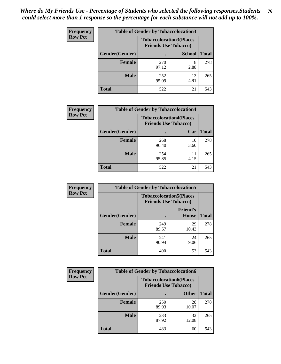| <b>Frequency</b> | <b>Table of Gender by Tobaccolocation3</b> |                                                               |               |              |
|------------------|--------------------------------------------|---------------------------------------------------------------|---------------|--------------|
| <b>Row Pct</b>   |                                            | <b>Tobaccolocation3(Places</b><br><b>Friends Use Tobacco)</b> |               |              |
|                  | Gender(Gender)                             |                                                               | <b>School</b> | <b>Total</b> |
|                  | <b>Female</b>                              | 270<br>97.12                                                  | 8<br>2.88     | 278          |
|                  | <b>Male</b>                                | 252<br>95.09                                                  | 13<br>4.91    | 265          |
|                  | <b>Total</b>                               | 522                                                           | 21            | 543          |

| <b>Frequency</b> | <b>Table of Gender by Tobaccolocation4</b> |                                                               |            |              |
|------------------|--------------------------------------------|---------------------------------------------------------------|------------|--------------|
| <b>Row Pct</b>   |                                            | <b>Tobaccolocation4(Places</b><br><b>Friends Use Tobacco)</b> |            |              |
|                  | Gender(Gender)                             |                                                               | Car        | <b>Total</b> |
|                  | <b>Female</b>                              | 268<br>96.40                                                  | 10<br>3.60 | 278          |
|                  | <b>Male</b>                                | 254<br>95.85                                                  | 11<br>4.15 | 265          |
|                  | <b>Total</b>                               | 522                                                           | 21         | 543          |

| <b>Frequency</b> | <b>Table of Gender by Tobaccolocation5</b> |                             |                                 |              |
|------------------|--------------------------------------------|-----------------------------|---------------------------------|--------------|
| <b>Row Pct</b>   |                                            | <b>Friends Use Tobacco)</b> | <b>Tobaccolocation5(Places</b>  |              |
|                  | Gender(Gender)                             |                             | <b>Friend's</b><br><b>House</b> | <b>Total</b> |
|                  | <b>Female</b>                              | 249<br>89.57                | 29<br>10.43                     | 278          |
|                  | <b>Male</b>                                | 241<br>90.94                | 24<br>9.06                      | 265          |
|                  | <b>Total</b>                               | 490                         | 53                              | 543          |

| <b>Frequency</b> | <b>Table of Gender by Tobaccolocation6</b> |                                                               |              |              |
|------------------|--------------------------------------------|---------------------------------------------------------------|--------------|--------------|
| <b>Row Pct</b>   |                                            | <b>Tobaccolocation6(Places</b><br><b>Friends Use Tobacco)</b> |              |              |
|                  | Gender(Gender)                             |                                                               | <b>Other</b> | <b>Total</b> |
|                  | Female                                     | 250<br>89.93                                                  | 28<br>10.07  | 278          |
|                  | <b>Male</b>                                | 233<br>87.92                                                  | 32<br>12.08  | 265          |
|                  | <b>Total</b>                               | 483                                                           | 60           | 543          |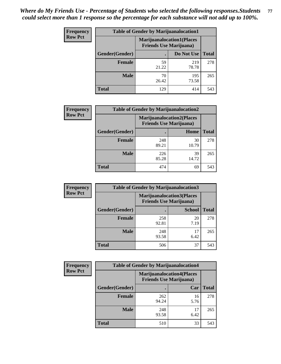| <b>Frequency</b> | <b>Table of Gender by Marijuanalocation1</b> |                                                                    |              |              |  |
|------------------|----------------------------------------------|--------------------------------------------------------------------|--------------|--------------|--|
| <b>Row Pct</b>   |                                              | <b>Marijuanalocation1(Places</b><br><b>Friends Use Marijuana</b> ) |              |              |  |
|                  | Gender(Gender)                               |                                                                    | Do Not Use   | <b>Total</b> |  |
|                  | <b>Female</b>                                | 59<br>21.22                                                        | 219<br>78.78 | 278          |  |
|                  | <b>Male</b>                                  | 70<br>26.42                                                        | 195<br>73.58 | 265          |  |
|                  | <b>Total</b>                                 | 129                                                                | 414          | 543          |  |

| <b>Frequency</b> | <b>Table of Gender by Marijuanalocation2</b> |                                                                    |             |              |
|------------------|----------------------------------------------|--------------------------------------------------------------------|-------------|--------------|
| <b>Row Pct</b>   |                                              | <b>Marijuanalocation2(Places</b><br><b>Friends Use Marijuana</b> ) |             |              |
|                  | Gender(Gender)                               |                                                                    | Home        | <b>Total</b> |
|                  | Female                                       | 248<br>89.21                                                       | 30<br>10.79 | 278          |
|                  | <b>Male</b>                                  | 226<br>85.28                                                       | 39<br>14.72 | 265          |
|                  | <b>Total</b>                                 | 474                                                                | 69          | 543          |

| Frequency      |                | <b>Table of Gender by Marijuanalocation3</b>                       |               |              |
|----------------|----------------|--------------------------------------------------------------------|---------------|--------------|
| <b>Row Pct</b> |                | <b>Marijuanalocation3(Places</b><br><b>Friends Use Marijuana</b> ) |               |              |
|                | Gender(Gender) |                                                                    | <b>School</b> | <b>Total</b> |
|                | Female         | 258<br>92.81                                                       | 20<br>7.19    | 278          |
|                | <b>Male</b>    | 248<br>93.58                                                       | 17<br>6.42    | 265          |
|                | <b>Total</b>   | 506                                                                | 37            | 543          |

| <b>Frequency</b> | <b>Table of Gender by Marijuanalocation4</b> |              |                                                                    |              |
|------------------|----------------------------------------------|--------------|--------------------------------------------------------------------|--------------|
| <b>Row Pct</b>   |                                              |              | <b>Marijuanalocation4(Places</b><br><b>Friends Use Marijuana</b> ) |              |
|                  | Gender(Gender)                               |              | Car                                                                | <b>Total</b> |
|                  | <b>Female</b>                                | 262<br>94.24 | 16<br>5.76                                                         | 278          |
|                  | <b>Male</b>                                  | 248<br>93.58 | 17<br>6.42                                                         | 265          |
|                  | <b>Total</b>                                 | 510          | 33                                                                 | 543          |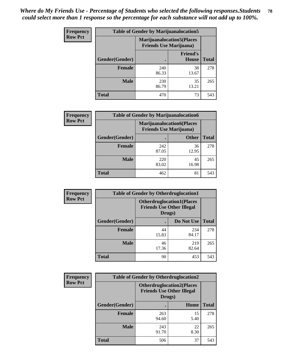| <b>Frequency</b> | <b>Table of Gender by Marijuanalocation5</b> |                                                                    |                          |              |
|------------------|----------------------------------------------|--------------------------------------------------------------------|--------------------------|--------------|
| <b>Row Pct</b>   |                                              | <b>Marijuanalocation5(Places</b><br><b>Friends Use Marijuana</b> ) |                          |              |
|                  | Gender(Gender)                               |                                                                    | <b>Friend's</b><br>House | <b>Total</b> |
|                  | <b>Female</b>                                | 240<br>86.33                                                       | 38<br>13.67              | 278          |
|                  | <b>Male</b>                                  | 230<br>86.79                                                       | 35<br>13.21              | 265          |
|                  | <b>Total</b>                                 | 470                                                                | 73                       | 543          |

| <b>Frequency</b> | <b>Table of Gender by Marijuanalocation6</b> |                                |                                  |              |
|------------------|----------------------------------------------|--------------------------------|----------------------------------|--------------|
| <b>Row Pct</b>   |                                              | <b>Friends Use Marijuana</b> ) | <b>Marijuanalocation6(Places</b> |              |
|                  | <b>Gender</b> (Gender)                       |                                | <b>Other</b>                     | <b>Total</b> |
|                  | <b>Female</b>                                | 242<br>87.05                   | 36<br>12.95                      | 278          |
|                  | <b>Male</b>                                  | 220<br>83.02                   | 45<br>16.98                      | 265          |
|                  | <b>Total</b>                                 | 462                            | 81                               | 543          |

| <b>Frequency</b> | <b>Table of Gender by Otherdruglocation1</b> |                                                                                |              |              |
|------------------|----------------------------------------------|--------------------------------------------------------------------------------|--------------|--------------|
| <b>Row Pct</b>   |                                              | <b>Otherdruglocation1(Places</b><br><b>Friends Use Other Illegal</b><br>Drugs) |              |              |
|                  | Gender(Gender)                               |                                                                                | Do Not Use   | <b>Total</b> |
|                  | <b>Female</b>                                | 44<br>15.83                                                                    | 234<br>84.17 | 278          |
|                  | <b>Male</b>                                  | 46<br>17.36                                                                    | 219<br>82.64 | 265          |
|                  | <b>Total</b>                                 | 90                                                                             | 453          | 543          |

| <b>Frequency</b> | <b>Table of Gender by Otherdruglocation2</b> |                                            |                                   |              |
|------------------|----------------------------------------------|--------------------------------------------|-----------------------------------|--------------|
| <b>Row Pct</b>   |                                              | <b>Friends Use Other Illegal</b><br>Drugs) | <b>Otherdruglocation2(Places)</b> |              |
|                  | Gender(Gender)                               |                                            | Home                              | <b>Total</b> |
|                  | Female                                       | 263<br>94.60                               | 15<br>5.40                        | 278          |
|                  | <b>Male</b>                                  | 243<br>91.70                               | 22<br>8.30                        | 265          |
|                  | <b>Total</b>                                 | 506                                        | 37                                | 543          |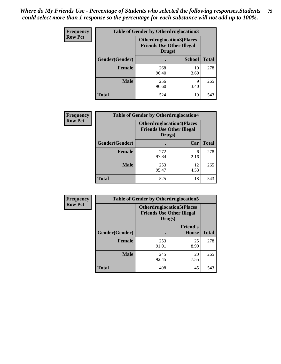| Frequency      | <b>Table of Gender by Otherdruglocation3</b> |                                                                                |               |              |
|----------------|----------------------------------------------|--------------------------------------------------------------------------------|---------------|--------------|
| <b>Row Pct</b> |                                              | <b>Otherdruglocation3(Places</b><br><b>Friends Use Other Illegal</b><br>Drugs) |               |              |
|                | Gender(Gender)                               |                                                                                | <b>School</b> | <b>Total</b> |
|                | <b>Female</b>                                | 268<br>96.40                                                                   | 10<br>3.60    | 278          |
|                | <b>Male</b>                                  | 256<br>96.60                                                                   | q<br>3.40     | 265          |
|                | <b>Total</b>                                 | 524                                                                            | 19            | 543          |

| Frequency      | <b>Table of Gender by Otherdruglocation4</b> |                                                                                |            |              |
|----------------|----------------------------------------------|--------------------------------------------------------------------------------|------------|--------------|
| <b>Row Pct</b> |                                              | <b>Otherdruglocation4(Places</b><br><b>Friends Use Other Illegal</b><br>Drugs) |            |              |
|                | Gender(Gender)                               |                                                                                | Car        | <b>Total</b> |
|                | <b>Female</b>                                | 272<br>97.84                                                                   | 6<br>2.16  | 278          |
|                | <b>Male</b>                                  | 253<br>95.47                                                                   | 12<br>4.53 | 265          |
|                | <b>Total</b>                                 | 525                                                                            | 18         | 543          |

| Frequency      | <b>Table of Gender by Otherdruglocation5</b> |                                                                                |                                 |              |
|----------------|----------------------------------------------|--------------------------------------------------------------------------------|---------------------------------|--------------|
| <b>Row Pct</b> |                                              | <b>Otherdruglocation5(Places</b><br><b>Friends Use Other Illegal</b><br>Drugs) |                                 |              |
|                | Gender(Gender)                               |                                                                                | <b>Friend's</b><br><b>House</b> | <b>Total</b> |
|                | <b>Female</b>                                | 253<br>91.01                                                                   | 25<br>8.99                      | 278          |
|                | <b>Male</b>                                  | 245<br>92.45                                                                   | 20<br>7.55                      | 265          |
|                | <b>Total</b>                                 | 498                                                                            | 45                              | 543          |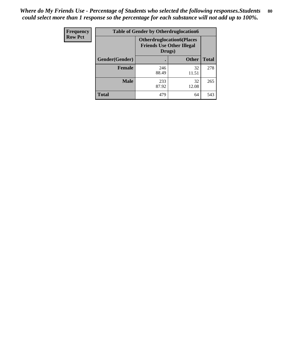| <b>Frequency</b> | <b>Table of Gender by Otherdruglocation6</b> |                                                                                |              |              |
|------------------|----------------------------------------------|--------------------------------------------------------------------------------|--------------|--------------|
| <b>Row Pct</b>   |                                              | <b>Otherdruglocation6(Places</b><br><b>Friends Use Other Illegal</b><br>Drugs) |              |              |
|                  | Gender(Gender)                               |                                                                                | <b>Other</b> | <b>Total</b> |
|                  | <b>Female</b>                                | 246<br>88.49                                                                   | 32<br>11.51  | 278          |
|                  | <b>Male</b>                                  | 233<br>87.92                                                                   | 32<br>12.08  | 265          |
|                  | <b>Total</b>                                 | 479                                                                            | 64           | 543          |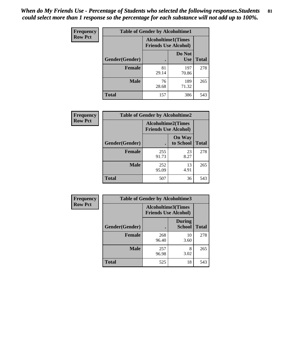| <b>Frequency</b> | <b>Table of Gender by Alcoholtime1</b> |                                                          |                      |              |
|------------------|----------------------------------------|----------------------------------------------------------|----------------------|--------------|
| <b>Row Pct</b>   |                                        | <b>Alcoholtime1(Times</b><br><b>Friends Use Alcohol)</b> |                      |              |
|                  | Gender(Gender)                         |                                                          | Do Not<br><b>Use</b> | <b>Total</b> |
|                  | <b>Female</b>                          | 81<br>29.14                                              | 197<br>70.86         | 278          |
|                  | <b>Male</b>                            | 76<br>28.68                                              | 189<br>71.32         | 265          |
|                  | <b>Total</b>                           | 157                                                      | 386                  | 543          |

| <b>Frequency</b> | <b>Table of Gender by Alcoholtime2</b> |                                                          |                            |              |
|------------------|----------------------------------------|----------------------------------------------------------|----------------------------|--------------|
| <b>Row Pct</b>   |                                        | <b>Alcoholtime2(Times</b><br><b>Friends Use Alcohol)</b> |                            |              |
|                  | Gender(Gender)                         |                                                          | <b>On Way</b><br>to School | <b>Total</b> |
|                  | <b>Female</b>                          | 255<br>91.73                                             | 23<br>8.27                 | 278          |
|                  | <b>Male</b>                            | 252<br>95.09                                             | 13<br>4.91                 | 265          |
|                  | <b>Total</b>                           | 507                                                      | 36                         | 543          |

| Frequency      | <b>Table of Gender by Alcoholtime3</b> |                                                          |                                |              |
|----------------|----------------------------------------|----------------------------------------------------------|--------------------------------|--------------|
| <b>Row Pct</b> |                                        | <b>Alcoholtime3(Times</b><br><b>Friends Use Alcohol)</b> |                                |              |
|                | Gender(Gender)                         |                                                          | <b>During</b><br><b>School</b> | <b>Total</b> |
|                | <b>Female</b>                          | 268<br>96.40                                             | 10<br>3.60                     | 278          |
|                | <b>Male</b>                            | 257<br>96.98                                             | 8<br>3.02                      | 265          |
|                | <b>Total</b>                           | 525                                                      | 18                             | 543          |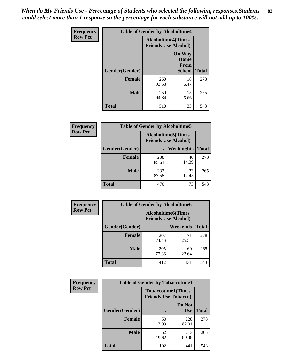*When do My Friends Use - Percentage of Students who selected the following responses.Students could select more than 1 response so the percentage for each substance will not add up to 100%.* **82**

| <b>Frequency</b> | <b>Table of Gender by Alcoholtime4</b> |                                                          |                                                |              |
|------------------|----------------------------------------|----------------------------------------------------------|------------------------------------------------|--------------|
| <b>Row Pct</b>   |                                        | <b>Alcoholtime4(Times</b><br><b>Friends Use Alcohol)</b> |                                                |              |
|                  | Gender(Gender)                         |                                                          | <b>On Way</b><br>Home<br>From<br><b>School</b> | <b>Total</b> |
|                  | <b>Female</b>                          | 260<br>93.53                                             | 18<br>6.47                                     | 278          |
|                  | <b>Male</b>                            | 250<br>94.34                                             | 15<br>5.66                                     | 265          |
|                  | <b>Total</b>                           | 510                                                      | 33                                             | 543          |

| <b>Frequency</b> | <b>Table of Gender by Alcoholtime5</b> |              |                                                           |              |  |
|------------------|----------------------------------------|--------------|-----------------------------------------------------------|--------------|--|
| <b>Row Pct</b>   |                                        |              | <b>Alcoholtime5</b> (Times<br><b>Friends Use Alcohol)</b> |              |  |
|                  | Gender(Gender)                         |              | <b>Weeknights</b>                                         | <b>Total</b> |  |
|                  | <b>Female</b>                          | 238<br>85.61 | 40<br>14.39                                               | 278          |  |
|                  | <b>Male</b>                            | 232<br>87.55 | 33<br>12.45                                               | 265          |  |
|                  | <b>Total</b>                           | 470          | 73                                                        | 543          |  |

| <b>Frequency</b> | <b>Table of Gender by Alcoholtime6</b> |              |                                                          |              |
|------------------|----------------------------------------|--------------|----------------------------------------------------------|--------------|
| <b>Row Pct</b>   |                                        |              | <b>Alcoholtime6(Times</b><br><b>Friends Use Alcohol)</b> |              |
|                  | Gender(Gender)                         |              | <b>Weekends</b>                                          | <b>Total</b> |
|                  | <b>Female</b>                          | 207<br>74.46 | 71<br>25.54                                              | 278          |
|                  | <b>Male</b>                            | 205<br>77.36 | 60<br>22.64                                              | 265          |
|                  | Total                                  | 412          | 131                                                      | 543          |

| Frequency      | <b>Table of Gender by Tobaccotime1</b> |                                                          |                      |              |
|----------------|----------------------------------------|----------------------------------------------------------|----------------------|--------------|
| <b>Row Pct</b> |                                        | <b>Tobaccotime1(Times</b><br><b>Friends Use Tobacco)</b> |                      |              |
|                | Gender(Gender)                         |                                                          | Do Not<br><b>Use</b> | <b>Total</b> |
|                | Female                                 | 50<br>17.99                                              | 228<br>82.01         | 278          |
|                | <b>Male</b>                            | 52<br>19.62                                              | 213<br>80.38         | 265          |
|                | <b>Total</b>                           | 102                                                      | 441                  | 543          |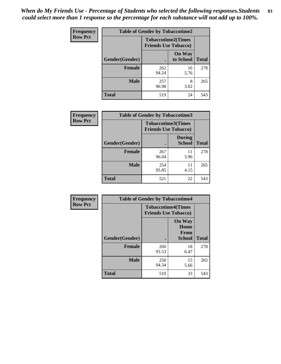| <b>Frequency</b> |                | <b>Table of Gender by Tobaccotime2</b> |                                                          |              |
|------------------|----------------|----------------------------------------|----------------------------------------------------------|--------------|
| <b>Row Pct</b>   |                |                                        | <b>Tobaccotime2(Times</b><br><b>Friends Use Tobacco)</b> |              |
|                  | Gender(Gender) |                                        | <b>On Way</b><br>to School                               | <b>Total</b> |
|                  | <b>Female</b>  | 262<br>94.24                           | 16<br>5.76                                               | 278          |
|                  | <b>Male</b>    | 257<br>96.98                           | 8<br>3.02                                                | 265          |
|                  | <b>Total</b>   | 519                                    | 24                                                       | 543          |

| Frequency      | <b>Table of Gender by Tobaccotime3</b> |                                                          |                                |              |
|----------------|----------------------------------------|----------------------------------------------------------|--------------------------------|--------------|
| <b>Row Pct</b> |                                        | <b>Tobaccotime3(Times</b><br><b>Friends Use Tobacco)</b> |                                |              |
|                | Gender(Gender)                         |                                                          | <b>During</b><br><b>School</b> | <b>Total</b> |
|                | Female                                 | 267<br>96.04                                             | 11<br>3.96                     | 278          |
|                | <b>Male</b>                            | 254<br>95.85                                             | 11<br>4.15                     | 265          |
|                | <b>Total</b>                           | 521                                                      | 22                             | 543          |

| <b>Frequency</b> | <b>Table of Gender by Tobaccotime4</b> |                                                          |                                                |              |
|------------------|----------------------------------------|----------------------------------------------------------|------------------------------------------------|--------------|
| <b>Row Pct</b>   |                                        | <b>Tobaccotime4(Times</b><br><b>Friends Use Tobacco)</b> |                                                |              |
|                  | Gender(Gender)                         |                                                          | <b>On Way</b><br>Home<br><b>From</b><br>School | <b>Total</b> |
|                  | <b>Female</b>                          | 260<br>93.53                                             | 18<br>6.47                                     | 278          |
|                  | <b>Male</b>                            | 250<br>94.34                                             | 15<br>5.66                                     | 265          |
|                  | <b>Total</b>                           | 510                                                      | 33                                             | 543          |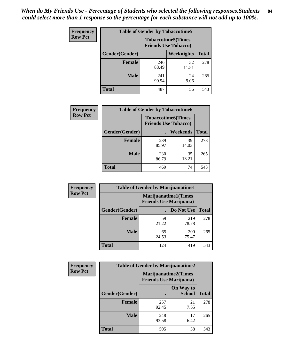| <b>Frequency</b> | <b>Table of Gender by Tobaccotime5</b> |                                                          |             |              |  |
|------------------|----------------------------------------|----------------------------------------------------------|-------------|--------------|--|
| <b>Row Pct</b>   |                                        | <b>Tobaccotime5(Times</b><br><b>Friends Use Tobacco)</b> |             |              |  |
|                  | Gender(Gender)                         |                                                          | Weeknights  | <b>Total</b> |  |
|                  | <b>Female</b>                          | 246<br>88.49                                             | 32<br>11.51 | 278          |  |
|                  | <b>Male</b>                            | 241<br>90.94                                             | 24<br>9.06  | 265          |  |
|                  | <b>Total</b>                           | 487                                                      | 56          | 543          |  |

| <b>Frequency</b> | <b>Table of Gender by Tobaccotime6</b> |                                                          |                 |              |
|------------------|----------------------------------------|----------------------------------------------------------|-----------------|--------------|
| <b>Row Pct</b>   |                                        | <b>Tobaccotime6(Times</b><br><b>Friends Use Tobacco)</b> |                 |              |
|                  | Gender(Gender)                         |                                                          | <b>Weekends</b> | <b>Total</b> |
|                  | <b>Female</b>                          | 239<br>85.97                                             | 39<br>14.03     | 278          |
|                  | <b>Male</b>                            | 230<br>86.79                                             | 35<br>13.21     | 265          |
|                  | <b>Total</b>                           | 469                                                      | 74              | 543          |

| <b>Frequency</b> | <b>Table of Gender by Marijuanatime1</b> |                                                               |                     |              |
|------------------|------------------------------------------|---------------------------------------------------------------|---------------------|--------------|
| <b>Row Pct</b>   |                                          | <b>Marijuanatime1(Times</b><br><b>Friends Use Marijuana</b> ) |                     |              |
|                  | Gender(Gender)                           |                                                               | Do Not Use          | <b>Total</b> |
|                  | <b>Female</b>                            | 59<br>21.22                                                   | 219<br>78.78        | 278          |
|                  | <b>Male</b>                              | 65<br>24.53                                                   | <b>200</b><br>75.47 | 265          |
|                  | <b>Total</b>                             | 124                                                           | 419                 | 543          |

| <b>Frequency</b> | <b>Table of Gender by Marijuanatime2</b> |                                                               |                            |              |
|------------------|------------------------------------------|---------------------------------------------------------------|----------------------------|--------------|
| <b>Row Pct</b>   |                                          | <b>Marijuanatime2(Times</b><br><b>Friends Use Marijuana</b> ) |                            |              |
|                  | Gender(Gender)                           |                                                               | On Way to<br><b>School</b> | <b>Total</b> |
|                  | <b>Female</b>                            | 257<br>92.45                                                  | 21<br>7.55                 | 278          |
|                  | <b>Male</b>                              | 248<br>93.58                                                  | 17<br>6.42                 | 265          |
|                  | <b>Total</b>                             | 505                                                           | 38                         | 543          |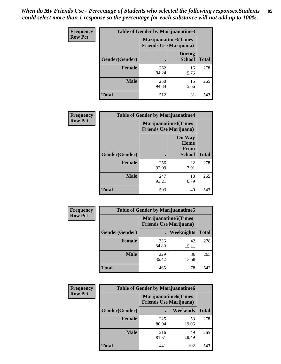*When do My Friends Use - Percentage of Students who selected the following responses.Students could select more than 1 response so the percentage for each substance will not add up to 100%.* **85**

| <b>Frequency</b> | Table of Gender by Marijuanatime3 |                                                        |                                |              |
|------------------|-----------------------------------|--------------------------------------------------------|--------------------------------|--------------|
| <b>Row Pct</b>   |                                   | Marijuanatime3(Times<br><b>Friends Use Marijuana</b> ) |                                |              |
|                  | Gender(Gender)                    |                                                        | <b>During</b><br><b>School</b> | <b>Total</b> |
|                  | <b>Female</b>                     | 262<br>94.24                                           | 16<br>5.76                     | 278          |
|                  | <b>Male</b>                       | 250<br>94.34                                           | 15<br>5.66                     | 265          |
|                  | <b>Total</b>                      | 512                                                    | 31                             | 543          |

| Frequency      | <b>Table of Gender by Marijuanatime4</b> |                                                               |                                                |              |
|----------------|------------------------------------------|---------------------------------------------------------------|------------------------------------------------|--------------|
| <b>Row Pct</b> |                                          | <b>Marijuanatime4(Times</b><br><b>Friends Use Marijuana</b> ) |                                                |              |
|                | Gender(Gender)                           |                                                               | <b>On Way</b><br>Home<br>From<br><b>School</b> | <b>Total</b> |
|                | <b>Female</b>                            | 256<br>92.09                                                  | 22<br>7.91                                     | 278          |
|                | <b>Male</b>                              | 247<br>93.21                                                  | 18<br>6.79                                     | 265          |
|                | <b>Total</b>                             | 503                                                           | 40                                             | 543          |

| Frequency      | <b>Table of Gender by Marijuanatime5</b> |                                                                |             |              |
|----------------|------------------------------------------|----------------------------------------------------------------|-------------|--------------|
| <b>Row Pct</b> |                                          | <b>Marijuanatime5</b> (Times<br><b>Friends Use Marijuana</b> ) |             |              |
|                | Gender(Gender)                           |                                                                | Weeknights  | <b>Total</b> |
|                | <b>Female</b>                            | 236<br>84.89                                                   | 42<br>15.11 | 278          |
|                | <b>Male</b>                              | 229<br>86.42                                                   | 36<br>13.58 | 265          |
|                | <b>Total</b>                             | 465                                                            | 78          | 543          |

| <b>Frequency</b> | <b>Table of Gender by Marijuanatime6</b> |                                                                |             |              |  |
|------------------|------------------------------------------|----------------------------------------------------------------|-------------|--------------|--|
| <b>Row Pct</b>   |                                          | <b>Marijuanatime6</b> (Times<br><b>Friends Use Marijuana</b> ) |             |              |  |
|                  | Gender(Gender)                           |                                                                | Weekends    | <b>Total</b> |  |
|                  | <b>Female</b>                            | 225<br>80.94                                                   | 53<br>19.06 | 278          |  |
|                  | <b>Male</b>                              | 216<br>81.51                                                   | 49<br>18.49 | 265          |  |
|                  | <b>Total</b>                             | 441                                                            | 102         | 543          |  |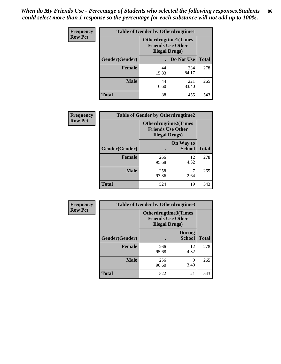| <b>Frequency</b> | <b>Table of Gender by Otherdrugtime1</b> |                                                                                   |              |              |  |
|------------------|------------------------------------------|-----------------------------------------------------------------------------------|--------------|--------------|--|
| <b>Row Pct</b>   |                                          | <b>Otherdrugtime1(Times</b><br><b>Friends Use Other</b><br><b>Illegal Drugs</b> ) |              |              |  |
|                  | Gender(Gender)                           |                                                                                   | Do Not Use   | <b>Total</b> |  |
|                  | <b>Female</b>                            | 44<br>15.83                                                                       | 234<br>84.17 | 278          |  |
|                  | <b>Male</b>                              | 44<br>16.60                                                                       | 221<br>83.40 | 265          |  |
|                  | <b>Total</b>                             | 88                                                                                | 455          | 543          |  |

| Frequency      | <b>Table of Gender by Otherdrugtime2</b> |                                                                                   |                            |              |  |
|----------------|------------------------------------------|-----------------------------------------------------------------------------------|----------------------------|--------------|--|
| <b>Row Pct</b> |                                          | <b>Otherdrugtime2(Times</b><br><b>Friends Use Other</b><br><b>Illegal Drugs</b> ) |                            |              |  |
|                | Gender(Gender)                           |                                                                                   | On Way to<br><b>School</b> | <b>Total</b> |  |
|                | <b>Female</b>                            | 266<br>95.68                                                                      | 12<br>4.32                 | 278          |  |
|                | <b>Male</b>                              | 258<br>97.36                                                                      | 2.64                       | 265          |  |
|                | <b>Total</b>                             | 524                                                                               | 19                         | 543          |  |

| Frequency      | <b>Table of Gender by Otherdrugtime3</b> |                                                                                   |                                |              |
|----------------|------------------------------------------|-----------------------------------------------------------------------------------|--------------------------------|--------------|
| <b>Row Pct</b> |                                          | <b>Otherdrugtime3(Times</b><br><b>Friends Use Other</b><br><b>Illegal Drugs</b> ) |                                |              |
|                | Gender(Gender)                           |                                                                                   | <b>During</b><br><b>School</b> | <b>Total</b> |
|                | <b>Female</b>                            | 266<br>95.68                                                                      | 12<br>4.32                     | 278          |
|                | <b>Male</b>                              | 256<br>96.60                                                                      | 9<br>3.40                      | 265          |
|                | <b>Total</b>                             | 522                                                                               | 21                             | 543          |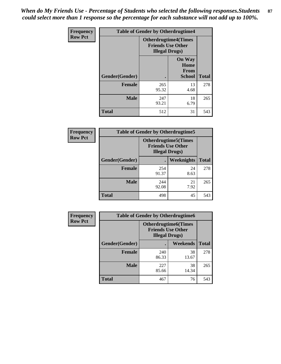*When do My Friends Use - Percentage of Students who selected the following responses.Students could select more than 1 response so the percentage for each substance will not add up to 100%.* **87**

| Frequency      |                | <b>Table of Gender by Otherdrugtime4</b> |                                                         |              |
|----------------|----------------|------------------------------------------|---------------------------------------------------------|--------------|
| <b>Row Pct</b> |                | <b>Illegal Drugs</b> )                   | <b>Otherdrugtime4(Times</b><br><b>Friends Use Other</b> |              |
|                | Gender(Gender) |                                          | <b>On Way</b><br>Home<br><b>From</b><br><b>School</b>   | <b>Total</b> |
|                | <b>Female</b>  | 265<br>95.32                             | 13<br>4.68                                              | 278          |
|                | <b>Male</b>    | 247<br>93.21                             | 18<br>6.79                                              | 265          |
|                | <b>Total</b>   | 512                                      | 31                                                      | 543          |

| Frequency      | <b>Table of Gender by Otherdrugtime5</b> |                                                                                    |            |              |  |
|----------------|------------------------------------------|------------------------------------------------------------------------------------|------------|--------------|--|
| <b>Row Pct</b> |                                          | <b>Otherdrugtime5</b> (Times<br><b>Friends Use Other</b><br><b>Illegal Drugs</b> ) |            |              |  |
|                | Gender(Gender)                           |                                                                                    | Weeknights | <b>Total</b> |  |
|                | <b>Female</b>                            | 254<br>91.37                                                                       | 24<br>8.63 | 278          |  |
|                | <b>Male</b>                              | 244<br>92.08                                                                       | 21<br>7.92 | 265          |  |
|                | <b>Total</b>                             | 498                                                                                | 45         | 543          |  |

| <b>Frequency</b> | <b>Table of Gender by Otherdrugtime6</b> |                                                                                   |             |              |  |
|------------------|------------------------------------------|-----------------------------------------------------------------------------------|-------------|--------------|--|
| <b>Row Pct</b>   |                                          | <b>Otherdrugtime6(Times</b><br><b>Friends Use Other</b><br><b>Illegal Drugs</b> ) |             |              |  |
|                  | Gender(Gender)                           |                                                                                   | Weekends    | <b>Total</b> |  |
|                  | <b>Female</b>                            | 240<br>86.33                                                                      | 38<br>13.67 | 278          |  |
|                  | <b>Male</b>                              | 227<br>85.66                                                                      | 38<br>14.34 | 265          |  |
|                  | <b>Total</b>                             | 467                                                                               | 76          | 543          |  |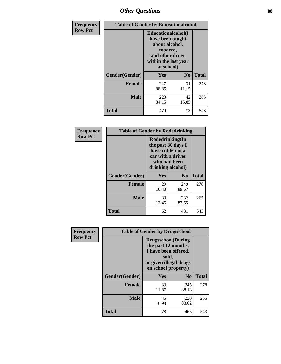# *Other Questions* **88**

| <b>Frequency</b> | <b>Table of Gender by Educationalcohol</b> |                                                                                                                               |                |              |
|------------------|--------------------------------------------|-------------------------------------------------------------------------------------------------------------------------------|----------------|--------------|
| <b>Row Pct</b>   |                                            | Educationalcohol(I<br>have been taught<br>about alcohol,<br>tobacco,<br>and other drugs<br>within the last year<br>at school) |                |              |
|                  | Gender(Gender)                             | <b>Yes</b>                                                                                                                    | N <sub>0</sub> | <b>Total</b> |
|                  | <b>Female</b>                              | 247<br>88.85                                                                                                                  | 31<br>11.15    | 278          |
|                  | <b>Male</b>                                | 223<br>84.15                                                                                                                  | 42<br>15.85    | 265          |
|                  | <b>Total</b>                               | 470                                                                                                                           | 73             | 543          |

| Frequency      | <b>Table of Gender by Rodedrinking</b> |                                                                                                                     |                |              |
|----------------|----------------------------------------|---------------------------------------------------------------------------------------------------------------------|----------------|--------------|
| <b>Row Pct</b> |                                        | Rodedrinking(In<br>the past 30 days I<br>have ridden in a<br>car with a driver<br>who had been<br>drinking alcohol) |                |              |
|                | Gender(Gender)                         | Yes                                                                                                                 | N <sub>0</sub> | <b>Total</b> |
|                | <b>Female</b>                          | 29<br>10.43                                                                                                         | 249<br>89.57   | 278          |
|                | <b>Male</b>                            | 33<br>12.45                                                                                                         | 232<br>87.55   | 265          |
|                | <b>Total</b>                           | 62                                                                                                                  | 481            | 543          |

| Frequency      |                | <b>Table of Gender by Drugsschool</b>                                                                                               |                |              |
|----------------|----------------|-------------------------------------------------------------------------------------------------------------------------------------|----------------|--------------|
| <b>Row Pct</b> |                | <b>Drugsschool</b> (During<br>the past 12 months,<br>I have been offered,<br>sold,<br>or given illegal drugs<br>on school property) |                |              |
|                | Gender(Gender) | Yes                                                                                                                                 | N <sub>0</sub> | <b>Total</b> |
|                | <b>Female</b>  | 33<br>11.87                                                                                                                         | 245<br>88.13   | 278          |
|                | <b>Male</b>    | 45<br>16.98                                                                                                                         | 220<br>83.02   | 265          |
|                | <b>Total</b>   | 78                                                                                                                                  | 465            | 543          |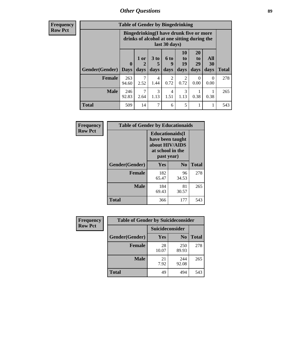# *Other Questions* **89**

**Frequency Row Pct**

| <b>Table of Gender by Bingedrinking</b> |              |                                                                                                                |                   |                   |                        |                               |                          |              |
|-----------------------------------------|--------------|----------------------------------------------------------------------------------------------------------------|-------------------|-------------------|------------------------|-------------------------------|--------------------------|--------------|
|                                         |              | <b>Bingedrinking(I have drunk five or more</b><br>drinks of alcohol at one sitting during the<br>last 30 days) |                   |                   |                        |                               |                          |              |
| <b>Gender</b> (Gender)   Days           | $\mathbf 0$  | 1 or<br>days                                                                                                   | 3 to<br>5<br>days | 6 to<br>q<br>days | 10<br>to<br>19<br>days | <b>20</b><br>to<br>29<br>days | All<br><b>30</b><br>days | <b>Total</b> |
| <b>Female</b>                           | 263<br>94.60 | 7<br>2.52                                                                                                      | 4<br>1.44         | 2<br>0.72         | 2<br>0.72              | 0<br>0.00                     | $\Omega$<br>0.00         | 278          |
| <b>Male</b>                             | 246<br>92.83 | 7<br>2.64                                                                                                      | 3<br>1.13         | 4<br>1.51         | 3<br>1.13              | 0.38                          | 0.38                     | 265          |
|                                         |              |                                                                                                                |                   |                   |                        |                               |                          |              |

| Frequency      | <b>Table of Gender by Educationaids</b> |                                                                                                 |                |              |
|----------------|-----------------------------------------|-------------------------------------------------------------------------------------------------|----------------|--------------|
| <b>Row Pct</b> |                                         | <b>Educationaids</b> (I<br>have been taught<br>about HIV/AIDS<br>at school in the<br>past year) |                |              |
|                | Gender(Gender)                          | Yes                                                                                             | $\mathbf{N_0}$ | <b>Total</b> |
|                | <b>Female</b>                           | 182<br>65.47                                                                                    | 96<br>34.53    | 278          |
|                | <b>Male</b>                             | 184<br>69.43                                                                                    | 81<br>30.57    | 265          |
|                | <b>Total</b>                            | 366                                                                                             | 177            | 543          |

| <b>Frequency</b> | <b>Table of Gender by Suicideconsider</b> |                 |                |              |
|------------------|-------------------------------------------|-----------------|----------------|--------------|
| <b>Row Pct</b>   |                                           | Suicideconsider |                |              |
|                  | Gender(Gender)                            | <b>Yes</b>      | N <sub>0</sub> | <b>Total</b> |
|                  | <b>Female</b>                             | 28<br>10.07     | 250<br>89.93   | 278          |
|                  | <b>Male</b>                               | 21<br>7.92      | 244<br>92.08   | 265          |
|                  | <b>Total</b>                              | 49              | 494            | 543          |